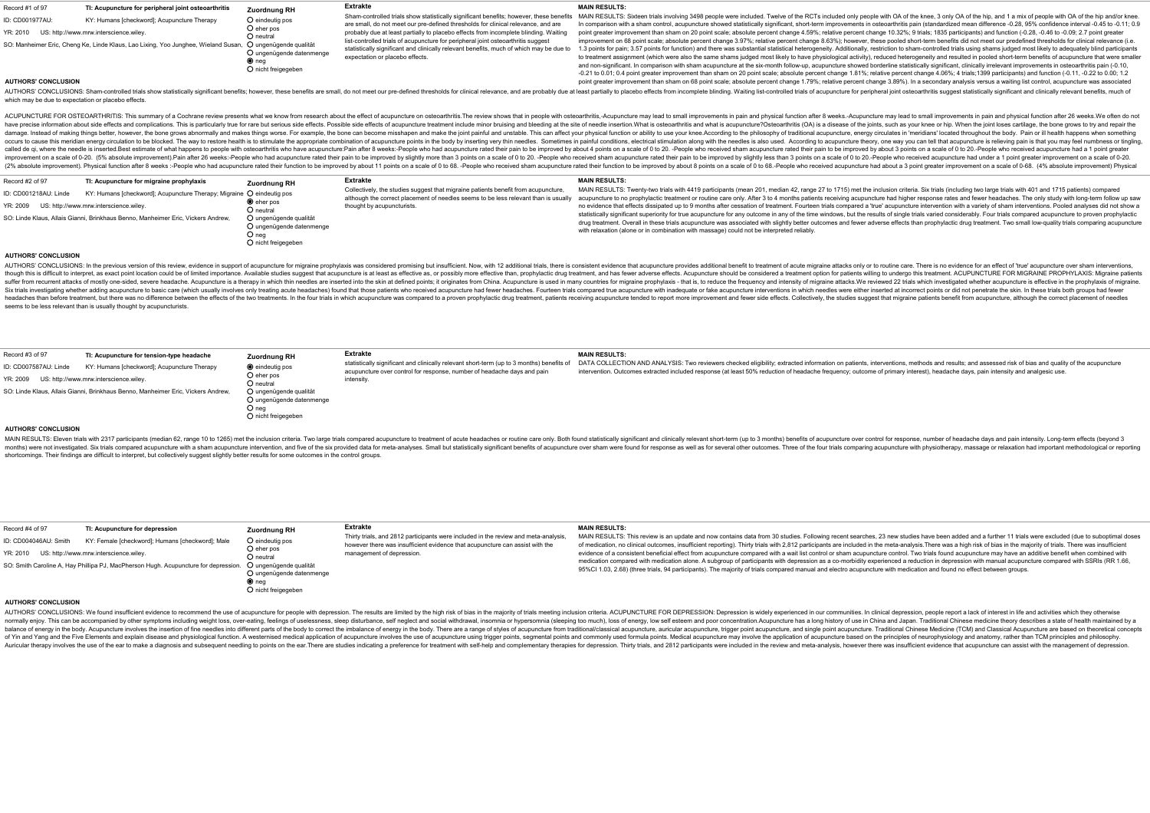Inding. Waiting list-controlled trials suppled trials show statistically significant benefits; however, these benefits are small, do not meet our pre-defined thresholds for clinical relevance, and are probably due at least which may be due to expectation or placebo effects.

ACUPUNCTURE FOR OSTEOARTHRITIS: This summary of a Cochrane review presents what we know from research about the effect of acupuncture on osteoarthritis. The review shows that in people with osteoarthritis, -Acupuncture may have precise information about side effects and complications. This is particularly true for rare but serious side effects. Possible side effects of acupuncture treatment include minor bruising and bleeding at the site of Instead of making things better, however, the bone grows abnormally and makes things worse. For example, the bone can become misshapen and make the joint painful and unstable. This can affect your physical functional acupu occurs to cause this meridian energy circulation to be blocked. The way to restore health is to stimulate the appropriate combination of acupuncture points in the body by inserting very thin needles is also used. According called de qi, where the needle is inserted.Best estimate of what happens to people with osteoarthritis who have acupuncture:Pain after 8 weeks:-People who had acupuncture rated their pain to be improved by about 2 points o The originative one a scale of 0-20. (5% absolute improvement).Pain after 26 weeks:-People who had acupuncture rated their pain to be improved by slightly more than 3 points on a scale of 0 to 20. -People who fas scale of (2% absolute improvement). Physical function after 8 weeks :-People who had acupuncture rated their function to be improved by about 11 points on a scale of 0 to 68. -People who received sham acupuncture rated their functi

| <b>Extrakte</b><br><b>MAIN RESUI</b><br>Record #1 of 97<br>TI: Acupuncture for peripheral joint osteoarthritis<br><b>Zuordnung RH</b><br>Sham-controlled trials show statistically significant benefits; however, these benefits<br><b>MAIN RESUL</b><br>$\overline{O}$ eindeutig pos<br>KY: Humans [checkword]; Acupuncture Therapy<br>ID: CD001977AU:<br>are small, do not meet our pre-defined thresholds for clinical relevance, and are<br>In compariso<br>$\overline{O}$ eher pos<br>probably due at least partially to placebo effects from incomplete blinding. Waiting<br>US: http://www.mrw.interscience.wiley.<br>YR: 2010<br>point greater<br>$O$ neutral<br>list-controlled trials of acupuncture for peripheral joint osteoarthritis suggest<br>improvement<br>SO: Manheimer Eric, Cheng Ke, Linde Klaus, Lao Lixing, Yoo Junghee, Wieland Susan, O ungenügende qualität<br>statistically significant and clinically relevant benefits, much of which may be due to<br>1.3 points for<br>O ungenügende datenmenge<br>expectation or placebo effects.<br>to treatment a<br>$\bullet$ neg<br>and non-sign<br>O nicht freigegeben<br>$-0.21$ to $0.01$ |  |
|-------------------------------------------------------------------------------------------------------------------------------------------------------------------------------------------------------------------------------------------------------------------------------------------------------------------------------------------------------------------------------------------------------------------------------------------------------------------------------------------------------------------------------------------------------------------------------------------------------------------------------------------------------------------------------------------------------------------------------------------------------------------------------------------------------------------------------------------------------------------------------------------------------------------------------------------------------------------------------------------------------------------------------------------------------------------------------------------------------------------------------------------------------------------|--|
|-------------------------------------------------------------------------------------------------------------------------------------------------------------------------------------------------------------------------------------------------------------------------------------------------------------------------------------------------------------------------------------------------------------------------------------------------------------------------------------------------------------------------------------------------------------------------------------------------------------------------------------------------------------------------------------------------------------------------------------------------------------------------------------------------------------------------------------------------------------------------------------------------------------------------------------------------------------------------------------------------------------------------------------------------------------------------------------------------------------------------------------------------------------------|--|

onclusions: In the previous version of this review, evidence in support of acupuncture for migraine prophylaxis was considered promising but insufficient. Now, with 12 additional benefit to treatment of acute migraine atta Expective as exact point location could be of limited importance. Available studies suggest that acupuncture is at least as effective as, or possibly more effective should be considered a treatment option for patients will Increding one-sided, severe headache. Acupuncture is a therapy in which thin needles are inserted into the skin at defined points; it originates for migraine attacks. We reviewed 22 trials which investigated whether acupun Six trials investigating whether adding acupuncture to basic care (which usually involves only treating acute headaches) found that those patients who received acupuncture had fewer headaches. Fourteen trials compared true In the fourthand particle was no difference between the effects of the two treatments. In the four trials in which acupuncture was compared to a proven prophylactic drug treatment, patients receiving acupuncture tended to seems to be less relevant than is usually thought by acupuncturists.

MAIN RESULTS: Eleven trials with 2317 participants (median 62, range 10 to 1265) met the inclusion criteria. Two large trials compared acupuncture to treatment of acute headaches or routine care only. Both found statistica ompared acupuncture with a sham acupuncture intervention, and five of the six provided data for meta-analyses. Small but statistically significant benefits of acupuncture with physiotherapy, massage or relaxation had impor shortcomings. Their findings are difficult to interpret, but collectively suggest slightly better results for some outcomes in the control groups.

O ungenügende qualität ungenügende datenmenge

- $O$  neg
- nicht freigegeben

Zuordnung RH $\odot$  eindeutig pos

O neutral

#### AUTHORS' CONCLUSION

MAIN RESULTS: This review is an update and now contains data from 30 studies. Following recent searches, 23 new studies have been added and a further 11 trials were excluded (due to suboptimal dosesof medication, no clinical outcomes, insufficient reporting). Thirty trials with 2,812 participants are included in the meta-analysis.There was a high risk of bias in the majority of trials. There was insufficientevidence of a consistent beneficial effect from acupuncture compared with a wait list control or sham acupuncture control. Two trials found acupuncture may have an additive benefit when combined with medication compared with medication alone. A subgroup of participants with depression as a co-morbidity experienced a reduction in depression with manual acupuncture compared with SSRIs (RR 1.66,95%CI 1.03, 2.68) (three trials, 94 participants). The majority of trials compared manual and electro acupuncture with medication and found no effect between groups.

O eindeutig pos O eher pos O neutral ungenügende qualitätungenügende datenmengeZuordnung RH

| Record #2 of 97                   | TI: Acupuncture for migraine prophylaxis                                                                                                                                                              | <b>Zuordnung RH</b>                                                                                          | <b>Extrakte</b>                                                                                                                                                                                         | <b>MAIN RESUL</b>                                                                                             |
|-----------------------------------|-------------------------------------------------------------------------------------------------------------------------------------------------------------------------------------------------------|--------------------------------------------------------------------------------------------------------------|---------------------------------------------------------------------------------------------------------------------------------------------------------------------------------------------------------|---------------------------------------------------------------------------------------------------------------|
| ID: CD001218AU: Linde<br>YR: 2009 | KY: Humans [checkword]; Acupuncture Therapy; Migraine $O$ eindeutig pos<br>US: http://www.mrw.interscience.wiley.<br>SO: Linde Klaus, Allais Gianni, Brinkhaus Benno, Manheimer Eric, Vickers Andrew, | $\bullet$ eher pos<br>$\cup$ neutral<br>O ungenügende qualität<br>$\bigcirc$ ungenügende datenmenge<br>O neg | Collectively, the studies suggest that migraine patients benefit from acupuncture,<br>although the correct placement of needles seems to be less relevant than is usually<br>thought by acupuncturists. | <b>MAIN RESUL</b><br>acupuncture t<br>no evidence th<br>statistically sig<br>drug treatmen<br>with relaxation |
|                                   |                                                                                                                                                                                                       | $\bigcirc$ nicht freigegeben                                                                                 |                                                                                                                                                                                                         |                                                                                                               |

Record #3 of 97TI: Acupuncture for tension-type headache

SO: Linde Klaus, Allais Gianni, Brinkhaus Benno, Manheimer Eric, Vickers Andrew,

ID: CD007587AU: LindeKY: Humans [checkword]; Acupuncture Therapy

YR: 2009 US: http://www.mrw.interscience.wiley.

AUTHORS' CONCLUSION

## MAIN RESULTS:

Extrakte

#### statistically significant and clinically relevant short-term (up to 3 months) benefits ofacupuncture over control for response, number of headache days and painintensity.

Record #4 of 97

ID: CD004046AU: Smith

#### TI: Acupuncture for depression

SO: Smith Caroline A, Hay Phillipa PJ, MacPherson Hugh. Acupuncture for depression.

YR: 2010 US: http://www.mrw.interscience.wiley.

KY: Female [checkword]; Humans [checkword]; Male

#### AUTHORS' CONCLUSION

THORS' CONCLUSIONS: We found insufficient evidence to recommend the use of acupuncture for people with depression. The results are limited by the high risk of bias in the majority of trials meeting inclusion criteria. ACUP Including weight loss, over-eating, feelings of uselessness, sleep disturbance, self reglect and social withdrawal, insomnia or hypersomnia (sleeping too much), loss of energy, low self esteem and poor concentration.Acupun origin the body. Acupuncture involves the insertion of fine needles into different parts of the heedles into different parts of the body to correct the imbalance of energy in the body. There are a range of styles of acupun of Yin and Yang and the Five Elements and explain disease and physiological function. A westernised medical application of acupuncture involves the use of acupuncture may involve the application of acupuncture based on the Auricular therapy involves the use of the ear to make a diagnosis and subsequent needling to points on the ear. There are studies indicating a preference for treatment with self-help and complementary therapies for depress

#### LTS:

LTS: Sixteen trials involving 3498 people were included. Twelve of the RCTs included only people with OA of the knee, 3 only OA of the hip, and 1 a mix of people with OA of the hip and/or knee. on with a sham control, acupuncture showed statistically significant, short-term improvements in osteoarthritis pain (standardized mean difference -0.28, 95% confidence interval -0.45 to -0.11; 0.9 r improvement than sham on 20 point scale; absolute percent change 4.59%; relative percent change 10.32%; 9 trials; 1835 participants) and function (-0.28, -0.46 to -0.09; 2.7 point greater improvement on 68 point scale; absolute percent change 3.97%; relative percent change 8.63%); however, these pooled short-term benefits did not meet our predefined thresholds for clinical relevance (i.e. 1.3 points for pain; 3.57 points for function) and there was substantial statistical heterogeneity. Additionally, restriction to sham-controlled trials using shams judged most likely to adequately blind participants to treatment assignment (which were also the same shams judged most likely to have physiological activity), reduced heterogeneity and resulted in pooled short-term benefits of acupuncture that were smaller hificant. In comparison with sham acupuncture at the six-month follow-up, acupuncture showed borderline statistically significant, clinically irrelevant improvements in osteoarthritis pain (-0.10, -0.21 to 0.01; 0.4 point greater improvement than sham on 20 point scale; absolute percent change 1.81%; relative percent change 4.06%; 4 trials;1399 participants) and function (-0.11, -0.22 to 0.00; 1.2point greater improvement than sham on 68 point scale; absolute percent change 1.79%; relative percent change 3.89%). In a secondary analysis versus a waiting list control, acupuncture was associated

#### $LTS:$

LTS: Twenty-two trials with 4419 participants (mean 201, median 42, range 27 to 1715) met the inclusion criteria. Six trials (including two large trials with 401 and 1715 patients) compared acupuncture to no prophylactic treatment or routine care only. After 3 to 4 months patients receiving acupuncture had higher response rates and fewer headaches. The only study with long-term follow up saw no evidence that effects dissipated up to 9 months after cessation of treatment. Fourteen trials compared a 'true' acupuncture intervention with a variety of sham interventions. Pooled analyses did not show a statistically significant superiority for true acupuncture for any outcome in any of the time windows, but the results of single trials varied considerably. Four trials compared acupuncture to proven prophylacticdrug treatment. Overall in these trials acupuncture was associated with slightly better outcomes and fewer adverse effects than prophylactic drug treatment. Two small low-quality trials comparing acupuncture r (alone or in combination with massage) could not be interpreted reliably.

DATA COLLECTION AND ANALYSIS: Two reviewers checked eligibility: extracted information on patients, interventions, methods and results; and assessed risk of bias and quality of the acupuncture eindeutig pos and the statement of the statement of the statement of headache days and pain and thervention. Outcomes extracted included response (at least 50% reduction of headache frequency; outcome of primary interest),

## MAIN RESULTS:

nicht freigegeben

 $\bullet$  neg

#### Extrakte

 Thirty trials, and 2812 participants were included in the review and meta-analysis,however there was insufficient evidence that acupuncture can assist with themanagement of depression.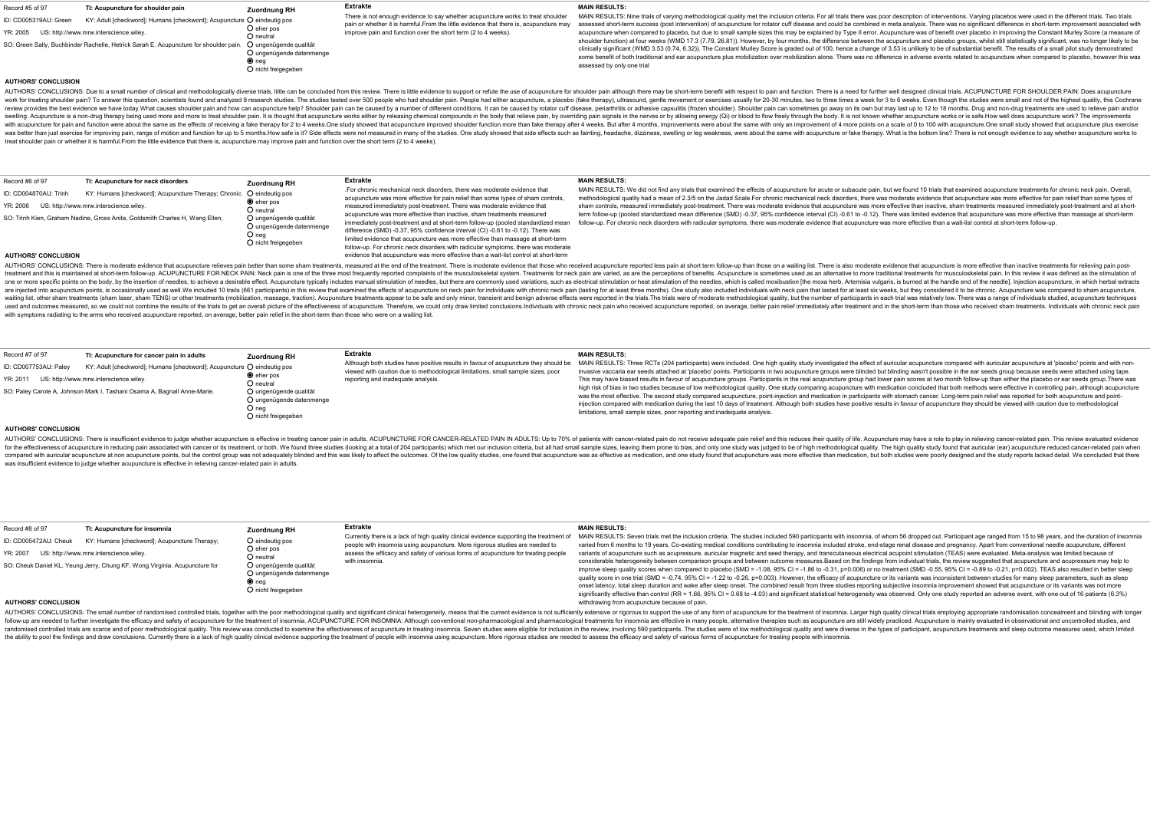Interpedia and methodologically diverse trials, little can be concluded from this review. There is little evidence to support or refute the use of acupuncture for shoulder pain although there may be short-term benefit with one shoulder pain? To answer this question, scientists found and analyzed 9 research studies. The studies found and analyzed 9 research studies tested over 500 people who had shoulder pain. People had either acupuncture, a The Dave to multer pain can be caused by a number of different conditions. It can be caused by a number of different conditions. It can be caused by a number of different conditions. It can be caused by a number of differe swelling. Acupuncture is a non-drug therapy being used more and more to treat shoulder pain. It is thought that acupuncture works either by releasing chemical compounds in the body that relieve pain, by overriding pain sig one study showed that acupuncture. One small study show the same as the effects of receiving a fake therapy for 2 to 4 weeks. One study showed that acupuncture improven shoulder function more than fake therapy after 4 mont on the studies. One studies, were about the studies, were in proving pain, range of motion and function for up to 5 months. How safe is it? Side effects were not measured in many of the study showed that side effects such treat shoulder pain or whether it is harmful.From the little evidence that there is, acupuncture may improve pain and function over the short term (2 to 4 weeks).

| Record #5 of 97<br>ID: CD005319AU: Green<br>YR: 2005 | TI: Acupuncture for shoulder pain<br>KY: Adult [checkword]; Humans [checkword]; Acupuncture $O$ eindeutig pos<br>US: http://www.mrw.interscience.wiley. | <b>Zuordnung RH</b><br>$\bigcirc$ eher pos<br>$\Box$ neutral                                 | <b>Extrakte</b><br>There is not enough evidence to say whether acupuncture works to treat shoulder<br>pain or whether it is harmful. From the little evidence that there is, acupuncture may<br>improve pain and function over the short term (2 to 4 weeks). | <b>MAIN RESUL</b><br><b>MAIN RESUL</b><br>assessed sho<br>acupuncture |
|------------------------------------------------------|---------------------------------------------------------------------------------------------------------------------------------------------------------|----------------------------------------------------------------------------------------------|---------------------------------------------------------------------------------------------------------------------------------------------------------------------------------------------------------------------------------------------------------------|-----------------------------------------------------------------------|
|                                                      | SO: Green Sally, Buchbinder Rachelle, Hetrick Sarah E. Acupuncture for shoulder pain.                                                                   | ) ungenügende qualität<br>O ungenügende datenmenge<br>$\bullet$ neg<br>$O$ nicht freigegeben |                                                                                                                                                                                                                                                               | shoulder fund<br>clinically sign<br>some benefit<br>assessed by       |
| ALITHORS' CONCLUSION                                 |                                                                                                                                                         |                                                                                              |                                                                                                                                                                                                                                                               |                                                                       |

Interesting has the endeance envidence that acupuncture relieves pain better than some sham treatments, measured at the end of the treatment. There is moderate evidence that short term follow-up than those on a waiting lis Ireatment and this is maintained at short-term follow-up. ACUPUNCTURE FOR NECK PAIN: Neck pain is one of the three most frequently reported complaints of the musculoskeletal system. Treatments for neck pain are varied, as one or more specific points on the body, by the insertion of needles, to achieve a desirable effect. Acupuncture typically includes manual stimulation of needles, but there are commonly used variations, such as electrical Included individuals with chronic nee that lasted for atlest swell. We included 10 trails (661 participants) in this review that examined the effects of acupuncture on neck pain for individuals with neck pain that lasted f waiting list, other sham treatments (sham laser, sham TENS) or other treatments (mobilization, massage, traction). Acupuncture treatments appear to be safe and only minor, transient and benign adverse effects were of moder orgeo and outcomes measured, so we could not combine the results of the trials to get an overall picture of the effectiveness of acupuncture. Therefore, we could only draw limited conclusions.Individuals with chromet and i with symptoms radiating to the arms who received acupuncture reported, on average, better pain relief in the short-term than those who were on a waiting list.

#### AUTHORS' CONCLUSION

Insufficient evidence to judge whether acupuncture is effective in treating cancer pain in adults. ACUPUNCTURE FOR CANCER-RELATED PAIN IN ADULTS: Up to 70% of patients with cancer-related pain do not receive adequate pain or the effectiveness of acupuncture in reducing pain associated with cancer or its treatment, or both. We found three studies (looking at a total of 204 participants) which met our inclusion criteria, but all had small sam onted with auricular acupuncture points, but the control group was not adequately blinded and this was likely to affect the outcomes. Of the low quality studies, one found that acupuncture was as effective than medication, was insufficient evidence to judge whether acupuncture is effective in relieving cancer-related pain in adults.

| Record #6 of 97                   | TI: Acupuncture for neck disorders                                                                                                                                                                   | <b>Zuordnung RH</b>                                                                                                                | <b>Extrakte</b>                                                                                                                                                                                                                                                                                                                                                                                                                                                                                                                                                                                                                                                 | <b>MAIN RESU</b>                                                                    |
|-----------------------------------|------------------------------------------------------------------------------------------------------------------------------------------------------------------------------------------------------|------------------------------------------------------------------------------------------------------------------------------------|-----------------------------------------------------------------------------------------------------------------------------------------------------------------------------------------------------------------------------------------------------------------------------------------------------------------------------------------------------------------------------------------------------------------------------------------------------------------------------------------------------------------------------------------------------------------------------------------------------------------------------------------------------------------|-------------------------------------------------------------------------------------|
| ID: CD004870AU: Trinh<br>YR: 2006 | KY: Humans [checkword]; Acupuncture Therapy; Chronic $\circ$ eindeutig pos<br>US: http://www.mrw.interscience.wiley.<br>SO: Trinh Kien, Graham Nadine, Gross Anita, Goldsmith Charles H, Wang Ellen, | $\bullet$ eher pos<br>$O$ neutral<br>O ungenügende qualität<br>O ungenügende datenmenge<br>$O$ neg<br>$\bigcirc$ nicht freigegeben | . For chronic mechanical neck disorders, there was moderate evidence that<br>acupuncture was more effective for pain relief than some types of sham controls,<br>measured immediately post-treatment. There was moderate evidence that<br>acupuncture was more effective than inactive, sham treatments measured<br>immediately post-treatment and at short-term follow-up (pooled standardized mean<br>difference (SMD) -0.37, 95% confidence interval (CI) -0.61 to -0.12). There was<br>limited evidence that acupuncture was more effective than massage at short-term<br>follow-up. For chronic neck disorders with radicular symptoms, there was moderate | <b>MAIN RESUI</b><br>methodologio<br>sham control<br>term follow-u<br>follow-up. Fo |
| <b>AUTHORS' CONCLUSION</b>        |                                                                                                                                                                                                      |                                                                                                                                    | evidence that acupuncture was more effective than a wait-list control at short-term                                                                                                                                                                                                                                                                                                                                                                                                                                                                                                                                                                             |                                                                                     |

- O eher pos
- O neutral
- ungenügende qualität
- ungenügende datenmenge
- $\bullet$  neg
- nicht freigegeben

| Record #7 of 97                   | TI: Acupuncture for cancer pain in adults                                                                                 | <b>Zuordnung RH</b>                                                                                                | <b>Extrakte</b>                                                                                                                                                                                              | <b>MAIN RESULT</b>                                                    |
|-----------------------------------|---------------------------------------------------------------------------------------------------------------------------|--------------------------------------------------------------------------------------------------------------------|--------------------------------------------------------------------------------------------------------------------------------------------------------------------------------------------------------------|-----------------------------------------------------------------------|
| ID: CD007753AU: Paley<br>YR: 2011 | KY: Adult [checkword]; Humans [checkword]; Acupuncture $\bigcirc$ eindeutig pos<br>US: http://www.mrw.interscience.wiley. | $\bullet$ eher pos<br>$\supset$ neutral                                                                            | Although both studies have positive results in favour of acupuncture they should be<br>viewed with caution due to methodological limitations, small sample sizes, poor<br>reporting and inadequate analysis. | <b>MAIN RESULT</b><br>invasive vacca<br>This may have                 |
|                                   | SO: Paley Carole A, Johnson Mark I, Tashani Osama A, Bagnall Anne-Marie.                                                  | $\bigcirc$ ungenügende qualität<br>$\bigcirc$ ungenügende datenmenge<br>$\Box$ nea<br>$\bigcirc$ nicht freigegeben |                                                                                                                                                                                                              | high risk of bia<br>was the most<br>injection comp<br>limitations, sm |

#### AUTHORS' CONCLUSION

Record #8 of 97

#### TI: Acupuncture for insomnia

SO: Cheuk Daniel KL, Yeung Jerry, Chung KF, Wong Virginia. Acupuncture for

ID: CD005472AU: CheukYR: 2007 US: http://www.mrw.interscience.wiley. KY: Humans [checkword]; Acupuncture Therapy;

## AUTHORS' CONCLUSION

Innemented for all number of randomised controlled trials, together with the poor methodological quality and significant clinical heterogeneity, means that the current evidence is not surficiently extensive or figommia. La follow-up are needed to further investigate the efficacy and safety of acupuncture for the treatment of insomnia. ACUPUNCTURE FOR INSOMNIA: Although conventional non-pharmacological and pharmacological treatments for insom Enterpending instanding instanding is and of poor methodological quality. This review was conducted to examine the effectiveness of acupuncture in treating insommia. Seven studies were eligible for inclusion in the review, the ability to pool the findings and draw conclusions. Currently there is a lack of high quality clinical evidence supporting the treatment of people with insomnia using acupuncture. More rigorous studies are needed to ass

#### LTS:

LTS: Nine trials of varying methodological quality met the inclusion criteria. For all trials there was poor description of interventions. Varying placebos were used in the different trials. Two trials assessed short-term success (post intervention) of acupuncture for rotator cuff disease and could be combined in meta analysis. There was no significant difference in short-term improvement associated with acupuncture when compared to placebo, but due to small sample sizes this may be explained by Type II error. Acupuncture was of benefit over placebo in improving the Constant Murley Score (a measure of shoulder function) at four weeks (WMD 17.3 (7.79, 26.81)). However, by four months, the difference between the acupuncture and placebo groups, whilst still statistically significant, was no longer likely to be clinically significant (WMD 3.53 (0.74, 6.32)). The Constant Murley Score is graded out of 100, hence a change of 3.53 is unlikely to be of substantial benefit. The results of a small pilot study demonstrated some benefit of both traditional and ear acupuncture plus mobilization over mobilization alone. There was no difference in adverse events related to acupuncture when compared to placebo, however this wasonly one trial

#### LTS:

LTS: We did not find any trials that examined the effects of acupuncture for acute or subacute pain, but we found 10 trials that examined acupuncture treatments for chronic neck pain. Overall, ical quality had a mean of 2.3/5 on the Jadad Scale.For chronic mechanical neck disorders, there was moderate evidence that acupuncture was more effective for pain relief than some types of lls, measured immediately post-treatment. There was moderate evidence that acupuncture was more effective than inactive, sham treatments measured immediately post-treatment and at shortup (pooled standardized mean difference (SMD) -0.37, 95% confidence interval (CI) -0.61 to -0.12). There was limited evidence that acupuncture was more effective than massage at short-term or chronic neck disorders with radicular symptoms, there was moderate evidence that acupuncture was more effective than a wait-list control at short-term follow-up.

#### $TS:$

MAIN RESULTS: Three RCTs (204 participants) were included. One high quality study investigated the effect of auricular acupuncture compared with auricular acupuncture at 'placebo' points and with nonaria ear seeds attached at 'placebo' points. Participants in two acupuncture groups were blinded but blinding wasn't possible in the ear seeds group because seeds were attached using tape. biased results in favour of acupuncture groups. Participants in the real acupuncture group had lower pain scores at two month follow-up than either the placebo or ear seeds group. There was high risk of bias in two studies because of low methodological quality. One study comparing acupuncture with medication concluded that both methods were effective in controlling pain, although acupuncture effective. The second study compared acupuncture, point-injection and medication in participants with stomach cancer. Long-term pain relief was reported for both acupuncture and pointbared with medication during the last 10 days of treatment. Although both studies have positive results in favour of acupuncture they should be viewed with caution due to methodological rall sample sizes, poor reporting and inadequate analysis.

#### MAIN RESULTS:

MAIN RESULTS: Seven trials met the inclusion criteria. The studies included 590 participants with insomnia, of whom 56 dropped out. Participant age ranged from 15 to 98 years, and the duration of insomniavaried from 6 months to 19 years. Co-existing medical conditions contributing to insomnia included stroke, end-stage renal disease and pregnancy. Apart from conventional needle acupuncture, differentvariants of acupuncture such as acupressure, auricular magnetic and seed therapy, and transcutaneous electrical acupoint stimulation (TEAS) were evaluated. Meta-analysis was limited because ofconsiderable heterogeneity between comparison groups and between outcome measures.Based on the findings from individual trials, the review suggested that acupuncture and acupressure may help toimprove sleep quality scores when compared to placebo (SMD = -1.08, 95% CI = -1.86 to -0.31, p=0.006) or no treatment (SMD -0.55, 95% CI = -0.89 to -0.21, p=0.002). TEAS also resulted in better sleep quality score in one trial (SMD = -0.74, 95% CI = -1.22 to -0.26, p=0.003). However, the efficacy of acupuncture or its variants was inconsistent between studies for many sleep parameters, such as sleep onset latency, total sleep duration and wake after sleep onset. The combined result from three studies reporting subjective insomnia improvement showed that acupuncture or its variants was not more significantly effective than control (RR = 1.66, 95% CI = 0.68 to -4.03) and significant statistical heterogeneity was observed. Only one study reported an adverse event, with one out of 16 patients (6.3%)withdrawing from acupuncture because of pain.

## Extrakte

 Currently there is a lack of high quality clinical evidence supporting the treatment ofpeople with insomnia using acupuncture. More rigorous studies are needed to assess the efficacy and safety of various forms of acupuncture for treating peoplewith insomnia.

#### Zuordnung RH

O eindeutig pos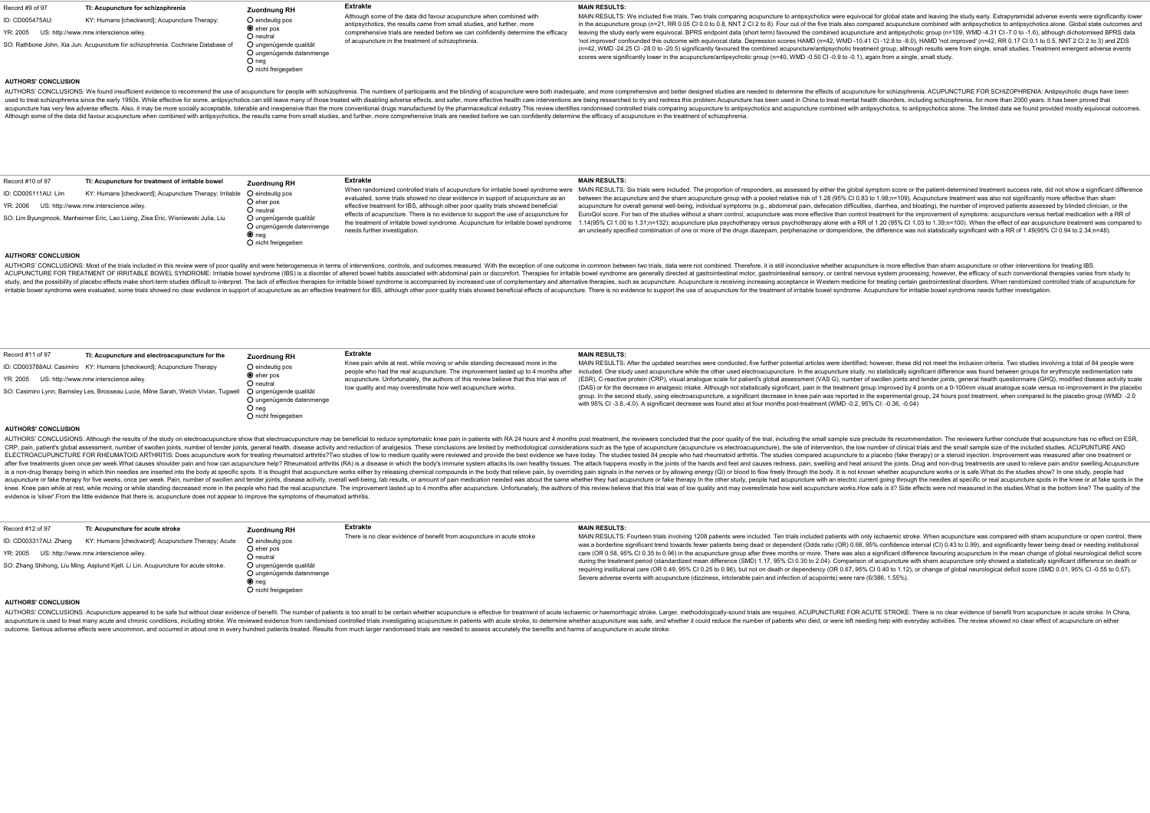| Record #9 of 97<br>ID: CD005475AU:<br>YR: 2005 | TI: Acupuncture for schizophrenia<br>KY: Humans [checkword]; Acupuncture Therapy;<br>US: http://www.mrw.interscience.wiley.<br>SO: Rathbone John, Xia Jun. Acupuncture for schizophrenia. Cochrane Database of | <b>Zuordnung RH</b><br>$O$ eindeutig pos<br>$\bullet$ eher pos<br>$\mathrm O$ neutral<br>$\bigcirc$ ungenügende qualität<br>O ungenügende datenmenge<br>$O$ neg<br>O nicht freigegeben | <b>Extrakte</b><br>Although some of the data did favour acupuncture when combined with<br>antipsychotics, the results came from small studies, and further, more<br>comprehensive trials are needed before we can confidently determine the efficacy<br>of acupuncture in the treatment of schizophrenia. | <b>MAIN RESUI</b><br><b>MAIN RESUI</b><br>in the acupur<br>leaving the st<br>'not improved<br>$(n=42, WMD)$<br>scores were |
|------------------------------------------------|----------------------------------------------------------------------------------------------------------------------------------------------------------------------------------------------------------------|----------------------------------------------------------------------------------------------------------------------------------------------------------------------------------------|-----------------------------------------------------------------------------------------------------------------------------------------------------------------------------------------------------------------------------------------------------------------------------------------------------------|----------------------------------------------------------------------------------------------------------------------------|
| <b>AUTHORS' CONCLUSION</b>                     |                                                                                                                                                                                                                |                                                                                                                                                                                        |                                                                                                                                                                                                                                                                                                           |                                                                                                                            |
|                                                |                                                                                                                                                                                                                |                                                                                                                                                                                        | AUTHORS' CONCLUSIONS: We found insufficient evidence to recommend the use of acupuncture for people with schizophrenia. The numbers of participants and the blinding of acupuncture were both inadequate, and more                                                                                        |                                                                                                                            |

comprehensive and better designed studies are needed to determine the effects of acupuncture for schizophrenia. ACUPUNCTURE FOR SCHIZOPHRENIA: Antipsychotic drugs have been used to treat schizophrenia since the early 1950s. While effective for some, antipsychotics can still leave many of those treated with disabling adverse effective health care interventions are being researched to try and r acupuncture has very few adverse effects. Also, it may be more socially acceptable, tolerable and inexpensive than the more conventional drugs manufactured by the pharmaceutical industry. This review identifies rand acupun Although some of the data did favour acupuncture when combined with antipsychotics, the results came from small studies, and further, more comprehensive trials are needed before we can confidently determine the efficacy of

#### AUTHORS' CONCLUSION

DITHORS' CONCLUSIONS: Most of the trials included in this review were of poor quality and were heterogeneous in terms of interventions, controls, and outcomes measured. With the exception of one outcome in common between t Initable bowel syndrome (IBS) is a disorder of altered bowel habits associated with abdominal pain or discomfort. Therapies for irritable bowel syndrome are generally directed at gastrointestinal motor, gastrointestinal se and the possibility of placebo effects make short-term studies difficult to interpret. The lack of effective therapies for irritable bowel syndrome is accompanied by increased use of complementary and alternative therapies irritable bowel syndrome were evaluated, some trials showed no clear evidence in support of acupuncture as an effective treatment for IBS, although other poor quality trials showed beneficial effects of acupuncture for the

| Record #10 of 97                | TI: Acupuncture for treatment of irritable bowel                                                                                                                                    | <b>Zuordnung RH</b>                                                                                                                                                   | Extrakte                                                                                                                                                                                                                                                                                                                                                                                                                                                                | <b>MAIN RESUL</b>                                                                                  |
|---------------------------------|-------------------------------------------------------------------------------------------------------------------------------------------------------------------------------------|-----------------------------------------------------------------------------------------------------------------------------------------------------------------------|-------------------------------------------------------------------------------------------------------------------------------------------------------------------------------------------------------------------------------------------------------------------------------------------------------------------------------------------------------------------------------------------------------------------------------------------------------------------------|----------------------------------------------------------------------------------------------------|
| ID: CD005111AU: Lim<br>YR: 2006 | KY: Humans [checkword]; Acupuncture Therapy; Irritable<br>US: http://www.mrw.interscience.wiley.<br>SO: Lim Byungmook, Manheimer Eric, Lao Lixing, Ziea Eric, Wisniewski Julia, Liu | $\overline{O}$ eindeutig pos<br>$\bigcirc$ eher pos<br>$\Box$ neutral<br>O ungenügende qualität<br>O ungenügende datenmenge<br>$\bullet$ neg<br>$O$ nicht freigegeben | When randomized controlled trials of acupuncture for irritable bowel syndrome were<br>evaluated, some trials showed no clear evidence in support of acupuncture as an<br>effective treatment for IBS, although other poor quality trials showed beneficial<br>effects of acupuncture. There is no evidence to support the use of acupuncture for<br>the treatment of irritable bowel syndrome. Acupuncture for irritable bowel syndrome<br>needs further investigation. | <b>MAIN RESUL</b><br>between the a<br>acupuncture<br>EuroQol scor<br>1.14(95% CI<br>an unclearly s |
|                                 |                                                                                                                                                                                     |                                                                                                                                                                       |                                                                                                                                                                                                                                                                                                                                                                                                                                                                         |                                                                                                    |

#### AUTHORS' CONCLUSION

Inhough the results of the study on electroacupuncture show that electroacupuncture may be beneficial to reduce symptomatic knee pain in patients with RA 24 hours and 4 months post treatment, the reviewers concluded that t CRP, pain, patient's global assessment, number of swollen joints, number of tender joints, number of tender joints, general health, disease activity and reduction of analgesics. These conclusions such as the type of acupun ors acupuncture to estable the studies of percylence ture the sessagguncture work for treating rheumatoid arthritis?Two studies of low to medium quality were reviewed and provide the best evidence we have today. The studie The attack happens mostly triend the body's immune system and thow can acupuncture help? Rheumatoid arthritis (RA) is a disease in which the body's immune system attacks its own healthy tissues. The attack happens mostly i Is a non-drug therapy being in which thin needles are inserted into the body at specific spots. It is thought that acupuncture works either by releasing chemical compounds in the body that relieve pain, by overriding pain once per weeks, once per weeks. Pain, number of swollen and tender joints, disease activity, overall well-being, lab results, or amount of pain medication needed was about the same whether they had acupuncture with an elec on while at rest, while moving or while standing decreased more in the people who had the real acupuncture. The improvement lasted up to 4 months after acupuncture and may overestimate how well acupuncture works. How safe evidence is 'silver'.From the little evidence that there is, acupuncture does not appear to improve the symptoms of rheumatoid arthritis.

| Record #11 of 97 | TI: Acupuncture and electroacupuncture for the                                                                 | <b>Zuordnung RH</b>                                                       | <b>Extrakte</b>                                                                                                                                                                                                                                            | <b>MAIN RESULT</b>                                    |
|------------------|----------------------------------------------------------------------------------------------------------------|---------------------------------------------------------------------------|------------------------------------------------------------------------------------------------------------------------------------------------------------------------------------------------------------------------------------------------------------|-------------------------------------------------------|
| YR: 2005         | ID: CD003788AU: Casimiro KY: Humans [checkword]; Acupuncture Therapy<br>US: http://www.mrw.interscience.wiley. | $\bigcirc$ eindeutig pos<br>$\bullet$ eher pos<br>$\Box$ neutral          | Knee pain while at rest, while moving or while standing decreased more in the<br>people who had the real acupuncture. The improvement lasted up to 4 months after<br>acupuncture. Unfortunately, the authors of this review believe that this trial was of | <b>MAIN RESULT</b><br>included, One<br>(ESR), C-react |
|                  | SO: Casimiro Lynn, Barnsley Les, Brosseau Lucie, Milne Sarah, Welch Vivian, Tugwell                            | O ungenügende qualität<br>$\bigcirc$ ungenügende datenmenge<br>$\cup$ neg | low quality and may overestimate how well acupuncture works.                                                                                                                                                                                               | (DAS) or for th<br>group. In the s<br>with 95% CI -3  |

nicht freigegeben

#### AUTHORS' CONCLUSION

onclusions: Acupuncture appeared to be safe but without clear evidence of benefit. The number of patients is too small to be certain whether acupuncture is effective for treatment of acute ischaemic or haemorrhagic stroke. acupuncture is used to treat many acute and chronic conditions, including stroke. We reviewed evidence from randomised controlled trials investigating acupuncture in patients with acute stroke, to determine whether it coul outcome. Serious adverse effects were uncommon, and occurred in about one in every hundred patients treated. Results from much larger randomised trials are needed to assess accurately the benefits and harms of acupuncture

#### LTS:

LTS: We included five trials. Two trials comparing acupuncture to antipsychotics were equivocal for global state and leaving the study early. Extrapyramidal adverse events were significantly lower in the acupuncture group (n=21, RR 0.05 CI 0.0 to 0.8, NNT 2 CI 2 to 8). Four out of the five trials also compared acupuncture combined with antipsychotics to antipsychotics alone. Global state outcomes and study early were equivocal. BPRS endpoint data (short term) favoured the combined acupuncture and antipsychotic group (n=109, WMD -4.31 CI -7.0 to -1.6), although dichotomised BPRS data d' confounded this outcome with equivocal data. Depression scores HAMD (n=42, WMD -10.41 CI -12.8 to -8.0), HAMD 'not improved' (n=42, RR 0.17 CI 0.1 to 0.5, NNT 2 CI 2 to 3) and ZDS (n=42, WMD -24.25 CI -28.0 to -20.5) significantly favoured the combined acupuncture/antipsychotic treatment group, although results were from single, small studies. Treatment emergent adverse eventssignificantly lower in the acupuncture/antipsychotic group (n=40, WMD -0.50 CI -0.9 to -0.1), again from a single, small study.

#### LTS:

LTS: Six trials were included. The proportion of responders, as assessed by either the global symptom score or the patient-determined treatment success rate, did not show a significant difference acupuncture and the sham acupuncture group with a pooled relative risk of 1.28 (95% CI 0.83 to 1.98;n=109). Acupuncture treatment was also not significantly more effective than sham acupuncture for overall general well-being, individual symptoms (e.g., abdominal pain, defecation difficulties, diarrhea, and bloating), the number of improved patients assessed by blinded clinician, or the EuroQol score. For two of the studies without a sham control, acupuncture was more effective than control treatment for the improvement of symptoms: acupuncture versus herbal medication with a RR ofl 1.00 to 1.31;n=132); acupuncture plus psychotherapy versus psychotherapy alone with a RR of 1.20 (95% CI 1.03 to 1.39;n=100). When the effect of ear acupuncture treatment was compared to specified combination of one or more of the drugs diazepam, perphenazine or domperidone, the difference was not statistically significant with a RR of 1.49(95% CI 0.94 to 2.34;n=48).

#### $TS:$

TS: After the updated searches were conducted, five further potential articles were identified; however, these did not meet the inclusion criteria. Two studies involving a total of 84 people were included. One study used acupuncture while the other used electroacupuncture. In the acupuncture study, no statistically significant difference was found between groups for erythrocyte sedimentation rate (ESR), C-reactive protein (CRP), visual analogue scale for patient's global assessment (VAS G), number of swollen joints and tender joints, general health questionnaire (GHQ), modified disease activity scale (DAS) or for the decrease in analgesic intake. Although not statistically significant, pain in the treatment group improved by 4 points on a 0-100mm visual analogue scale versus no improvement in the placebosecond study, using electroacupuncture, a significant decrease in knee pain was reported in the experimental group, 24 hours post treatment, when compared to the placebo group (WMD: -2.0 8.6,-4.0). A significant decrease was found also at four months post-treatment (WMD -0.2, 95% CI: -0.36, -0.04)

#### $TS:$

TS: Fourteen trials involving 1208 patients were included. Ten trials included patients with only ischaemic stroke. When acupuncture was compared with sham acupuncture or open control, there was a borderline significant trend towards fewer patients being dead or dependent (Odds ratio (OR) 0.66, 95% confidence interval (CI) 0.43 to 0.99), and significantly fewer being dead or needing institutional , 95% CI 0.35 to 0.96) in the acupuncture group after three months or more. There was also a significant difference favouring acupuncture in the mean change of global neurological deficit score atment period (standardized mean difference (SMD) 1.17, 95% CI 0.30 to 2.04). Comparison of acupuncture with sham acupuncture only showed a statistically significant difference on death or utional care (OR 0.49, 95% CI 0.25 to 0.96), but not on death or dependency (OR 0.67, 95% CI 0.40 to 1.12), or change of global neurological deficit score (SMD 0.01, 95% CI -0.55 to 0.57). se events with acupuncture (dizziness, intolerable pain and infection of acupoints) were rare (6/386, 1.55%).

| Record #12 of 97                                   | TI: Acupuncture for acute stroke                                                  | <b>Zuordnung RH</b>                                                                                                   | <b>Extrakte</b>                                                        | <b>MAIN RESULT</b>                                   |
|----------------------------------------------------|-----------------------------------------------------------------------------------|-----------------------------------------------------------------------------------------------------------------------|------------------------------------------------------------------------|------------------------------------------------------|
| ID: CD003317AU: Zhang                              | KY: Humans [checkword]; Acupuncture Therapy; Acute                                | $\bigcirc$ eindeutig pos<br>$\bigcirc$ eher pos                                                                       | There is no clear evidence of benefit from acupuncture in acute stroke | <b>MAIN RESULT</b><br>was a borderlin                |
| YR: 2005<br>US: http://www.mrw.interscience.wiley. |                                                                                   | $\mathsf D$ neutral                                                                                                   |                                                                        | care (OR 0.58)                                       |
|                                                    | SO: Zhang Shihong, Liu Ming, Asplund Kjell, Li Lin. Acupuncture for acute stroke. | $\bigcirc$ ungenügende qualität<br>$\bigcirc$ ungenügende datenmenge<br>$\bullet$ neg<br>$\bigcirc$ nicht freigegeben |                                                                        | during the trea<br>requiring instit<br>Severe advers |
| AUTUADOL AQUALUQIQU                                |                                                                                   |                                                                                                                       |                                                                        |                                                      |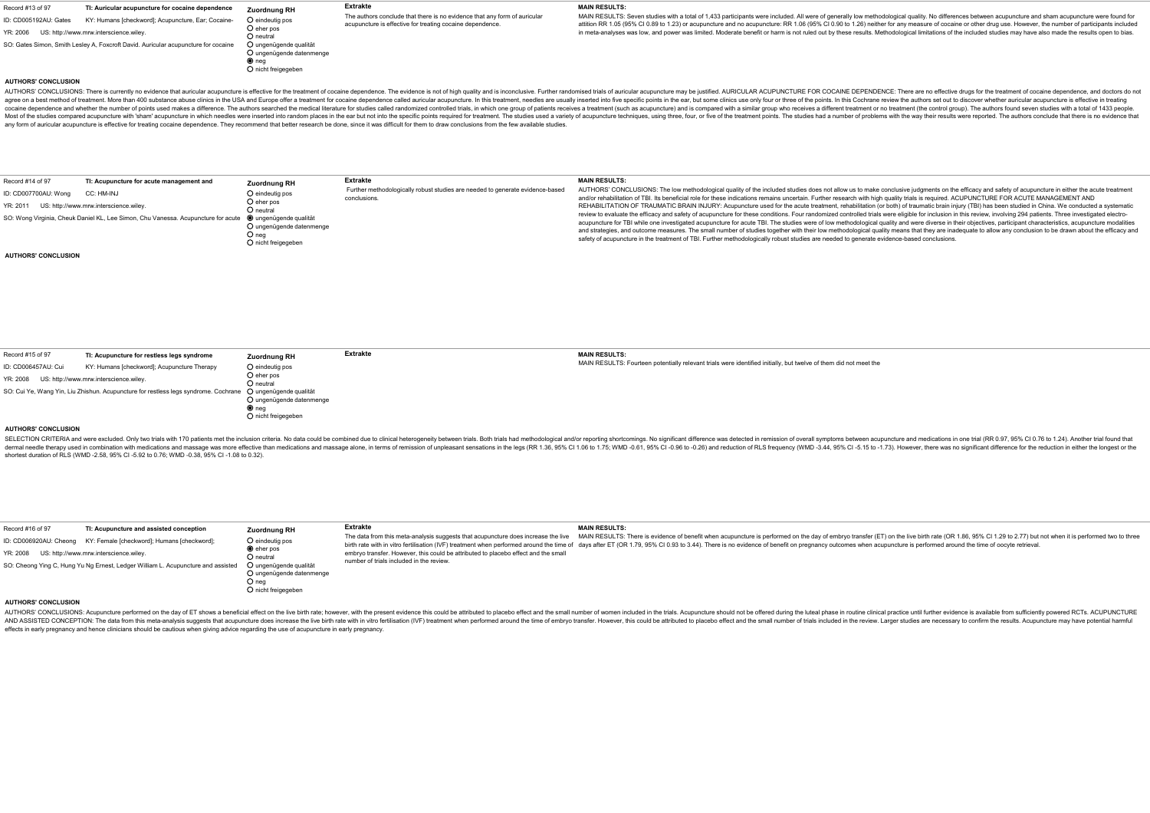| Record #13 of 97                                   | TI: Auricular acupuncture for cocaine dependence                                   | <b>Zuordnung RH</b>                                                                                            | <b>Extrakte</b>                                                                                                                        | <b>MAIN RESUL</b>                    |
|----------------------------------------------------|------------------------------------------------------------------------------------|----------------------------------------------------------------------------------------------------------------|----------------------------------------------------------------------------------------------------------------------------------------|--------------------------------------|
| ID: CD005192AU: Gates                              | KY: Humans [checkword]; Acupuncture, Ear; Cocaine-                                 | $\bigcirc$ eindeutig pos<br>$\bigcirc$ eher pos                                                                | The authors conclude that there is no evidence that any form of auricular<br>acupuncture is effective for treating cocaine dependence. | <b>MAIN RESUL</b><br>attition RR 1.0 |
| YR: 2006<br>US: http://www.mrw.interscience.wiley. |                                                                                    | $\bigcirc$ neutral                                                                                             |                                                                                                                                        | in meta-analy                        |
|                                                    | SO: Gates Simon, Smith Lesley A, Foxcroft David. Auricular acupuncture for cocaine | $\bigcirc$ ungenügende qualität<br>$O$ ungenügende datenmenge<br>$\bullet$ neg<br>$\bigcirc$ nicht freigegeben |                                                                                                                                        |                                      |
| <b>AUTHORS' CONCLUSION</b>                         |                                                                                    |                                                                                                                |                                                                                                                                        |                                      |
|                                                    |                                                                                    |                                                                                                                |                                                                                                                                        |                                      |

Equividence, and doctors do note effective and outlence that auricular acupuncture is effective for the treatment of cocaine dependence. The evidence is not of high quality and is inconclusive. Further randomised trials of agree on a best method of treatment. More than 400 substance abuse clinics in the USA and Europe offer a treatment for cocaine dependence called auricular acupuncture. In this treatment, needles are usually inserted into f one one of paints exact be media iterators conding dependence and whether the number of points used makes a difference. The authors searched the medical literature for studies called randomized controlled trials, in which Most of the studies compared acupuncture with 'sham' acupuncture in which needles were inserted into random places in the ear but not into the specific points required for treatment. The studies had a number of problems wi any form of auricular acupuncture is effective for treating cocaine dependence. They recommend that better research be done, since it was difficult for them to draw conclusions from the few available studies.

Only two trials with 170 patients met the inclusion criteria. No data could be combined due to clinical heterogeneity between trials. Both trials ymptoms between acupuncture and medications in one trial (RR 0.97, 95% CI 0. The legs (RR 1.36, 95% CI -5.96 to -0.26) and reduced for all 30,85% Cl 1.00 to -1.73). However, there was no significant difference for the reduction in either the legs (RR 1.36, 95% CI 1.06 to 1.75; WMD -0.61, 95% CI -5. shortest duration of RLS (WMD -2.58, 95% CI -5.92 to 0.76; WMD -0.38, 95% CI -1.08 to 0.32).

Interpret on the diverige preformed on the day of ET shows a beneficial effect on the live birth rate; hows a beneficial effect on the live birth rate; however, with the present evidence this could be attributed to place b The data from this meta-analysis suggests that acupuncture does increase the live birth rate with in vitro fertilisation (IVF) treatment when performed around the time of embryo transfer. However, this could be attributed effects in early pregnancy and hence clinicians should be cautious when giving advice regarding the use of acupuncture in early pregnancy.

#### $LTS:$

LTS: Seven studies with a total of 1,433 participants were included. All were of generally low methodological quality. No differences between acupuncture and sham acupuncture were found for attition RR 1.05 (95% CI 0.89 to 1.23) or acupuncture and no acupuncture: RR 1.06 (95% CI 0.90 to 1.26) neither for any measure of cocaine or other drug use. However, the number of participants included in meta-analyses was low, and power was limited. Moderate benefit or harm is not ruled out by these results. Methodological limitations of the included studies may have also made the results open to bias.

#### $LTS:$

CONCLUSIONS: The low methodological quality of the included studies does not allow us to make conclusive judgments on the efficacy and safety of acupuncture in either the acute treatment ilitation of TBI. Its beneficial role for these indications remains uncertain. Further research with high quality trials is required. ACUPUNCTURE FOR ACUTE MANAGEMENT AND REHABILITATION OF TRAUMATIC BRAIN INJURY: Acupuncture used for the acute treatment, rehabilitation (or both) of traumatic brain injury (TBI) has been studied in China. We conducted a systematicreview to evaluate the efficacy and safety of acupuncture for these conditions. Four randomized controlled trials were eligible for inclusion in this review, involving 294 patients. Three investigated electrofor TBI while one investigated acupuncture for acute TBI. The studies were of low methodological quality and were diverse in their objectives, participant characteristics, acupuncture modalities and strategies, and outcome measures. The small number of studies together with their low methodological quality means that they are inadequate to allow any conclusion to be drawn about the efficacy and ipuncture in the treatment of TBI. Further methodologically robust studies are needed to generate evidence-based conclusions.

|                                                                                                                                                                     | <b>Extrakte</b>                                                                                          | <b>MAIN RESUL</b>                                                                                                              |
|---------------------------------------------------------------------------------------------------------------------------------------------------------------------|----------------------------------------------------------------------------------------------------------|--------------------------------------------------------------------------------------------------------------------------------|
| O eindeutig pos<br>$\bigcirc$ eher pos<br>$\bigcirc$ neutral<br>$\bullet$ ungenügende qualität<br>O ungenügende datenmenge<br>$\bigcirc$ neg<br>O nicht freigegeben | Further methodologically robust studies are needed to generate evidence-based<br>conclusions.            | <b>AUTHORS' C</b><br>and/or rehabi<br><b>REHABILITA</b><br>review to eval<br>acupuncture f<br>and strategies<br>safety of acup |
|                                                                                                                                                                     |                                                                                                          |                                                                                                                                |
| TI: Acupuncture for acute management and                                                                                                                            | <b>Zuordnung RH</b><br>SO: Wong Virginia, Cheuk Daniel KL, Lee Simon, Chu Vanessa. Acupuncture for acute |                                                                                                                                |

- 
- O neutral
- ungenügende qualität
- ungenügende datenmenge
- O neg
- nicht freigegeben

#### AUTHORS' CONCLUSION

| Record #15 of 97                                | TI: Acupuncture for restless legs syndrome                                                                 | Zuordnung RH                              | <b>Extrakte</b><br><b>MAIN RESULTS:</b> |                                                                                                                  |
|-------------------------------------------------|------------------------------------------------------------------------------------------------------------|-------------------------------------------|-----------------------------------------|------------------------------------------------------------------------------------------------------------------|
| ID: CD006457AU: Cui                             | KY: Humans [checkword]; Acupuncture Therapy                                                                | O eindeutig pos                           |                                         | MAIN RESULTS: Fourteen potentially relevant trials were identified initially, but twelve of them did not meet th |
| YR: 2008 US: http://www.mrw.interscience.wiley. |                                                                                                            | $\bigcirc$ eher pos<br>$\bigcirc$ neutral |                                         |                                                                                                                  |
|                                                 | SO: Cui Ye, Wang Yin, Liu Zhishun. Acupuncture for restless legs syndrome. Cochrane O ungenügende qualität |                                           |                                         |                                                                                                                  |
|                                                 |                                                                                                            | O ungenügende datenmenge                  |                                         |                                                                                                                  |
|                                                 |                                                                                                            | $\bullet$ neg                             |                                         |                                                                                                                  |
|                                                 |                                                                                                            | O nicht freigegeben                       |                                         |                                                                                                                  |

Record #16 of 97TI: Acupuncture and assisted conception

ID: CD006920AU: Cheong KY: Female [checkword]; Humans [checkword];

SO: Cheong Ying C, Hung Yu Ng Ernest, Ledger William L. Acupuncture and assisted

YR: 2008 US: http://www.mrw.interscience.wiley.

## AUTHORS' CONCLUSION

#### MAIN RESULTS:

The data from this meta-analysis suggests that acupuncture does increase the live MAIN RESULTS: There is evidence of benefit when acupuncture is performed on the day of embryo transfer (ET) on the live birth rate (OR 1.86, eindeutig pos<br>eher pos birth rate with in vitro fertilisation (IVF) treatment when performed around the time of days after ET (OR 1.79, 95% CI 0.93 to 3.44). There is no evidence of benefit on pregnancy outcomes when acupu

#### Extrakte

embryo transfer. However, this could be attributed to placebo effect and the smallnumber of trials included in the review.

## Zuordnung RH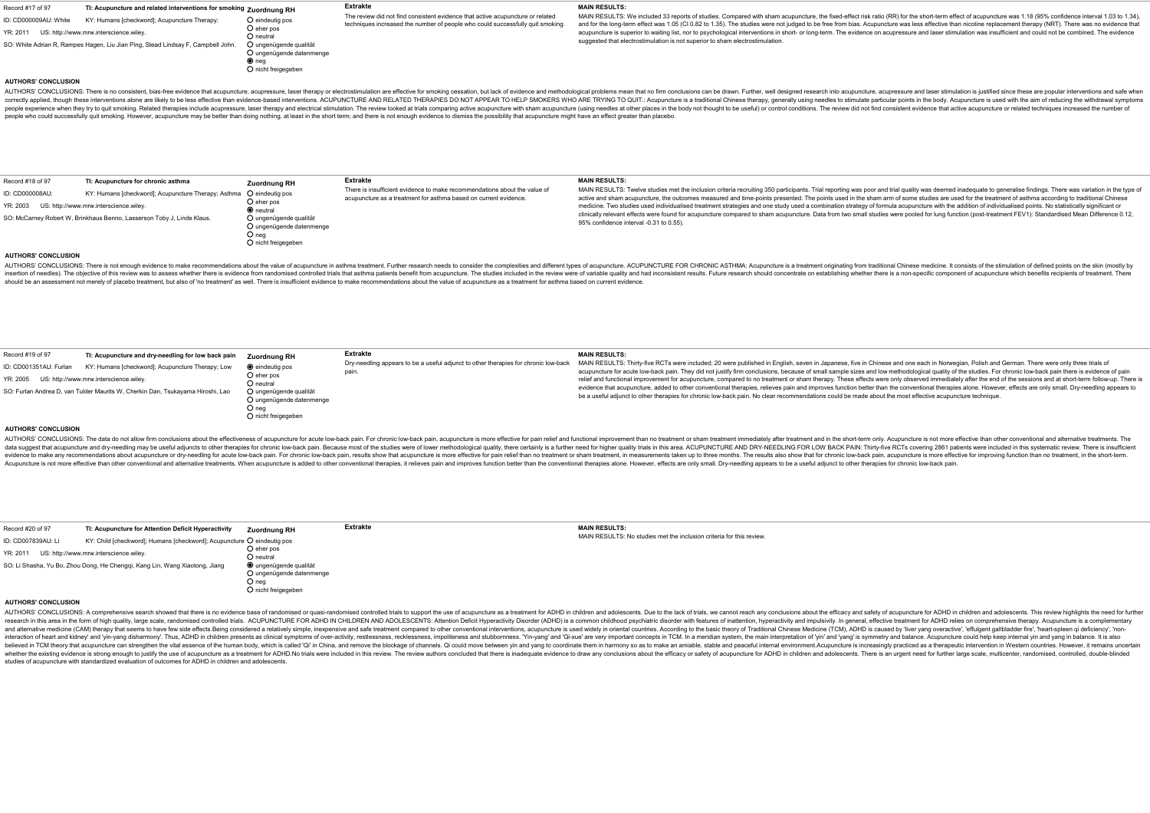Inter is no consistent, bias-free evidence that acupuncture, acupressure, laser therapy or electrostimulation are effective for smoking cessation, but lack of evidence and methodological problems mean that no firm conclusi Elkely to be less effective than evidence-based interventions. ACUPUNCTURE AND RELATED THERAPIES DO NOT APPEAR TO HELP SMOKERS WHO ARE TRYING TO QUIT.: Acupuncture is a traditional Chinese therapy, generally using needles people experience when they try to quit smoking. Related therapies include acupressure, laser therapy and electrical stimulation. The review looked at trials comparing active acupuncture with sham acupuncture with sham acu people who could successfully quit smoking. However, acupuncture may be better than doing nothing, at least in the short term; and there is not enough evidence to dismiss the possibility that acupuncture might have an effe

| Record #17 of 97                  | TI: Acupuncture and related interventions for smoking Zuordnung RH                     |                                                                          | <b>Extrakte</b>                                                                                                                                                  | <b>MAIN RESULTS:</b>                                             |
|-----------------------------------|----------------------------------------------------------------------------------------|--------------------------------------------------------------------------|------------------------------------------------------------------------------------------------------------------------------------------------------------------|------------------------------------------------------------------|
| ID: CD000009AU: White<br>YR: 2011 | KY: Humans [checkword]; Acupuncture Therapy;<br>US: http://www.mrw.interscience.wiley. | O eindeutig pos<br>$\bigcirc$ eher pos                                   | The review did not find consistent evidence that active acupuncture or related<br>techniques increased the number of people who could successfully quit smoking. | <b>MAIN RESULTS:</b><br>and for the long-te<br>acupuncture is su |
|                                   | SO: White Adrian R, Rampes Hagen, Liu Jian Ping, Stead Lindsay F, Campbell John.       | $\bigcirc$ neutral<br>O ungenügende qualität<br>O ungenügende datenmenge |                                                                                                                                                                  | suggested that ele                                               |
|                                   |                                                                                        | $\bullet$ neg                                                            |                                                                                                                                                                  |                                                                  |

nicht freigegeben

#### AUTHORS' CONCLUSION

EQUITHORS' CONCLUSIONS: There is not enough evidence to make recommendations about the value of acupuncture in asthma treatment. Further research needs to consider the complexities and different types of acupuncture is a t The objective of this review was to assess whether there is evidence from randomised controlled trials that asthma patients benefit from acupuncture. The studies included in the review were of variable quality and had inco should be an assessment not merely of placebo treatment, but also of 'no treatment' as well. There is insufficient evidence to make recommendations about the value of acupuncture as a treatment for asthma based on current

| Record #18 of 97            | TI: Acupuncture for chronic asthma                                                                                                                                      | <b>Zuordnung RH</b>                                                                                                                                                                | <b>Extrakte</b>                                                                                                                               | <b>MAIN RESUL</b>                                                                      |
|-----------------------------|-------------------------------------------------------------------------------------------------------------------------------------------------------------------------|------------------------------------------------------------------------------------------------------------------------------------------------------------------------------------|-----------------------------------------------------------------------------------------------------------------------------------------------|----------------------------------------------------------------------------------------|
| ID: CD000008AU:<br>YR: 2003 | KY: Humans [checkword]; Acupuncture Therapy; Asthma<br>US: http://www.mrw.interscience.wiley.<br>SO: McCarney Robert W, Brinkhaus Benno, Lasserson Toby J, Linde Klaus. | $\overline{O}$ eindeutig pos<br>$\bigcirc$ eher pos<br>$\bullet$ neutral<br>$\bigcirc$ ungenügende qualität<br>$O$ ungenügende datenmenge<br>O neg<br>$\bigcirc$ nicht freigegeben | There is insufficient evidence to make recommendations about the value of<br>acupuncture as a treatment for asthma based on current evidence. | <b>MAIN RESUL</b><br>active and sh<br>medicine. Tw<br>clinically relev<br>95% confiden |
|                             |                                                                                                                                                                         |                                                                                                                                                                                    |                                                                                                                                               |                                                                                        |

#### AUTHORS' CONCLUSION

Enclos only. Acupuncture is mot and in the shore ther conclusions about the effectiveness of acupuncture for acute low-back pain. For chronic low-back pain, acupuncture is more effective for pain relief and fun mediately a needling may be useful adjuncts to other therapies for chronic low-back pain. Because most of the studies were of lower methodological quality, there certainly is a further need for higher quality trials in this area. ACUP evidence to make any recommendations about acupuncture or dry-needling for acute low-back pain. For chronic low-back pain. For chronic low-back pain, results show that acupuncture is more effective for pain releft than no Acupuncture is not more effective than other conventional and alternative treatments. When acupuncture is added to other conventional therapies, it relieves pain and improves function better than the conventional therapies

Including that the use of acupuncture as a treatment for ADHD in children and adolescents. Due to the lack of frandom sed or quasi-randomised or quasi-randomised controlled trials to support the use of acupuncture as a tre research in this area in the form of high quality, large scale, randomised controlled trials. ACUPUNCTURE FOR ADHD IN CHILDREN AND ADOLESCENTS: Attention Deficit Hyperactivity Disorder with features of inattention, hyperac and alternative medicine (CAM) therapy that seems to have few side effects.Being considered a relatively simple, inexpensive and safe treatment compared to other conventional interventional Chinese Medicine (TCM), ADHD is interaction of heart and kidney' and 'yin-yang disharmony'. Thus, ADHD in children presents as clinical symptoms of over-activity, restlessness, recklessness. impoliteness and stubbornness. 'Yin-yang' and 'yin' and 'yang' on a strengthen the vital essence of the human body, which is called 'Qi' in China, and remove the blockage of channels. Qi could move between yin and peaceful internal environment. Acupuncture is increasingly practiced as whether the existing evidence is strong enough to justify the use of acupuncture as a treatment for ADHD.No trials were included in this review. The review authors concluded that there is inadequate evidence for ADHD in ch studies of acupuncture with standardized evaluation of outcomes for ADHD in children and adolescents.

ESULTS: We included 33 reports of studies. Compared with sham acupuncture, the fixed-effect risk ratio (RR) for the short-term effect of acupuncture was 1.18 (95% confidence interval 1.03 to 1.34), and for the long-term effect was 1.05 (CI 0.82 to 1.35). The studies were not judged to be free from bias. Acupuncture was less effective than nicotine replacement therapy (NRT). There was no evidence that cture is superior to waiting list, nor to psychological interventions in short- or long-term. The evidence on acupressure and laser stimulation was insufficient and could not be combined. The evidence ted that electrostimulation is not superior to sham electrostimulation.

#### $LTS:$

LTS: Twelve studies met the inclusion criteria recruiting 350 participants. Trial reporting was poor and trial quality was deemed inadequate to generalise findings. There was variation in the type of ham acupuncture, the outcomes measured and time-points presented. The points used in the sham arm of some studies are used for the treatment of asthma according to traditional Chinese wo studies used individualised treatment strategies and one study used a combination strategy of formula acupuncture with the addition of individualised points. No statistically significant or clinically relevant effects were found for acupuncture compared to sham acupuncture. Data from two small studies were pooled for lung function (post-treatment FEV1): Standardised Mean Difference 0.12,  $p$ nce interval -0.31 to 0.55).

#### $LTS:$

MAIN RESULTS: Thirty-five RCTs were included; 20 were published in English, seven in Japanese, five in Chinese and one each in Norwegian, Polish and German. There were only three trials of acupuncture for acute low-back pain. They did not justify firm conclusions, because of small sample sizes and low methodological quality of the studies. For chronic low-back pain there is evidence of pain relief and functional improvement for acupuncture, compared to no treatment or sham therapy. These effects were only observed immediately after the end of the sessions and at short-term follow-up. There is t acupuncture, added to other conventional therapies, relieves pain and improves function better than the conventional therapies alone. However, effects are only small. Dry-needling appears to diunct to other therapies for chronic low-back pain. No clear recommendations could be made about the most effective acupuncture technique.

| Record #19 of 97                   | TI: Acupuncture and dry-needling for low back pain                                         | <b>Zuordnung RH</b>                                                  | <b>Extrakte</b>                                                                              | <b>MAIN RESUL</b>                                     |
|------------------------------------|--------------------------------------------------------------------------------------------|----------------------------------------------------------------------|----------------------------------------------------------------------------------------------|-------------------------------------------------------|
| ID: CD001351AU: Furlan<br>YR: 2005 | KY: Humans [checkword]; Acupuncture Therapy; Low<br>US: http://www.mrw.interscience.wiley. | $\bullet$ eindeutig pos<br>$\bigcirc$ eher pos<br>$\bigcirc$ neutral | Dry-needling appears to be a useful adjunct to other therapies for chronic low-back<br>pain. | <b>MAIN RESUL</b><br>acupuncture f<br>relief and fund |
|                                    | SO: Furlan Andrea D, van Tulder Maurits W, Cherkin Dan, Tsukayama Hiroshi, Lao             | O ungenügende qualität<br>O ungenügende datenmenge<br>$\bigcirc$ neg |                                                                                              | evidence that<br>be a useful ad                       |

nicht freigegeben

#### AUTHORS' CONCLUSION

| Record #20 of 97   | TI: Acupuncture for Attention Deficit Hyperactivity                             | <b>Zuordnung RH</b>                                                          | <b>Extrakte</b> | <b>MAIN RESULTS:</b>                                                |
|--------------------|---------------------------------------------------------------------------------|------------------------------------------------------------------------------|-----------------|---------------------------------------------------------------------|
| ID: CD007839AU: Li | KY: Child [checkword]; Humans [checkword]; Acupuncture $\bigcirc$ eindeutig pos |                                                                              |                 | MAIN RESULTS: No studies met the inclusion criteria for this review |
| YR: 2011           | US: http://www.mrw.interscience.wiley.                                          | $\bigcirc$ eher pos<br>$\bigcirc$ neutral                                    |                 |                                                                     |
|                    | SO: Li Shasha, Yu Bo, Zhou Dong, He Chengqi, Kang Lin, Wang Xiaotong, Jiang     | $\bullet$ ungenügende qualität<br>O ungenügende datenmenge<br>$\bigcirc$ neg |                 |                                                                     |
|                    |                                                                                 | O nicht freigegeben                                                          |                 |                                                                     |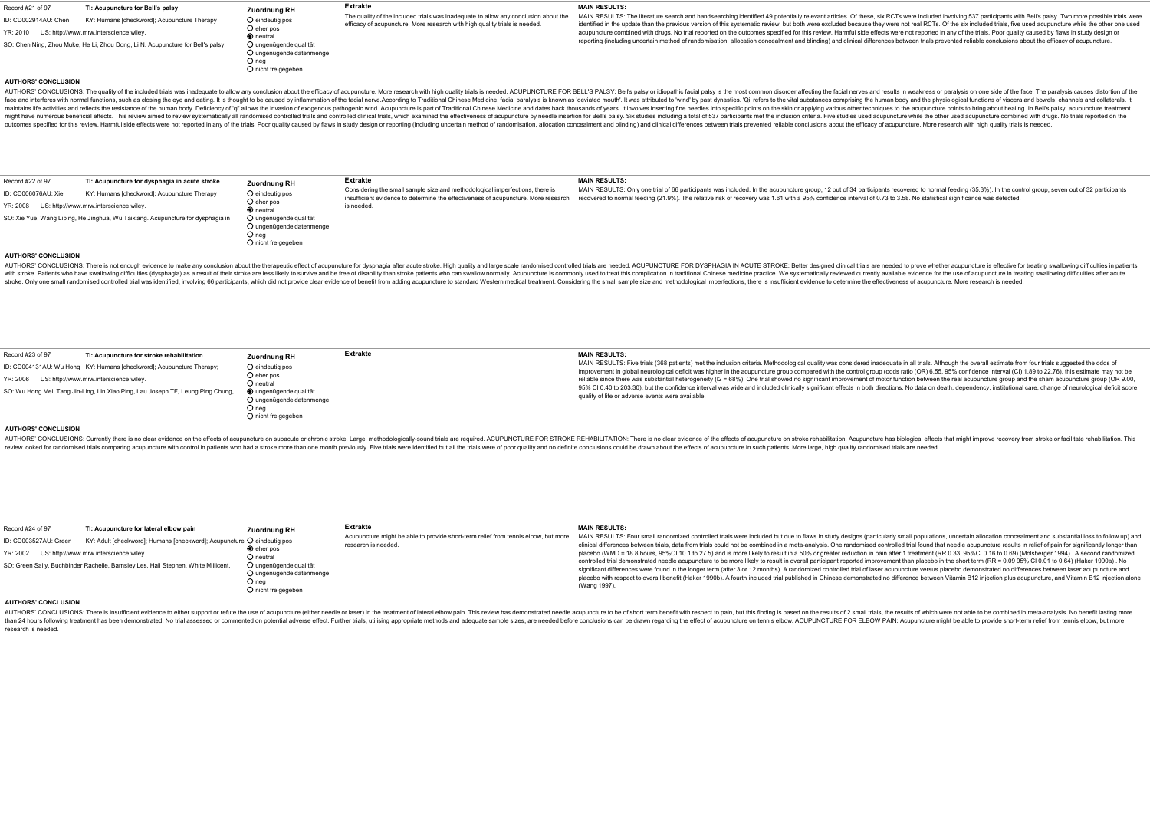Indequate to allow any conclusion about the efficacy of acupuncture. More research with high quality trials is needed. ACUPUNCTURE FOR BELL'S PALSY: Bell's palsy or idiopathic facial palsy is the most common disorder affec Inctional Punnty informal Punntions, such as closing the eye and eating. It is thought to be caused by inflammation of the facial nerve. According to Traditional Chinese Medicine, facial paralysis is known as 'deviated sub maintains life activities and reflects the resistance of the human body. Deficiency of 'qi' allows the invasion of exogenous pathogenic wind. Acupuncture is part of Traditional Chinese Medicine and dates back thousands of might have numerous beneficial effects. This review systematically all randomised controlled trials and controlled trials and controlled clinical trials, which examined the effectiveness of acupuncture by needle insertion outcomes specified for this review. Harmful side effects were not reported in any of the trials. Poor quality caused by flaws in study design or reporting (including uncertain method of randomisation, allocation concealmen

MAIN RESULTS: The literature search and handsearching identified 49 potentially relevant articles. Of these, six RCTs were included involving 537 participants with Bell's palsy. Two more possible trials wereidentified in the update than the previous version of this systematic review, but both were excluded because they were not real RCTs. Of the six included trials, five used acupuncture while the other one used acupuncture combined with drugs. No trial reported on the outcomes specified for this review. Harmful side effects were not reported in any of the trials. Poor quality caused by flaws in study design or reporting (including uncertain method of randomisation, allocation concealment and blinding) and clinical differences between trials prevented reliable conclusions about the efficacy of acupuncture.

#### $TS:$

TS: Only one trial of 66 participants was included. In the acupuncture group, 12 out of 34 participants recovered to normal feeding (35.3%). In the control group, seven out of 32 participants

#### $TS:$

LTS: Five trials (368 patients) met the inclusion criteria. Methodological quality was considered inadequate in all trials. Although the overall estimate from four trials suggested the odds of improvement in global neurological deficit was higher in the acupuncture group compared with the control group (odds ratio (OR) 6.55, 95% confidence interval (CI) 1.89 to 22.76), this estimate may not be reliable since there was substantial heterogeneity (I2 = 68%). One trial showed no significant improvement of motor function between the real acupuncture group and the sham acupuncture group (OR 9.00, to 203.30), but the confidence interval was wide and included clinically significant effects in both directions. No data on death, dependency, institutional care, change of neurological deficit score, or adverse events were available.

#### $LTS:$

| Record #21 of 97          | TI: Acupuncture for Bell's palsy                                                | <b>Zuordnung RH</b>                          | <b>Extrakte</b>                                                |
|---------------------------|---------------------------------------------------------------------------------|----------------------------------------------|----------------------------------------------------------------|
| ID: CD002914AU: Chen      | KY: Humans [checkword]; Acupuncture Therapy                                     | $O$ eindeutig pos                            | The quality of the included to<br>efficacy of acupuncture. Mor |
| YR: 2010                  | US: http://www.mrw.interscience.wiley.                                          | $\overline{O}$ eher pos<br>$\bullet$ neutral |                                                                |
|                           | SO: Chen Ning, Zhou Muke, He Li, Zhou Dong, Li N. Acupuncture for Bell's palsy. | O ungenügende qualität                       |                                                                |
|                           |                                                                                 | O ungenügende datenmenge<br>$O$ neg          |                                                                |
|                           |                                                                                 | O nicht freigegeben                          |                                                                |
| 1117110000000010110101011 |                                                                                 |                                              |                                                                |

rials was inadequate to allow any conclusion about the re research with high quality trials is needed.

# MAIN RESULTS:

#### AUTHORS' CONCLUSION

conclusions: There is not enough evidence to make any conclusion about the therapeutic effect of acupuncture for dysphagia after acute stroke. High quality and large scale randomised controlled trials are needed. ACUTE STR with stroke. Patients who have swallowing difficulties (dysphagia) as a result of their stroke are less likely to survive and be free of disability than stroke patients who can swallow normally. Acupuncture is commonly use stroke. Only one small randomised controlled trial was identified, involving 66 participants, which did not provide clear evidence of benefit from adding acupuncture to standard Western medical treatment. Considering the s

Insufficient evidence to either support or refute the use of acupuncture (either needle or laser) in the treament of lateral elbow pain. This review has demonstrated needle acupuncture to be of short term benefit with resp than 24 hours following treatment has been demonstrated. No trial assessed or commented on potential adverse effect. Further trials, utilising appropriate methods and adequate sample sizes, are needed before conclusions ca research is needed.

| <b>Extrakte</b><br><b>MAIN RESULTS:</b><br>Record #22 of 97<br>TI: Acupuncture for dysphagia in acute stroke<br><b>Zuordnung RH</b><br>MAIN RESULTS: Only one trial of 66 participants was included. In the acupuncture group, 12 out of 34 participants recovered to normal feeding (35.3%). In the co<br>Considering the small sample size and methodological imperfections, there is<br>O eindeutig pos<br>ID: CD006076AU: Xie<br>KY: Humans [checkword]; Acupuncture Therapy<br>recovered to normal feeding (21.9%). The relative risk of recovery was 1.61 with a 95% confidence interval of 0.73 to 3.58. No statistical significance was detected<br>insufficient evidence to determine the effectiveness of acupuncture. More research<br>$\bigcirc$ eher pos<br>YR: 2008 US: http://www.mrw.interscience.wiley.<br>is needed.<br>$\bullet$ neutral<br>SO: Xie Yue, Wang Liping, He Jinghua, Wu Taixiang. Acupuncture for dysphagia in<br>O ungenügende qualität<br>O ungenügende datenmenge<br>$\cup$ nec<br>$\bigcirc$ nicht freigegeben |  |  |  |
|----------------------------------------------------------------------------------------------------------------------------------------------------------------------------------------------------------------------------------------------------------------------------------------------------------------------------------------------------------------------------------------------------------------------------------------------------------------------------------------------------------------------------------------------------------------------------------------------------------------------------------------------------------------------------------------------------------------------------------------------------------------------------------------------------------------------------------------------------------------------------------------------------------------------------------------------------------------------------------------------------------------------------------------------------|--|--|--|
|                                                                                                                                                                                                                                                                                                                                                                                                                                                                                                                                                                                                                                                                                                                                                                                                                                                                                                                                                                                                                                                    |  |  |  |
|                                                                                                                                                                                                                                                                                                                                                                                                                                                                                                                                                                                                                                                                                                                                                                                                                                                                                                                                                                                                                                                    |  |  |  |
|                                                                                                                                                                                                                                                                                                                                                                                                                                                                                                                                                                                                                                                                                                                                                                                                                                                                                                                                                                                                                                                    |  |  |  |
|                                                                                                                                                                                                                                                                                                                                                                                                                                                                                                                                                                                                                                                                                                                                                                                                                                                                                                                                                                                                                                                    |  |  |  |
|                                                                                                                                                                                                                                                                                                                                                                                                                                                                                                                                                                                                                                                                                                                                                                                                                                                                                                                                                                                                                                                    |  |  |  |
|                                                                                                                                                                                                                                                                                                                                                                                                                                                                                                                                                                                                                                                                                                                                                                                                                                                                                                                                                                                                                                                    |  |  |  |
|                                                                                                                                                                                                                                                                                                                                                                                                                                                                                                                                                                                                                                                                                                                                                                                                                                                                                                                                                                                                                                                    |  |  |  |

MAIN RESULTS: Four small randomized controlled trials were included but due to flaws in study designs (particularly small populations, uncertain allocation concealment and substantial loss to follow up) and clinical differences between trials, data from trials could not be combined in a meta-analysis. One randomised controlled trial found that needle acupuncture results in relief of pain for significantly longer than placebo (WMD = 18.8 hours, 95%CI 10.1 to 27.5) and is more likely to result in a 50% or greater reduction in pain after 1 treatment (RR 0.33, 95%CI 0.16 to 0.69) (Molsberger 1994) . A second randomizedal demonstrated needle acupuncture to be more likely to result in overall participant reported improvement than placebo in the short term (RR = 0.09 95% CI 0.01 to 0.64) (Haker 1990a). No significant differences were found in the longer term (after 3 or 12 months). A randomized controlled trial of laser acupuncture versus placebo demonstrated no differences between laser acupuncture and placebo with respect to overall benefit (Haker 1990b). A fourth included trial published in Chinese demonstrated no difference between Vitamin B12 injection plus acupuncture, and Vitamin B12 injection alone(Wang 1997).

#### AUTHORS' CONCLUSION

Interpedance on the effects of acupuncture on subacute or chronic stroke. Large, methodologically-sound trials are required. ACUPUNCTURE FOR STROKE REHABILITATION: There is no clear evidence on stroke end acupuncture on st review looked for randomised trials comparing acupuncture with control in patients who had a stroke more than one month previously. Five trials were identified but all the trials were of poor quality and no definite conclu

| Record #23 of 97                                   | TI: Acupuncture for stroke rehabilitation                                       | <b>Zuordnung RH</b>               | <b>Extrakte</b> | <b>MAIN RESUL</b> |
|----------------------------------------------------|---------------------------------------------------------------------------------|-----------------------------------|-----------------|-------------------|
|                                                    | ID: CD004131AU: Wu Hong KY: Humans [checkword]; Acupuncture Therapy;            | $\bigcirc$ eindeutig pos          |                 | <b>MAIN RESUL</b> |
|                                                    |                                                                                 | $\Box$ eher pos                   |                 | improvement       |
| YR: 2006<br>US: http://www.mrw.interscience.wiley. |                                                                                 | $\Box$ neutral                    |                 | reliable since    |
|                                                    | SO: Wu Hong Mei, Tang Jin-Ling, Lin Xiao Ping, Lau Joseph TF, Leung Ping Chung, | $\bullet$ ungenügende qualität    |                 | 95% CI 0.40 to    |
|                                                    |                                                                                 | $\bigcirc$ ungenügende datenmenge |                 | quality of life o |
|                                                    |                                                                                 | $\bigcirc$ neg                    |                 |                   |

nicht freigegeben

#### AUTHORS' CONCLUSION

| Record #24 of 97      | TI: Acupuncture for lateral elbow pain                                             | <b>Zuordnung RH</b>                                           | <b>Extrakte</b>                                                                                           | <b>MAIN RESUL</b>                                      |
|-----------------------|------------------------------------------------------------------------------------|---------------------------------------------------------------|-----------------------------------------------------------------------------------------------------------|--------------------------------------------------------|
| ID: CD003527AU: Green | KY: Adult [checkword]; Humans [checkword]; Acupuncture $\bigcirc$ eindeutig pos    |                                                               | Acupuncture might be able to provide short-term relief from tennis elbow, but more<br>research is needed. | <b>MAIN RESUL</b><br>clinical differe                  |
| YR: 2002              | US: http://www.mrw.interscience.wiley.                                             | $\bullet$ eher pos<br>.) neutral                              |                                                                                                           | placebo (WMI                                           |
|                       | SO: Green Sally, Buchbinder Rachelle, Barnsley Les, Hall Stephen, White Millicent, | $O$ ungenügende qualität<br>$\bigcirc$ ungenügende datenmenge |                                                                                                           | controlled trial<br>significant diff<br>placebo with r |
|                       |                                                                                    | $\bigcup$ neg                                                 |                                                                                                           | $(111 - 1007)$                                         |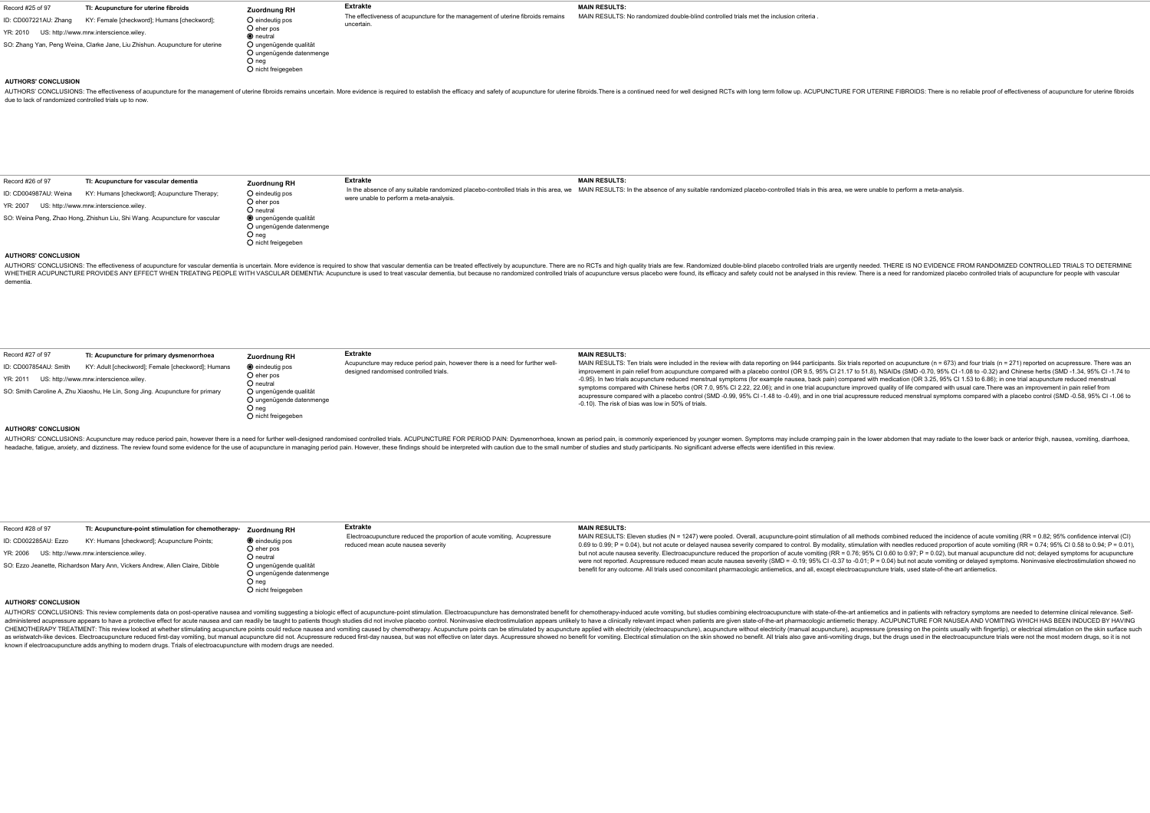| Record #25 of 97<br>ID: CD007221AU: Zhang<br>YR: 2010                                | TI: Acupuncture for uterine fibroids<br>KY: Female [checkword]; Humans [checkword];<br>US: http://www.mrw.interscience.wiley.<br>SO: Zhang Yan, Peng Weina, Clarke Jane, Liu Zhishun. Acupuncture for uterine | <b>Zuordnung RH</b><br>$\bigcirc$ eindeutig pos<br>$\bigcirc$ eher pos<br>$\bullet$ neutral<br>O ungenügende qualität<br>O ungenügende datenmenge<br>$O$ neg<br>$O$ nicht freigegeben | Extrakte<br>The effectiveness of acupuncture for the management of uterine fibroids remains<br>uncertain. | <b>MAIN RESULTS:</b><br>MAIN RESULTS: No randomized double-blind controlled trials met the inclusion criteria                                                                                                                 |
|--------------------------------------------------------------------------------------|---------------------------------------------------------------------------------------------------------------------------------------------------------------------------------------------------------------|---------------------------------------------------------------------------------------------------------------------------------------------------------------------------------------|-----------------------------------------------------------------------------------------------------------|-------------------------------------------------------------------------------------------------------------------------------------------------------------------------------------------------------------------------------|
| <b>AUTHORS' CONCLUSION</b><br>due to lack of randomized controlled trials up to now. |                                                                                                                                                                                                               |                                                                                                                                                                                       |                                                                                                           | AUTHORS' CONCLUSIONS: The effectiveness of acupuncture for the management of uterine fibroids remains uncertain. More evidence is required to establish the efficacy and safety of acupuncture for uterine fibroids. There is |

Incorpancy to the effectiveness of acupuncture for vascular dementia is uncertain. More evidence is required to show that vascular dementia can be treated effectively by acupuncture. There are no RCTs and high quality tria WHETHER ACUPUNCTURE PROVIDES ANY EFFECT WHEN TREATING PEOPLE WITH VASCULAR DEMENTIA: Acupuncture is used to treat vascular dementia, but because no randomized controlled trials of acupuncture versus placebo were found, its dementia.

#### AUTHORS' CONCLUSION

| Record #26 of 97      | TI: Acupuncture for vascular dementia                                      | <b>Zuordnung RH</b>                                                                                      | Extrakte                                | <b>MAIN RESULTS:</b>                                                                                                                                                                                                           |
|-----------------------|----------------------------------------------------------------------------|----------------------------------------------------------------------------------------------------------|-----------------------------------------|--------------------------------------------------------------------------------------------------------------------------------------------------------------------------------------------------------------------------------|
| ID: CD004987AU: Weina | KY: Humans [checkword]; Acupuncture Therapy;                               | O eindeutig pos                                                                                          | were unable to perform a meta-analysis. | In the absence of any suitable randomized placebo-controlled trials in this area, we MAIN RESULTS: In the absence of any suitable randomized placebo-controlled trials in this area, we were unable to perform a meta-analysis |
| YR: 2007              | US: http://www.mrw.interscience.wiley.                                     | $\bigcirc$ eher pos<br>$\cup$ neutral                                                                    |                                         |                                                                                                                                                                                                                                |
|                       | SO: Weina Peng, Zhao Hong, Zhishun Liu, Shi Wang. Acupuncture for vascular | $\bullet$ ungenügende qualität<br>O ungenügende datenmenge<br>$\cup$ ned<br>$\bigcirc$ nicht freigegeben |                                         |                                                                                                                                                                                                                                |
|                       |                                                                            |                                                                                                          |                                         |                                                                                                                                                                                                                                |

#### AUTHORS' CONCLUSION

In however there is a need for further well-designed randomised controlled trials. ACUPUNCTURE FOR PERIOD PAIN: Dysmenorrhoea, known as period pain, is commonly experienced by younger women. Symptoms may include cramping p headache, fatigue, anxiety, and dizziness. The review found some evidence for the use of acupuncture in managing period pain. However, these findings should be interpreted with caution due to the small number of studies an

onclusions: This review complements data on post-operative nausea and vomiting suggesting a biologic effect of acupuncture-point stimulation. Electroacupuncture has demonstrated benefit for chemotherapy-induced acute vomit administered acupressure appears to have a protective effect for acute nausea and can readily be taught to patients though studies did not involve placebo control. Noninvasive electrostimulation appears unlikely to have a ooked at whether stimulating acupuncture points could reduce nausea and vomiting caused by chemotherapy. Acupuncture points can be stimulated by acupuncture, acupuncture applied with electricity (manual acupuncture), acupu as wristwatch-like devices. Electroacupuncture reduced first-day vomiting, but manual acupuncture educed first-day vomiting, but manual acupuncture did not. Acupressure showed no benefit for vomiting. Electrical stimulatio known if electroacupuncture adds anything to modern drugs. Trials of electroacupuncture with modern drugs are needed.

| Record #27 of 97                  | TI: Acupuncture for primary dysmenorrhoea                                                   | <b>Zuordnung RH</b>                                                           | <b>Extrakte</b>                                                                                                         | <b>MAIN RESULT</b>                                      |
|-----------------------------------|---------------------------------------------------------------------------------------------|-------------------------------------------------------------------------------|-------------------------------------------------------------------------------------------------------------------------|---------------------------------------------------------|
| ID: CD007854AU: Smith<br>YR: 2011 | KY: Adult [checkword]; Female [checkword]; Humans<br>US: http://www.mrw.interscience.wiley. | $\bullet$ eindeutig pos<br>$\mathsf D$ eher pos<br>$\supset$ neutral          | Acupuncture may reduce period pain, however there is a need for further well-<br>designed randomised controlled trials. | <b>MAIN RESULT</b><br>improvement i<br>-0.95). In two t |
|                                   | SO: Smith Caroline A, Zhu Xiaoshu, He Lin, Song Jing. Acupuncture for primary               | $\bigcirc$ ungenügende qualität<br>$\bigcirc$ ungenügende datenmenge<br>) nea |                                                                                                                         | symptoms con<br>acupressure c<br>-0.10). The risl       |

MAIN RESULTS: Eleven studies (N = 1247) were pooled. Overall, acupuncture-point stimulation of all methods combined reduced the incidence of acute vomiting (RR = 0.82; 95% confidence interval (CI) 0.69 to 0.99; P = 0.04), but not acute or delayed nausea severity compared to control. By modality, stimulation with needles reduced proportion of acute vomiting (RR = 0.74; 95% CI 0.58 to 0.94; P = 0.01), but not acute nausea severity. Electroacupuncture reduced the proportion of acute vomiting (RR = 0.76; 95% CI 0.60 to 0.97; P = 0.02), but manual acupuncture did not; delayed symptoms for acupuncture were not reported. Acupressure reduced mean acute nausea severity (SMD = -0.19; 95% CI -0.37 to -0.01; P = 0.04) but not acute vomiting or delayed symptoms. Noninvasive electrostimulation showed no benefit for any outcome. All trials used concomitant pharmacologic antiemetics, and all, except electroacupuncture trials, used state-of-the-art antiemetics.

- O neg
- nicht freigegeben

is a continued need for well designed RCTs with long term follow up. ACUPUNCTURE FOR UTERINE FIBROIDS: There is no reliable proof of effectiveness of acupuncture for uterine fibroids

#### $LTS:$

#### $TS:$

TS: Ten trials were included in the review with data reporting on 944 participants. Six trials reported on acupuncture (n = 673) and four trials (n = 271) reported on acupressure. There was an improvement in pain relief from acupuncture compared with a placebo control (OR 9.5, 95% CI 21.17 to 51.8), NSAIDs (SMD -0.70, 95% CI -1.08 to -0.32) and Chinese herbs (SMD -1.34, 95% CI -1.74 totrials acupuncture reduced menstrual symptoms (for example nausea, back pain) compared with medication (OR 3.25, 95% CI 1.53 to 6.86); in one trial acupuncture reduced menstrual mpared with Chinese herbs (OR 7.0, 95% CI 2.22, 22.06); and in one trial acupuncture improved quality of life compared with usual care. There was an improvement in pain relief from acupressure compared with a placebo control (SMD -0.99, 95% CI -1.48 to -0.49), and in one trial acupressure reduced menstrual symptoms compared with a placebo control (SMD -0.58, 95% CI -1.06 tok of bias was low in 50% of trials.

#### $TS:$

nicht freigegeben

#### AUTHORS' CONCLUSION

| Record #28 of 97     | TI: Acupuncture-point stimulation for chemotherapy-                          | <b>Zuordnung RH</b>                      | <b>Extrakte</b>                                                                                                | <b>MAIN RESUL</b>                    |
|----------------------|------------------------------------------------------------------------------|------------------------------------------|----------------------------------------------------------------------------------------------------------------|--------------------------------------|
| ID: CD002285AU: Ezzo | KY: Humans [checkword]; Acupuncture Points;                                  | $\bullet$ eindeutig pos                  | Electroacupuncture reduced the proportion of acute vomiting, Acupressure<br>reduced mean acute nausea severity | <b>MAIN RESUL</b><br>0.69 to 0.99; F |
| YR: 2006             | US: http://www.mrw.interscience.wiley.                                       | $\bigcirc$ eher pos<br>$\supset$ neutral |                                                                                                                | but not acute r                      |
|                      | SO: Ezzo Jeanette, Richardson Mary Ann, Vickers Andrew, Allen Claire, Dibble | O ungenügende qualität                   |                                                                                                                | were not repor<br>henefit for any    |

ungenügende datenmenge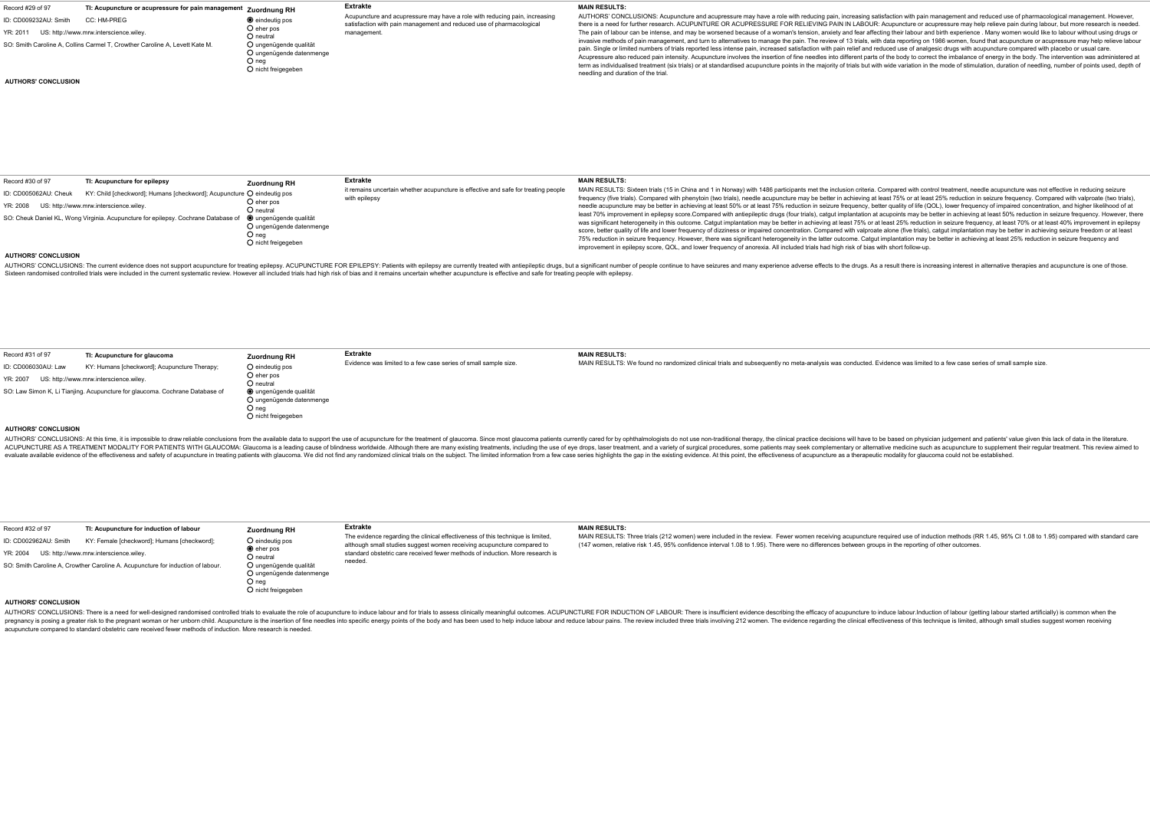| Record #29 of 97                  | TI: Acupuncture or acupressure for pain management Zuordnung RH             |                                                                                                                                     | <b>Extrakte</b>                                                                                                                                                   | <b>MAIN RESUL</b>                                                  |
|-----------------------------------|-----------------------------------------------------------------------------|-------------------------------------------------------------------------------------------------------------------------------------|-------------------------------------------------------------------------------------------------------------------------------------------------------------------|--------------------------------------------------------------------|
| ID: CD009232AU: Smith<br>YR: 2011 | CC: HM-PREG<br>US: http://www.mrw.interscience.wiley.                       | $\bullet$ eindeutig pos<br>$\bigcirc$ eher pos                                                                                      | Acupuncture and acupressure may have a role with reducing pain, increasing<br>satisfaction with pain management and reduced use of pharmacological<br>management. | <b>AUTHORS'C</b><br>there is a nee<br>The pain of la               |
|                                   | SO: Smith Caroline A, Collins Carmel T, Crowther Caroline A, Levett Kate M. | $\bigcirc$ neutral<br>$\bigcirc$ ungenügende qualität<br>O ungenügende datenmenge<br>$\bigcirc$ neg<br>$\bigcirc$ nicht freigegeben |                                                                                                                                                                   | invasive meth<br>pain. Single o<br>Acupressure:<br>term as indivi- |
| <b>AUTHORS' CONCLUSION</b>        |                                                                             |                                                                                                                                     |                                                                                                                                                                   | needling and                                                       |
|                                   |                                                                             |                                                                                                                                     |                                                                                                                                                                   |                                                                    |

ONCLUSIONS: The current evidence does not support acupuncture for treating epilepsy. ACUPUNCTURE FOR EPILEPSY: Patients with epilepsy are currently treated with antiepileptic drugs, but a significant number of people conti Sixteen randomised controlled trials were included in the current systematic review. However all included trials had high risk of bias and it remains uncertain whether acupuncture is effective and safe for treating people

| Record #30 of 97<br>TI: Acupuncture for epilepsy                                                                                                                                                                                                     | <b>Zuordnung RH</b>                                                                                                                                  | <b>Extrakte</b>                                                                                     | <b>MAIN RESUL</b>                                                                                                                     |
|------------------------------------------------------------------------------------------------------------------------------------------------------------------------------------------------------------------------------------------------------|------------------------------------------------------------------------------------------------------------------------------------------------------|-----------------------------------------------------------------------------------------------------|---------------------------------------------------------------------------------------------------------------------------------------|
| KY: Child [checkword]; Humans [checkword]; Acupuncture $\bigcirc$ eindeutig pos<br>ID: CD005062AU: Cheuk<br>YR: 2008<br>US: http://www.mrw.interscience.wiley.<br>SO: Cheuk Daniel KL, Wong Virginia. Acupuncture for epilepsy. Cochrane Database of | $\bigcirc$ eher pos<br>$\bigcirc$ neutral .<br>$\bullet$ ungenügende qualität<br>$O$ ungenügende datenmenge<br>O neg<br>$\bigcirc$ nicht freigegeben | it remains uncertain whether acupuncture is effective and safe for treating people<br>with epilepsy | <b>MAIN RESUL</b><br>frequency (fiv<br>needle acupu<br>least 70% im<br>was significar<br>score, better<br>75% reductio<br>improvement |
|                                                                                                                                                                                                                                                      |                                                                                                                                                      |                                                                                                     |                                                                                                                                       |

DIMUTHORS' CONCLUSIONS: There is a need for well-designed randomised controlled trials to evaluate the role of acupuncture to induce labour and for trials to assess clinically meaningful outcomes. ACUPUNCTION OF LABOUR: Th pregnancy is posing a greater risk to the pregnant woman or her unborn child. Acupuncture is the insertion of fine needles into specific energy points of the body and has been used to help induce labour pains. The review i acupuncture compared to standard obstetric care received fewer methods of induction. More research is needed.

#### $LTS:$

CONCLUSIONS: Acupuncture and acupressure may have a role with reducing pain, increasing satisfaction with pain management and reduced use of pharmacological management. However, ed for further research. ACUPUNTURE OR ACUPRESSURE FOR RELIEVING PAIN IN LABOUR: Acupuncture or acupressure may help relieve pain during labour, but more research is needed. abour can be intense, and may be worsened because of a woman's tension, anxiety and fear affecting their labour and birth experience . Many women would like to labour without using drugs or invasive methods of pain management, and turn to alternatives to manage the pain. The review of 13 trials, with data reporting on 1986 women, found that acupuncture or acupressure may help relieve labour or limited numbers of trials reported less intense pain, increased satisfaction with pain relief and reduced use of analgesic drugs with acupuncture compared with placebo or usual care. also reduced pain intensity. Acupuncture involves the insertion of fine needles into different parts of the body to correct the imbalance of energy in the body. The intervention was administered at idualised treatment (six trials) or at standardised acupuncture points in the majority of trials but with wide variation in the mode of stimulation, duration of needling, number of points used, depth of d duration of the trial.

#### $LTS:$

LTS: Sixteen trials (15 in China and 1 in Norway) with 1486 participants met the inclusion criteria. Compared with control treatment, needle acupuncture was not effective in reducing seizure frequency (five trials). Compared with phenytoin (two trials), needle acupuncture may be better in achieving at least 75% or at least 25% reduction in seizure frequency. Compared with valproate (two trials), uncture may be better in achieving at least 50% or at least 75% reduction in seizure frequency, better quality of life (QOL), lower frequency of impaired concentration, and higher likelihood of at nprovement in epilepsy score.Compared with antiepileptic drugs (four trials), catgut implantation at acupoints may be better in achieving at least 50% reduction in seizure frequency. However, there was significant heterogeneity in this outcome. Catgut implantation may be better in achieving at least 75% or at least 25% reduction in seizure frequency, at least 70% or at least 40% improvement in epilepsy r quality of life and lower frequency of dizziness or impaired concentration. Compared with valproate alone (five trials), catgut implantation may be better in achieving seizure freedom or at least on in seizure frequency. However, there was significant heterogeneity in the latter outcome. Catgut implantation may be better in achieving at least 25% reduction in seizure frequency and It in epilepsy score, QOL, and lower frequency of anorexia. All included trials had high risk of bias with short follow-up.

#### $TS:$

MAIN RESULTS: Three trials (212 women) were included in the review. Fewer women receiving acupuncture required use of induction methods (RR 1.45, 95% CI 1.08 to 1.95) compared with standard careeindeutig pos and though small studies suggest women receiving acupuncture compared to (147 women, relative risk 1.45, 95% confidence interval 1.08 to 1.95). There were no differences between groups in the reporting of oth

- O neutral
- ungenügende qualität
- ungenügende datenmenge
- O neg
- nicht freigegeben

#### AUTHORS' CONCLUSION

Inpossible to draw reliable conclusions from the available data to support the use of acupuncture for the use of acupuncture for the treatment of glaucoma. Since most glaucoma patients currently cared for by ophthalmologis ACUPUNCTURE AS A TREATMENT MODALITY FOR PATIENTS WITH GLAUCOMA: Glaucoma is a leading cause of blindness worldwide. Although there are many existing treatments, including the use of eye drops, laser treatment, and a variet evaluate available evidence of the effectiveness and safety of acupuncture in treating patients with glaucoma. We did not find any randomized clinical trials on the subject. The limited information from a few case series h

| Record #31 of 97    | TI: Acupuncture for glaucoma                                                 | Zuordnung RH                              | <b>Extrakte</b>                                                 | <b>MAIN RESULTS:</b>                                                                                                                                                 |
|---------------------|------------------------------------------------------------------------------|-------------------------------------------|-----------------------------------------------------------------|----------------------------------------------------------------------------------------------------------------------------------------------------------------------|
| ID: CD006030AU: Law | KY: Humans [checkword]; Acupuncture Therapy;                                 | O eindeutig pos                           | Evidence was limited to a few case series of small sample size. | MAIN RESULTS: We found no randomized clinical trials and subsequently no meta-analysis was conducted. Evidence was limited to a few case series of small sample size |
|                     | YR: 2007 US: http://www.mrw.interscience.wiley.                              | $\overline{O}$ eher pos<br>$\cup$ neutral |                                                                 |                                                                                                                                                                      |
|                     | SO: Law Simon K, Li Tianjing. Acupuncture for glaucoma. Cochrane Database of | $\bullet$ ungenügende qualität            |                                                                 |                                                                                                                                                                      |

ungenügende datenmenge

nicht freigegeben

Record #32 of 97TI: Acupuncture for induction of labour

SO: Smith Caroline A, Crowther Caroline A. Acupuncture for induction of labour.

ID: CD002962AU: SmithYR: 2004 US: http://www.mrw.interscience.wiley. KY: Female [checkword]; Humans [checkword];

#### AUTHORS' CONCLUSION

MAIN RESULTS:

#### Extrakte

 The evidence regarding the clinical effectiveness of this technique is limited,although small studies suggest women receiving acupuncture compared to standard obstetric care received fewer methods of induction. More research isneeded.

#### Zuordnung RH

- 
- 

 $O$  neg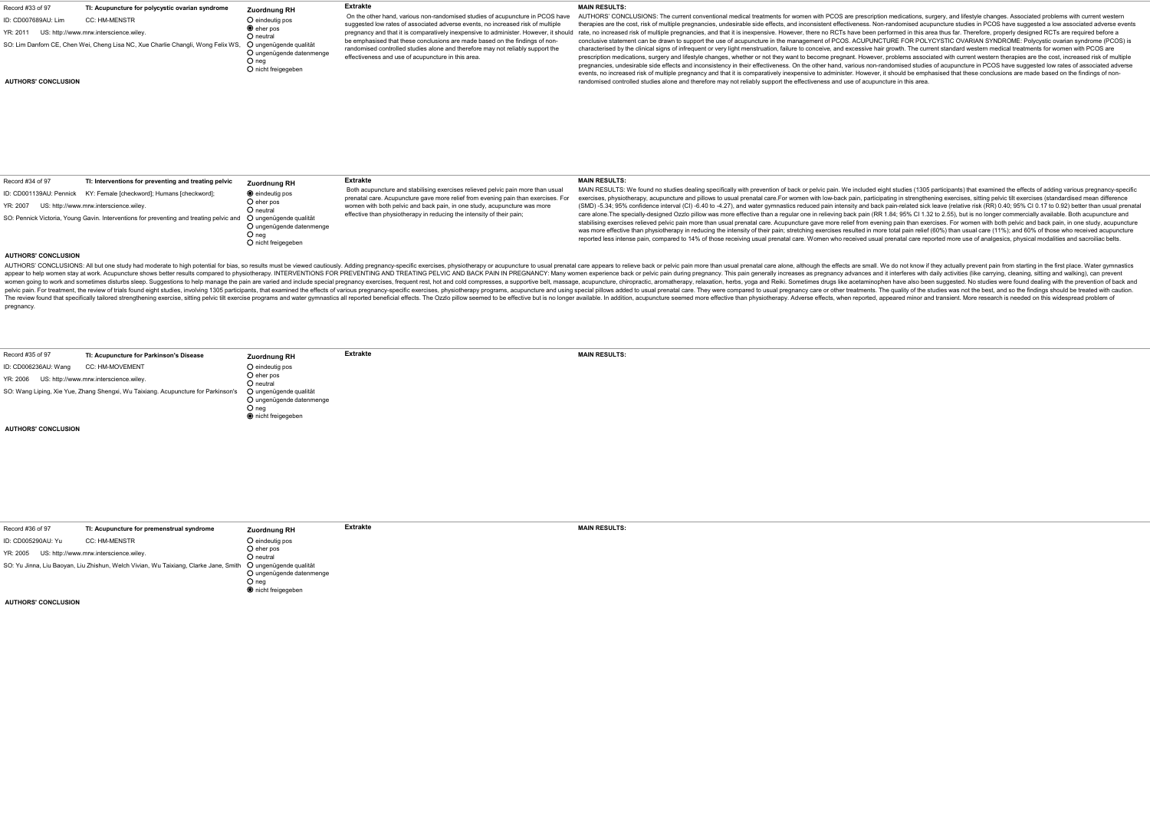Daurented to high potential for bias, so results must be viewed cautiously. Adding pregnancy-specific exercises, physiotherapy or acupuncture to all prental care alone, although the effects are small. We do not know if the INTERVENTIONS FOR PREVENTIONS POR PORCY: Many women experiancy at work. Acupuncture shows better results compared to physiotherapy. INTERVENTIONS FOR PREVENTING AND TREATING PELVIC AND BACK PAIN IN PREGNANCY: Many women ex women going to work and sometimes disturbs sleep. Suggestions to help manage the pain are varied and include special pregnancy exercises, frequent rest, hot and cold compresses, a supportive belt, massage, acupuncture, chi Incorpency care or ompared prog preciso of the studies, involving 1305 participants, that examined the effects of various pregnancy-specific exercises, physiotherapy programs, acupuncture and using special pillows added to The review found that specifically tailored strengthening exercise, sitting pelvic tilt exercise, sitting pelvic tilt exercise programs and water gymnastics all reported beneficial effective but is no longer available. In pregnancy.

#### AUTHORS' CONCLUSION

| Record #33 of 97<br>ID: CD007689AU: Lim<br>YR: 2011 | TI: Acupuncture for polycystic ovarian syndrome<br><b>CC: HM-MENSTR</b><br>US: http://www.mrw.interscience.wiley.<br>SO: Lim Danforn CE, Chen Wei, Cheng Lisa NC, Xue Charlie Changli, Wong Felix WS, | <b>Zuordnung RH</b><br>O eindeutig pos<br>$\bullet$ eher pos<br>$O$ neutral<br>O ungenügende qualität<br>O ungenügende datenmenge<br>$O$ neg | <b>Extrakte</b><br>On the other hand, various non-randomised studies of acupuncture in PCOS have<br>suggested low rates of associated adverse events, no increased risk of multiple<br>pregnancy and that it is comparatively inexpensive to administer. However, it should<br>be emphasised that these conclusions are made based on the findings of non-<br>randomised controlled studies alone and therefore may not reliably support the<br>effectiveness and use of acupuncture in this area. | <b>MAIN RESUL</b><br><b>AUTHORS' C</b><br>therapies are<br>rate, no incre<br>conclusive sta<br>characterised<br>prescription n |
|-----------------------------------------------------|-------------------------------------------------------------------------------------------------------------------------------------------------------------------------------------------------------|----------------------------------------------------------------------------------------------------------------------------------------------|----------------------------------------------------------------------------------------------------------------------------------------------------------------------------------------------------------------------------------------------------------------------------------------------------------------------------------------------------------------------------------------------------------------------------------------------------------------------------------------------------|--------------------------------------------------------------------------------------------------------------------------------|
| <b>AUTHORS' CONCLUSION</b>                          |                                                                                                                                                                                                       | O nicht freigegeben                                                                                                                          |                                                                                                                                                                                                                                                                                                                                                                                                                                                                                                    | pregnancies,<br>events, no ind<br>randomised o                                                                                 |
| Record #34 of 97                                    | TI: Interventions for preventing and treating pelvic                                                                                                                                                  | <b>Zuordnung RH</b>                                                                                                                          | <b>Extrakte</b>                                                                                                                                                                                                                                                                                                                                                                                                                                                                                    | <b>MAIN RESUL</b>                                                                                                              |
| ID: CD001139AU: Pennick<br>YR: 2007                 | KY: Female [checkword]; Humans [checkword];<br>US: http://www.mrw.interscience.wiley.                                                                                                                 | $\bullet$ eindeutig pos<br>$\overline{O}$ eher pos<br>$O$ neutral                                                                            | Both acupuncture and stabilising exercises relieved pelvic pain more than usual<br>prenatal care. Acupuncture gave more relief from evening pain than exercises. For<br>women with both pelvic and back pain, in one study, acupuncture was more                                                                                                                                                                                                                                                   | <b>MAIN RESUL</b><br>exercises, ph<br>$(SMD) - 5.34;$                                                                          |
|                                                     | SO: Pennick Victoria, Young Gavin. Interventions for preventing and treating pelvic and                                                                                                               | O ungenügende qualität<br>O ungenügende datenmenge<br>$O$ neg<br>O nicht freigegeben                                                         | effective than physiotherapy in reducing the intensity of their pain;                                                                                                                                                                                                                                                                                                                                                                                                                              | care alone. Th<br>stabilising ex<br>was more eff<br>reported less                                                              |

| Record #35 of 97     | TI: Acupuncture for Parkinson's Disease                                                                                     | <b>Zuordnung RH</b>                                                                                                      | <b>Extrakte</b> | <b>MAIN RESUL</b> |
|----------------------|-----------------------------------------------------------------------------------------------------------------------------|--------------------------------------------------------------------------------------------------------------------------|-----------------|-------------------|
| ID: CD006236AU: Wang | <b>CC: HM-MOVEMENT</b>                                                                                                      | $\bigcirc$ eindeutig pos<br>$\bigcirc$ eher pos                                                                          |                 |                   |
| YR: 2006             | US: http://www.mrw.interscience.wiley.<br>SO: Wang Liping, Xie Yue, Zhang Shengxi, Wu Taixiang. Acupuncture for Parkinson's | $\bigcirc$ neutral<br>O ungenügende qualität<br>O ungenügende datenmenge<br>$\bigcirc$ neg<br><b>●</b> nicht freigegeben |                 |                   |

#### AUTHORS' CONCLUSION

| Record #36 of 97   | TI: Acupuncture for premenstrual syndrome                                                                   | <b>Zuordnung RH</b>                        | <b>Extrakte</b> | <b>MAIN RESU</b> |
|--------------------|-------------------------------------------------------------------------------------------------------------|--------------------------------------------|-----------------|------------------|
| ID: CD005290AU: Yu | CC: HM-MENSTR                                                                                               | $\bigcirc$ eindeutig pos                   |                 |                  |
| YR: 2005           | US: http://www.mrw.interscience.wiley.                                                                      | $\bigcirc$ eher pos<br>$\bigcirc$ neutral  |                 |                  |
|                    | SO: Yu Jinna, Liu Baoyan, Liu Zhishun, Welch Vivian, Wu Taixiang, Clarke Jane, Smith O ungenügende qualität | O ungenügende datenmenge<br>$\bigcirc$ neg |                 |                  |

#### AUTHORS' CONCLUSION

#### LTS:

CONCLUSIONS: The current conventional medical treatments for women with PCOS are prescription medications, surgery, and lifestyle changes. Associated problems with current western therapies are the cost, risk of multiple pregnancies, undesirable side effects, and inconsistent effectiveness. Non-randomised acupuncture studies in PCOS have suggested a low associated adverse eventseased risk of multiple pregnancies, and that it is inexpensive. However, there no RCTs have been performed in this area thus far. Therefore, properly designed RCTs are required before a conclusive statement can be drawn to support the use of acupuncture in the management of PCOS. ACUPUNCTURE FOR POLYCYSTIC OVARIAN SYNDROME: Polycystic ovarian syndrome (PCOS) isd by the clinical signs of infrequent or very light menstruation, failure to conceive, and excessive hair growth. The current standard western medical treatments for women with PCOS are prescription medications, surgery and lifestyle changes, whether or not they want to become pregnant. However, problems associated with current western therapies are the cost, increased risk of multiplepregnancies, undesirable side effects and inconsistency in their effectiveness. On the other hand, various non-randomised studies of acupuncture in PCOS have suggested low rates of associated adverse ncreased risk of multiple pregnancy and that it is comparatively inexpensive to administer. However, it should be emphasised that these conclusions are made based on the findings of noncontrolled studies alone and therefore may not reliably support the effectiveness and use of acupuncture in this area.

#### LTS:

LTS: We found no studies dealing specifically with prevention of back or pelvic pain. We included eight studies (1305 participants) that examined the effects of adding various pregnancy-specific hysiotherapy, acupuncture and pillows to usual prenatal care.For women with low-back pain, participating in strengthening exercises, sitting pelvic tilt exercises (standardised mean difference (SMD) -5.34; 95% confidence interval (CI) -6.40 to -4.27), and water gymnastics reduced pain intensity and back pain-related sick leave (relative risk (RR) 0.40; 95% CI 0.17 to 0.92) better than usual prenatal he specially-designed Ozzlo pillow was more effective than a regular one in relieving back pain (RR 1.84; 95% CI 1.32 to 2.55), but is no longer commercially available. Both acupuncture and stabilising exercises relieved pelvic pain more than usual prenatal care. Acupuncture gave more relief from evening pain than exercises. For women with both pelvic and back pain, in one study, acupuncture was more effective than physiotherapy in reducing the intensity of their pain; stretching exercises resulted in more total pain relief (60%) than usual care (11%); and 60% of those who received acupuncture s intense pain, compared to 14% of those receiving usual prenatal care. Women who received usual prenatal care reported more use of analgesics, physical modalities and sacroiliac belts.

 $TS:$ 

**ILTS:**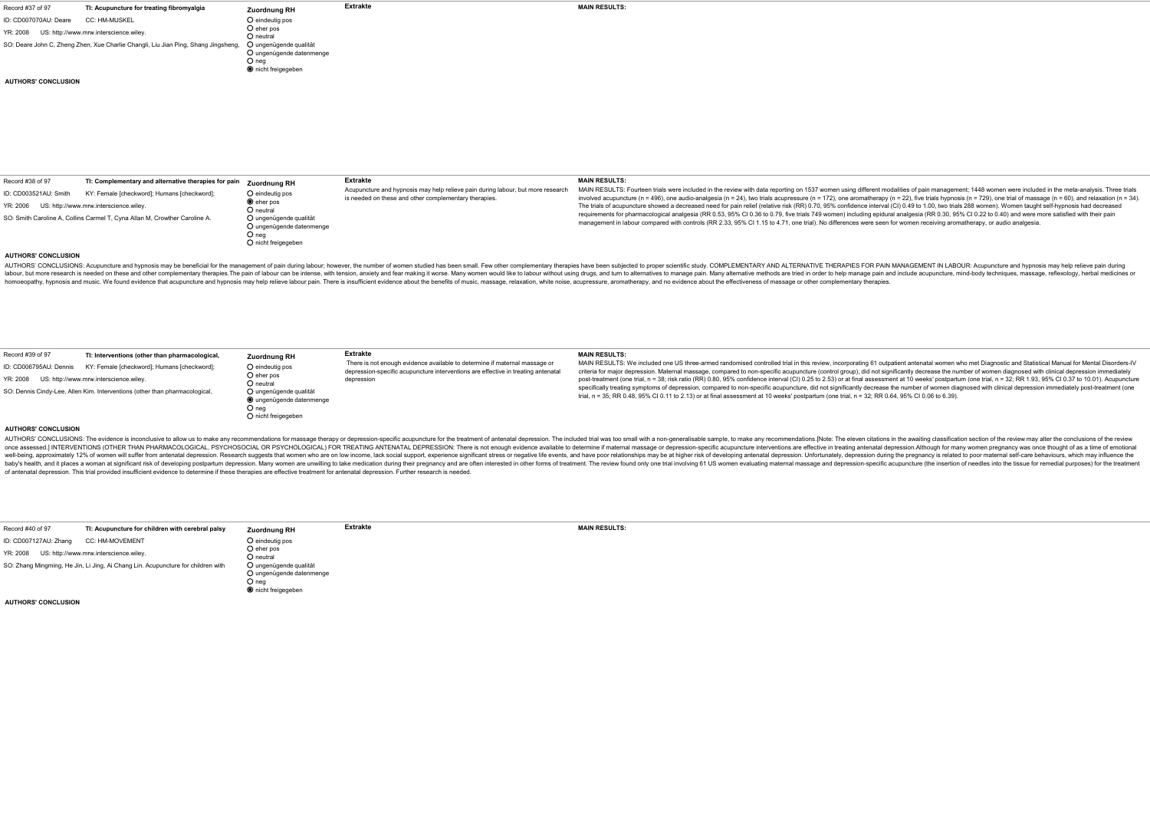| Record #37 of 97           | TI: Acupuncture for treating fibromyalgia                                          | <b>Zuordnung RH</b>                                                                         | <b>Extrakte</b>                                                                                                                          | <b>MAIN RESUL</b>                  |
|----------------------------|------------------------------------------------------------------------------------|---------------------------------------------------------------------------------------------|------------------------------------------------------------------------------------------------------------------------------------------|------------------------------------|
| ID: CD007070AU: Deare      | <b>CC: HM-MUSKEL</b>                                                               | O eindeutig pos                                                                             |                                                                                                                                          |                                    |
| YR: 2008                   | US: http://www.mrw.interscience.wiley.                                             | O eher pos<br>$O$ neutral                                                                   |                                                                                                                                          |                                    |
|                            | SO: Deare John C, Zheng Zhen, Xue Charlie Changli, Liu Jian Ping, Shang Jingsheng, | O ungenügende qualität<br>O ungenügende datenmenge<br>$O$ neg<br><b>O</b> nicht freigegeben |                                                                                                                                          |                                    |
| <b>AUTHORS' CONCLUSION</b> |                                                                                    |                                                                                             |                                                                                                                                          |                                    |
|                            |                                                                                    |                                                                                             |                                                                                                                                          |                                    |
|                            |                                                                                    |                                                                                             |                                                                                                                                          |                                    |
|                            |                                                                                    |                                                                                             |                                                                                                                                          |                                    |
|                            |                                                                                    |                                                                                             |                                                                                                                                          |                                    |
|                            |                                                                                    |                                                                                             |                                                                                                                                          |                                    |
| Record #38 of 97           | TI: Complementary and alternative therapies for pain                               | <b>Zuordnung RH</b>                                                                         | <b>Extrakte</b>                                                                                                                          | <b>MAIN RESUL</b>                  |
| ID: CD003521AU: Smith      | KY: Female [checkword]; Humans [checkword];                                        | O eindeutig pos                                                                             | Acupuncture and hypnosis may help relieve pain during labour, but more research<br>is needed on these and other complementary therapies. | <b>MAIN RESUL</b><br>involved acup |
| YR: 2006                   | US: http://www.mrw.interscience.wiley.                                             | $\bullet$ eher pos<br>$O$ neutral                                                           |                                                                                                                                          | The trials of a                    |
|                            | SO: Smith Caroline A, Collins Carmel T, Cyna Allan M, Crowther Caroline A.         | O ungenügende qualität<br>O ungenügende datenmenge<br>$O$ neg<br>O nicht freigegeben        |                                                                                                                                          | requirements<br>management         |
| <b>AUTHORS' CONCLUSION</b> |                                                                                    |                                                                                             |                                                                                                                                          |                                    |

En Substrance and hypnosis may be beneficial for the management of pain during labour; however, the number of women studied has been small. Few other complementary therapies have been subjected to proper scientific study. on these and other complementary therapies.The pain of labour can be intense, with tension, anxiety and fear making it worse. Many women would like to labour without using drugs, and turn to alternatives to manage pain. Ma homoeopathy, hypnosis and music. We found evidence that acupuncture and hypnosis may help relieve labour pain. There is insufficient evidence about the benefits of music, massage, relaxation, white noise, acupressure, arom

ID: CD006795AU: Dennis KY: Female [checkword]; Humans [checkword]; YR: 2008 US: http://www.mrw.interscience.wiley.

Inconclusions: The evidence is inconclusive to allow us to make any recommendations for massage therapy or depression-specific acupuncture for the treatment of antenatal depression. The included trial was too small with a INTERVENTIONS (OTHER THAN PHARMACOLOGICAL, PSYCHOSOCIAL OR PSYCHOLOGICAL) FOR TREATING ANTENATAL DEPRESSION: There is not enough evidence available to determine if maternal massage or depression-specific acupuncture interv well-being, approximately 12% of women will suffer from antenatal depression. Research suggests that women who are on low income, lack social support, experience significant stress or negative life events, and have poor re notel onterpending onche the inversion. Many women are formal many of the alth, and it places a woman at significant risk of developing postpartum depression. Many women are unwilling to take medication during their pregna of antenatal depression. This trial provided insufficient evidence to determine if these therapies are effective treatment for antenatal depression. Further research is needed.

Record #39 of 97TI: Interventions (other than pharmacological,

SO: Dennis Cindy-Lee, Allen Kim. Interventions (other than pharmacological,

#### AUTHORS' CONCLUSION

- O eindeutig pos
- $\overline{O}$  eher pos
- 
- O neutral
- ungenügende qualitätungenügende datenmenge
- $O$  neg
- nicht freigegeben

MAIN RESULTS:

MAIN RESULTS: We included one US three-armed randomised controlled trial in this review, incorporating 61 outpatient antenatal women who met Diagnostic and Statistical Manual for Mental Disorders-IV criteria for major depression. Maternal massage, compared to non-specific acupuncture (control group), did not significantly decrease the number of women diagnosed with clinical depression immediatelypost-treatment (one trial, n = 38; risk ratio (RR) 0.80, 95% confidence interval (CI) 0.25 to 2.53) or at final assessment at 10 weeks' postpartum (one trial, n = 32; RR 1.93, 95% CI 0.37 to 10.01). Acupuncture specifically treating symptoms of depression, compared to non-specific acupuncture, did not significantly decrease the number of women diagnosed with clinical depression immediately post-treatment (one trial, n = 35; RR 0.48, 95% CI 0.11 to 2.13) or at final assessment at 10 weeks' postpartum (one trial, n = 32; RR 0.64, 95% CI 0.06 to 6.39).

eindeutig pos  $\bigcirc$  eher pos neutral

ungenügende qualität

ungenügende datenmenge

 $O$  neg

nicht freigegeben

Extrakte There is not enough evidence available to determine if maternal massage or depression-specific acupuncture interventions are effective in treating antenataldepression

Zuordnung RH

Record #40 of 97ID: CD007127AU: ZhangTI: Acupuncture for children with cerebral palsyYR: 2008 US: http://www.mrw.interscience.wiley. CC: HM-MOVEMENT

SO: Zhang Mingming, He Jin, Li Jing, Ai Chang Lin. Acupuncture for children with

AUTHORS' CONCLUSION

#### LTS:

LTS: Fourteen trials were included in the review with data reporting on 1537 women using different modalities of pain management; 1448 women were included in the meta-analysis. Three trials involved acupuncture (n = 496), one audio-analgesia (n = 24), two trials acupressure (n = 172), one aromatherapy (n = 22), five trials hypnosis (n = 729), one trial of massage (n = 60), and relaxation (n = 34). acupuncture showed a decreased need for pain relief (relative risk (RR) 0.70, 95% confidence interval (CI) 0.49 to 1.00, two trials 288 women). Women taught self-hypnosis had decreased s for pharmacological analgesia (RR 0.53, 95% CI 0.36 to 0.79, five trials 749 women) including epidural analgesia (RR 0.30, 95% CI 0.22 to 0.40) and were more satisfied with their pain t in labour compared with controls (RR 2.33, 95% CI 1.15 to 4.71, one trial). No differences were seen for women receiving aromatherapy, or audio analgesia.

MAIN RESULTS:

Extrakte

Zuordnung RH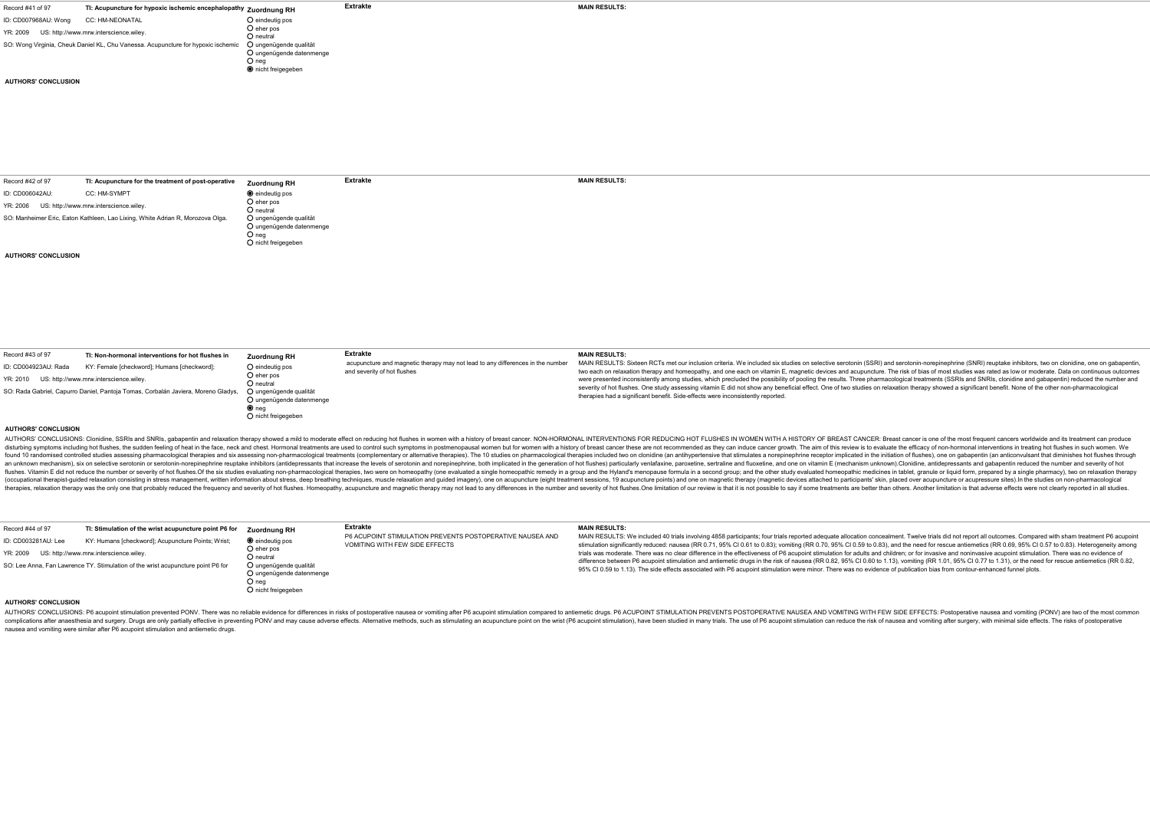| Record #41 of 97           | TI: Acupuncture for hypoxic ischemic encephalopathy Zuordnung RH                  |                                                                                             | <b>Extrakte</b> | <b>MAIN RESUL</b> |
|----------------------------|-----------------------------------------------------------------------------------|---------------------------------------------------------------------------------------------|-----------------|-------------------|
| ID: CD007968AU: Wong       | <b>CC: HM-NEONATAL</b>                                                            | O eindeutig pos                                                                             |                 |                   |
| YR: 2009                   | US: http://www.mrw.interscience.wiley.                                            | O eher pos<br>$O$ neutral                                                                   |                 |                   |
|                            | SO: Wong Virginia, Cheuk Daniel KL, Chu Vanessa. Acupuncture for hypoxic ischemic | O ungenügende qualität<br>O ungenügende datenmenge<br>$O$ neg<br><b>O</b> nicht freigegeben |                 |                   |
| <b>AUTHORS' CONCLUSION</b> |                                                                                   |                                                                                             |                 |                   |
|                            |                                                                                   |                                                                                             |                 |                   |
|                            |                                                                                   |                                                                                             |                 |                   |
|                            |                                                                                   |                                                                                             |                 |                   |
|                            |                                                                                   |                                                                                             |                 |                   |
|                            |                                                                                   |                                                                                             |                 |                   |
|                            |                                                                                   |                                                                                             |                 |                   |
| Record #42 of 97           | TI: Acupuncture for the treatment of post-operative                               | <b>Zuordnung RH</b>                                                                         | <b>Extrakte</b> | <b>MAIN RESUL</b> |
| ID: CD006042AU:            | CC: HM-SYMPT                                                                      | <b>O</b> eindeutig pos                                                                      |                 |                   |
| YR: 2006                   | US: http://www.mrw.interscience.wiley.                                            | O eher pos<br>O neutral                                                                     |                 |                   |
|                            | SO: Manheimer Eric, Eaton Kathleen, Lao Lixing, White Adrian R, Morozova Olga.    | O ungenügende qualität<br>O ungenügende datenmenge<br>$O$ neg<br>O nicht freigegeben        |                 |                   |
| <b>AUTHORS' CONCLUSION</b> |                                                                                   |                                                                                             |                 |                   |

CONCLUSIONS: Clonidine, SSRIs and SNRIs, gabapentin and relaxation therapy showed a mild to moderate effect on reducing hot flushes in women with a history of breast cancer. NON-HORMONAL INTERVENTIONS FOR REDUCING HOT FLUS or induce cancer growth. The aim of this review is to educat in the face, we sudden feeling of heat in the face, neck and chest. Hormonal treatments are used to control such symptoms in postmenopausal women with a history non-pharmacological therapies and six assessing non-pharmacological treatments (complementary or alternative therapies). The 10 studies on pharmacological therapies). The 10 studies on pharmacological therapies included tw an unknown mechanism), six on selective serotonin or serotonin-norepinephrine reuptake inhibitors (antidepressants that increase the levels of serotonin and norepinephrine, both implicated in the generation of hot flushes) The single pharmacy), two on relaxation there plushes. Vitamin E did not reduce the number or severity of hot flushes. Of the six studies evaluating non-pharmacological therapies, two were on homeopathy (one evaluated a si (occupational therapist-guided relaxation consisting in stress management, written information about stress, deep breathing techniques, muscle relaxation and guided imagery), one on acupuncture (eight treatment sessions, 1 Interapies, relaxation therapy was the only one that probably reduced the frequency and severity of hot flushes. Homeopathy, acupuncture and magnetic therapy may not lead to any differences in the number and severity of ho

 MAIN RESULTS: Sixteen RCTs met our inclusion criteria. We included six studies on selective serotonin (SSRI) and serotonin-norepinephrine (SNRI) reuptake inhibitors, two on clonidine, one on gabapentin,elaxation therapy and homeopathy, and one each on vitamin E, magnetic devices and acupuncture. The risk of bias of most studies was rated as low or moderate. Data on continuous outcomes were presented inconsistently among studies, which precluded the possibility of pooling the results. Three pharmacological treatments (SSRIs and SNRIs, clonidine and gabapentin) reduced the number and t flushes. One study assessing vitamin E did not show any beneficial effect. One of two studies on relaxation therapy showed a significant benefit. None of the other non-pharmacological I a significant benefit. Side-effects were inconsistently reported.

#### $TS:$

TS: We included 40 trials involving 4858 participants; four trials reported adequate allocation concealment. Twelve trials did not report all outcomes. Compared with sham treatment P6 acupoint stimulation significantly reduced: nausea (RR 0.71, 95% CI 0.61 to 0.83); vomiting (RR 0.70, 95% CI 0.59 to 0.83), and the need for rescue antiemetics (RR 0.69, 95% CI 0.57 to 0.83). Heterogeneity among lerate. There was no clear difference in the effectiveness of P6 acupoint stimulation for adults and children; or for invasive and noninvasive acupoint stimulation. There was no evidence of difference between P6 acupoint stimulation and antiemetic drugs in the risk of nausea (RR 0.82, 95% CI 0.60 to 1.13), vomiting (RR 1.01, 95% CI 0.77 to 1.31), or the need for rescue antiemetics (RR 0.82, to 1.13). The side effects associated with P6 acupoint stimulation were minor. There was no evidence of publication bias from contour-enhanced funnel plots.

| Record #43 of 97                                   | TI: Non-hormonal interventions for hot flushes in                                 | <b>Zuordnung RH</b>                                                                                                   | <b>Extrakte</b>                                                                                               | <b>MAIN RESUL</b>                   |
|----------------------------------------------------|-----------------------------------------------------------------------------------|-----------------------------------------------------------------------------------------------------------------------|---------------------------------------------------------------------------------------------------------------|-------------------------------------|
| ID: CD004923AU: Rada                               | KY: Female [checkword]; Humans [checkword];                                       | $\bigcirc$ eindeutig pos<br>$\bigcirc$ eher pos                                                                       | acupuncture and magnetic therapy may not lead to any differences in the number<br>and severity of hot flushes | <b>MAIN RESUL</b><br>two each on re |
| YR: 2010<br>US: http://www.mrw.interscience.wiley. | $\bigcirc$ neutral                                                                |                                                                                                                       | were presente<br>severity of hot                                                                              |                                     |
|                                                    | SO: Rada Gabriel, Capurro Daniel, Pantoja Tomas, Corbalán Javiera, Moreno Gladys, | $\bigcirc$ ungenügende qualität<br>$\bigcirc$ ungenügende datenmenge<br>$\bullet$ neg<br>$\bigcirc$ nicht freigegeben |                                                                                                               | therapies had                       |

EQUEL-DISIONS: P6 acupoint stimulation prevented PONV. There was no reliable evidence for differences in risks of postoperative nausea or vomiting after P6 acupoint stimulation compared to antiemetic drugs. P6 ACUPOINT STI complications after anaesthesia and surgery. Drugs are only partially effective in preventing PONV and may cause adverse effects. Alternative methods, such as stimulating an acupuncture point on the wrist (P6 acupoint stim nausea and vomiting were similar after P6 acupoint stimulation and antiemetic drugs.

#### $LTS:$

#### AUTHORS' CONCLUSION

| Record #44 of 97                | TI: Stimulation of the wrist acupuncture point P6 for                                        | <b>Zuordnung RH</b>                                                  | <b>Extrakte</b>                                                                                    | <b>MAIN RESUL</b>                                      |
|---------------------------------|----------------------------------------------------------------------------------------------|----------------------------------------------------------------------|----------------------------------------------------------------------------------------------------|--------------------------------------------------------|
| ID: CD003281AU: Lee<br>YR: 2009 | KY: Humans [checkword]; Acupuncture Points; Wrist;<br>US: http://www.mrw.interscience.wiley. | $\bullet$ eindeutig pos<br>$\bigcirc$ eher pos<br>$\bigcirc$ neutral | P6 ACUPOINT STIMULATION PREVENTS POSTOPERATIVE NAUSEA AND<br><b>VOMITING WITH FEW SIDE EFFECTS</b> | <b>MAIN RESUL</b><br>stimulation sig<br>trials was mod |
|                                 | SO: Lee Anna, Fan Lawrence TY. Stimulation of the wrist acupuncture point P6 for             | O ungenügende qualität<br>$\bigcirc$ ungenügende datenmenge          |                                                                                                    | difference bet<br>95% CI 0.59 to                       |

 $O$  neg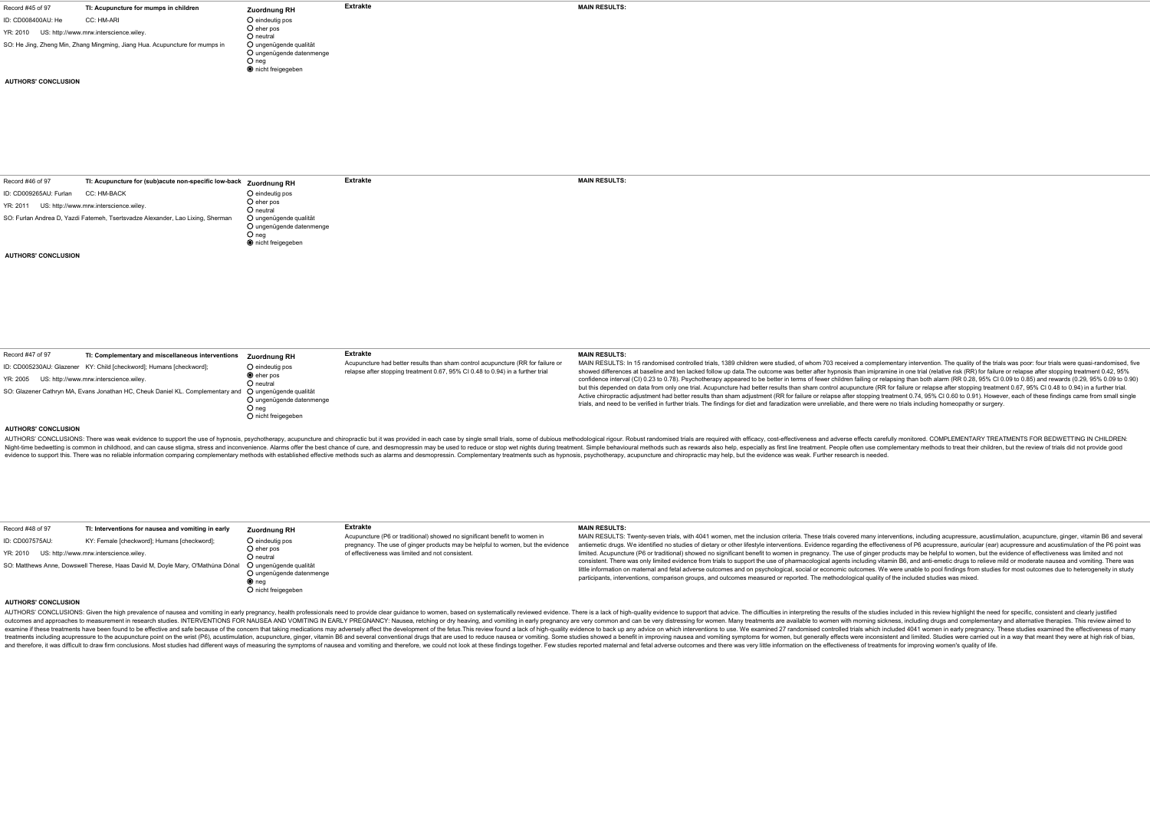| Record #45 of 97           | TI: Acupuncture for mumps in children                                          | <b>Zuordnung RH</b>                                                                          | <b>Extrakte</b> | <b>MAIN RESUL</b> |
|----------------------------|--------------------------------------------------------------------------------|----------------------------------------------------------------------------------------------|-----------------|-------------------|
| ID: CD008400AU: He         | CC: HM-ARI                                                                     | O eindeutig pos                                                                              |                 |                   |
| YR: 2010                   | US: http://www.mrw.interscience.wiley.                                         | O eher pos<br>$O$ neutral                                                                    |                 |                   |
|                            | SO: He Jing, Zheng Min, Zhang Mingming, Jiang Hua. Acupuncture for mumps in    | O ungenügende qualität<br>O ungenügende datenmenge<br>$O$ neg<br>$\bullet$ nicht freigegeben |                 |                   |
| <b>AUTHORS' CONCLUSION</b> |                                                                                |                                                                                              |                 |                   |
|                            |                                                                                |                                                                                              |                 |                   |
|                            |                                                                                |                                                                                              |                 |                   |
|                            |                                                                                |                                                                                              |                 |                   |
|                            |                                                                                |                                                                                              |                 |                   |
|                            |                                                                                |                                                                                              |                 |                   |
|                            |                                                                                |                                                                                              |                 |                   |
| Record #46 of 97           | TI: Acupuncture for (sub)acute non-specific low-back                           | <b>Zuordnung RH</b>                                                                          | <b>Extrakte</b> | <b>MAIN RESUL</b> |
| ID: CD009265AU: Furlan     | <b>CC: HM-BACK</b>                                                             | O eindeutig pos                                                                              |                 |                   |
| YR: 2011                   | US: http://www.mrw.interscience.wiley.                                         | $O$ eher pos<br>$O$ neutral                                                                  |                 |                   |
|                            | SO: Furlan Andrea D, Yazdi Fatemeh, Tsertsvadze Alexander, Lao Lixing, Sherman | O ungenügende qualität<br>O ungenügende datenmenge<br>$O$ neg                                |                 |                   |
|                            |                                                                                | <b>O</b> nicht freigegeben                                                                   |                 |                   |
| <b>AUTHORS' CONCLUSION</b> |                                                                                |                                                                                              |                 |                   |
|                            |                                                                                |                                                                                              |                 |                   |
|                            |                                                                                |                                                                                              |                 |                   |

Interest weak evidence to support the use of hypnosis, psychotherapy, acupuncture and chiropractic but it was provided in each case by single small trials, some of dubious methodological rigour. Robust randomised trials ar Night-time bedwetting is common in childhood, and can cause stigma, stress and inconvenience. Alarms offer the best chance of cure, and desmopressin may be used to reduce or stop wet nights during treatment. Simple behavio evidence to support this. There was no reliable information comparing complementary methods with established effective methods such as alarms and desmopressin. Complementary treatments such as hypnosis, psychotherapy, acup

| Record #47 of 97<br>TI: Complementary and miscellaneous interventions                                      | <b>Zuordnung RH</b>                                | <b>Extrakte</b>                                                                                                                                                   | <b>MAIN RESUL</b>                                   |
|------------------------------------------------------------------------------------------------------------|----------------------------------------------------|-------------------------------------------------------------------------------------------------------------------------------------------------------------------|-----------------------------------------------------|
| ID: CD005230AU: Glazener KY: Child [checkword]; Humans [checkword];                                        | $\bigcirc$ eindeutig pos                           | Acupuncture had better results than sham control acupuncture (RR for failure or<br>relapse after stopping treatment 0.67, 95% CI 0.48 to 0.94) in a further trial | <b>MAIN RESUL</b><br>showed differ                  |
| YR: 2005<br>US: http://www.mrw.interscience.wiley.                                                         | $\bullet$ eher pos<br>◯ neutral i                  |                                                                                                                                                                   | confidence in                                       |
| SO: Glazener Cathryn MA, Evans Jonathan HC, Cheuk Daniel KL. Complementary and $\;$ O ungenügende qualität | $\bigcirc$ ungenügende datenmenge<br>$\bigcup$ neg |                                                                                                                                                                   | but this deper<br>Active chiropr<br>trials, and nee |

nicht freigegeben

 $\bullet$  neg

MAIN RESULTS: Twenty-seven trials, with 4041 women, met the inclusion criteria. These trials covered many interventions, including acupressure, acustimulation, acupuncture, ginger, vitamin B6 and several rugs. We identified no studies of dietary or other lifestyle interventions. Evidence regarding the effectiveness of P6 acupressure, auricular (ear) acupressure and acustimulation of the P6 point was ouncture (P6 or traditional) showed no significant benefit to women in pregnancy. The use of ginger products may be helpful to women, but the evidence of effectiveness was limited and not There was only limited evidence from trials to support the use of pharmacological agents including vitamin B6, and anti-emetic drugs to relieve mild or moderate nausea and vomiting. There was little information on maternal and fetal adverse outcomes and on psychological, social or economic outcomes. We were unable to pool findings from studies for most outcomes due to heterogeneity in study participants, interventions, comparison groups, and outcomes measured or reported. The methodological quality of the included studies was mixed.

#### AUTHORS' CONCLUSION

Daugmancy, health professionals need to provide clear guidance of may pregnancy, health professionals need to provide clear guidance to women, based on systematically reviewed evidence. There is a lack of high-quality evid INTERVENTIONS FOR NAUSEA AND VOMITING IN EARLY PREGNANCY: Nausea, retching or dry heaving, and vomiting in early pregnancy are very distressing for women. Many treatments are available to women with morning sickness, inclu on edicas the development of these treatments have been found to be effective and safe because of the concern that taking medications may adversely affect the development of the fetus. This review found a lack of high-qual Equively stand on Bene tid in mproving acupable showed a benefit in improving nausea or vomiting. Some studies showed a benefit in improving nausea and vomiting. Some studies were inconsistent and limited. Studies were car and therefore, it was difficult to draw firm conclusions. Most studies had different ways of measuring the symptoms of nausea and vomiting and therefore, we could not look at these findings together. Few studies reported m

#### LTS:

MAIN RESULTS: In 15 randomised controlled trials, 1389 children were studied, of whom 703 received a complementary intervention. The quality of the trials was poor: four trials were quasi-randomised, five rences at baseline and ten lacked follow up data.The outcome was better after hypnosis than imipramine in one trial (relative risk (RR) for failure or relapse after stopping treatment 0.42, 95% confidence interval (CI) 0.23 to 0.78). Psychotherapy appeared to be better in terms of fewer children failing or relapsing than both alarm (RR 0.28, 95% CI 0.09 to 0.85) and rewards (0.29, 95% 0.09 to 0.90)ended on data from only one trial. Acupuncture had better results than sham control acupuncture (RR for failure or relapse after stopping treatment 0.67, 95% CI 0.48 to 0.94) in a further trial. Active chiropractic adjustment had better results than sham adjustment (RR for failure or relapse after stopping treatment 0.74, 95% CI 0.60 to 0.91). However, each of these findings came from small single eed to be verified in further trials. The findings for diet and faradization were unreliable, and there were no trials including homeopathy or surgery.

#### LTS:

| Record #48 of 97            | TI: Interventions for nausea and vomiting in early                                    | <b>Zuordnung RH</b>                                                  | <b>Extrakte</b>                                                                                                                                                                                                  | <b>MAIN RESUI</b>                                   |
|-----------------------------|---------------------------------------------------------------------------------------|----------------------------------------------------------------------|------------------------------------------------------------------------------------------------------------------------------------------------------------------------------------------------------------------|-----------------------------------------------------|
| ID: CD007575AU:<br>YR: 2010 | KY: Female [checkword]; Humans [checkword];<br>US: http://www.mrw.interscience.wiley. | $\bigcirc$ eindeutig pos<br>$\bigcirc$ eher pos<br>$\cap$ neutral    | Acupuncture (P6 or traditional) showed no significant benefit to women in<br>pregnancy. The use of ginger products may be helpful to women, but the evidence<br>of effectiveness was limited and not consistent. | <b>MAIN RESUL</b><br>antiemetic dr<br>limited. Acup |
|                             | SO: Matthews Anne, Dowswell Therese, Haas David M, Doyle Mary, O'Mathúna Dónal        | $\bigcirc$ ungenügende qualität<br>$\bigcirc$ ungenügende datenmenge |                                                                                                                                                                                                                  | consistent. T<br>little informat<br>norticinante    |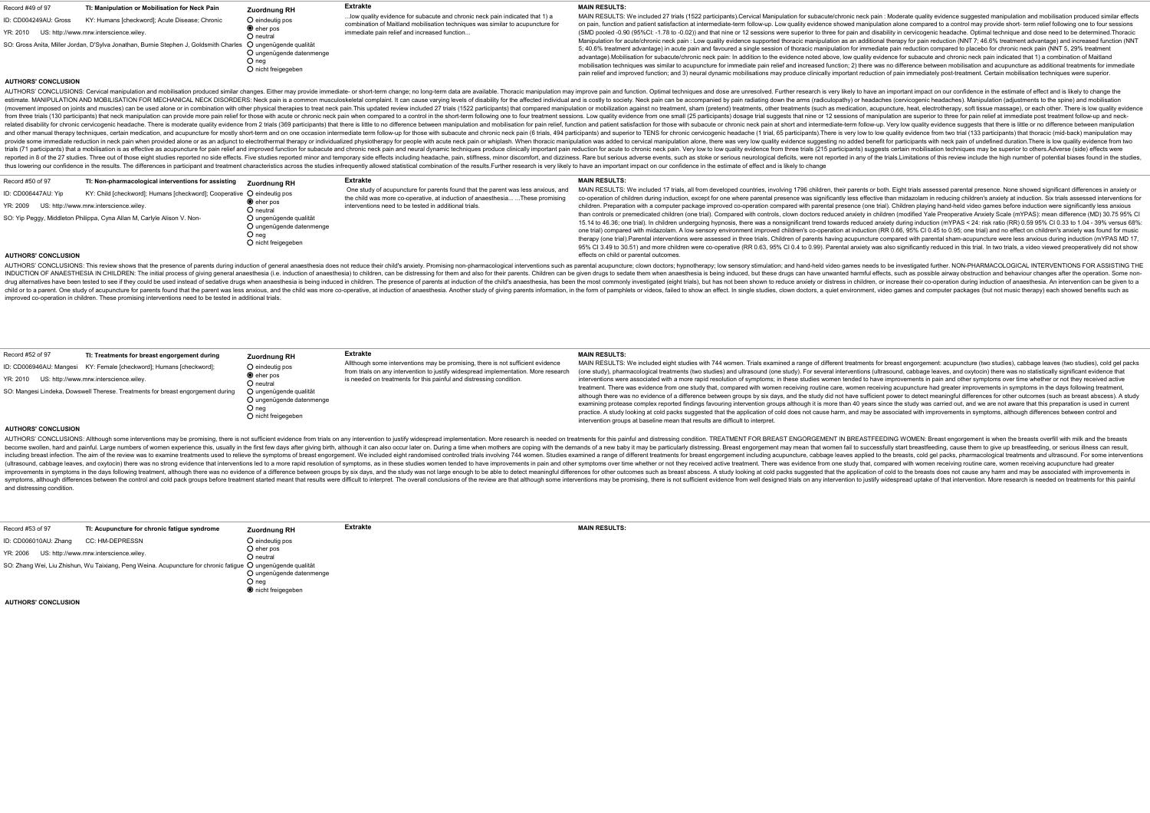| Record #49 of 97                                | TI: Manipulation or Mobilisation for Neck Pain                                                           | <b>Zuordnung RH</b>                                                                  | <b>Extrakte</b>                                                                                                                       | <b>MAIN RESULTS:</b>                                                                                                                                                                                                                                                                                                                                                                                                                                                                                                                                                                                                                                                                                                                                                                                                                                                                                                                                                                                                                                                                                                                                                                                                                                                                                                                                                                                                                                                                                                                                                                                                                                                                                                                                                                                                                                                                                                                                                                                                                                                                                          |
|-------------------------------------------------|----------------------------------------------------------------------------------------------------------|--------------------------------------------------------------------------------------|---------------------------------------------------------------------------------------------------------------------------------------|---------------------------------------------------------------------------------------------------------------------------------------------------------------------------------------------------------------------------------------------------------------------------------------------------------------------------------------------------------------------------------------------------------------------------------------------------------------------------------------------------------------------------------------------------------------------------------------------------------------------------------------------------------------------------------------------------------------------------------------------------------------------------------------------------------------------------------------------------------------------------------------------------------------------------------------------------------------------------------------------------------------------------------------------------------------------------------------------------------------------------------------------------------------------------------------------------------------------------------------------------------------------------------------------------------------------------------------------------------------------------------------------------------------------------------------------------------------------------------------------------------------------------------------------------------------------------------------------------------------------------------------------------------------------------------------------------------------------------------------------------------------------------------------------------------------------------------------------------------------------------------------------------------------------------------------------------------------------------------------------------------------------------------------------------------------------------------------------------------------|
| ID: CD004249AU: Gross                           | KY: Humans [checkword]; Acute Disease; Chronic                                                           | O eindeutig pos                                                                      | low quality evidence for subacute and chronic neck pain indicated that 1) a                                                           | MAIN RESULTS: We included 27 trials (1522 participants).Cervical Manipulation for subacute/chronic neck pain : Moderate quality evidence suggested manipulation and mobilisation produced similar effects                                                                                                                                                                                                                                                                                                                                                                                                                                                                                                                                                                                                                                                                                                                                                                                                                                                                                                                                                                                                                                                                                                                                                                                                                                                                                                                                                                                                                                                                                                                                                                                                                                                                                                                                                                                                                                                                                                     |
| YR: 2010                                        | US: http://www.mrw.interscience.wiley.                                                                   | $\bullet$ eher pos<br>O neutral                                                      | combination of Maitland mobilisation techniques was similar to acupuncture for<br>immediate pain relief and increased function        | on pain, function and patient satisfaction at intermediate-term follow-up. Low quality evidence showed manipulation alone compared to a control may provide short- term relief following one to four sessions<br>(SMD pooled -0.90 (95%CI: -1.78 to -0.02)) and that nine or 12 sessions were superior to three for pain and disability in cervicogenic headache. Optimal technique and dose need to be determined. Thoracic                                                                                                                                                                                                                                                                                                                                                                                                                                                                                                                                                                                                                                                                                                                                                                                                                                                                                                                                                                                                                                                                                                                                                                                                                                                                                                                                                                                                                                                                                                                                                                                                                                                                                  |
|                                                 | SO: Gross Anita, Miller Jordan, D'Sylva Jonathan, Burnie Stephen J, Goldsmith Charles                    | O ungenügende qualität<br>O ungenügende datenmenge<br>$O$ neg<br>O nicht freigegeben |                                                                                                                                       | Manipulation for acute/chronic neck pain : Low quality evidence supported thoracic manipulation as an additional therapy for pain reduction (NNT 7; 46.6% treatment advantage) and increased function (NNT)<br>5; 40.6% treatment advantage) in acute pain and favoured a single session of thoracic manipulation for immediate pain reduction compared to placebo for chronic neck pain (NNT 5, 29% treatment<br>advantage). Mobilisation for subacute/chronic neck pain: In addition to the evidence noted above, low quality evidence for subacute and chronic neck pain indicated that 1) a combination of Maitland<br>mobilisation techniques was similar to acupuncture for immediate pain relief and increased function; 2) there was no difference between mobilisation and acupuncture as additional treatments for immediate<br>pain relief and improved function; and 3) neural dynamic mobilisations may produce clinically important reduction of pain immediately post-treatment. Certain mobilisation techniques were superior.                                                                                                                                                                                                                                                                                                                                                                                                                                                                                                                                                                                                                                                                                                                                                                                                                                                                                                                                                                                                                                                                |
| <b>AUTHORS' CONCLUSION</b>                      |                                                                                                          |                                                                                      |                                                                                                                                       |                                                                                                                                                                                                                                                                                                                                                                                                                                                                                                                                                                                                                                                                                                                                                                                                                                                                                                                                                                                                                                                                                                                                                                                                                                                                                                                                                                                                                                                                                                                                                                                                                                                                                                                                                                                                                                                                                                                                                                                                                                                                                                               |
|                                                 |                                                                                                          |                                                                                      |                                                                                                                                       | ISATION AND MOBILISATION FOR MECHANICAL NECK DISORDERS: Neck pain is a common musculoskeletal complaint. It can cause varying levels of disability for the affected individual and is costly to society. Neck pain radiating d<br>(movement imposed on joints and muscles) can be used alone or in combination with other physical therapies to treat neck pain. This updated review included 27 trials (1522 participants) that compared manipulation or mobili<br>25 participants, Low quality eviden membel at in the composile and provide more pain relief for those with acute or chronic neck pain when compared to a control in the short-term following one to four treatment s) dosage t<br>Interpediate on manipulation and proderate of proderate publity for chronic cervicogenic headache. There is moderate quality evidence from 2 trials (369 participants) that there is little to no difference between manipulat<br>Interappletion, and acupuncture for mostly short-term and on one occasion intermediate term follow-up for those with subacute and chronic neck pain (6 trials, 494 participants). There is very low to low quality evidence fr<br>or provide some immediate reduction in neck pain when provided alone or as an adjunct to electrothermal therapy or individualized physiotherapy for people with acute neck pain or whiplash. When thoracic manipulation alone,<br>The participants) that a mobilisation is as effective as acupuncture for pain relief and improved function for subacute and chronic neck pain and neural dynamic techniques produce clinically important pain reduction and se<br>Ince out of those eight studies. Three out of those eight studies reported in 8 of the 27 studies reported no side effects. Five studies reported minor and temporary side effects including headache, pain, stiffness, minor<br>thus lowering our confidence in the results. The differences in participant and treatment characteristics across the studies infrequently allowed statistical combination of the results. Further research is very likely to h |
| Record #50 of 97                                | TI: Non-pharmacological interventions for assisting                                                      | <b>Zuordnung RH</b>                                                                  | <b>Extrakte</b>                                                                                                                       | <b>MAIN RESULTS:</b>                                                                                                                                                                                                                                                                                                                                                                                                                                                                                                                                                                                                                                                                                                                                                                                                                                                                                                                                                                                                                                                                                                                                                                                                                                                                                                                                                                                                                                                                                                                                                                                                                                                                                                                                                                                                                                                                                                                                                                                                                                                                                          |
| ID: CD006447AU: Yip                             | KY: Child [checkword]; Humans [checkword]; Cooperative $\bigcirc$ eindeutig pos                          |                                                                                      | One study of acupuncture for parents found that the parent was less anxious, and                                                      | MAIN RESULTS: We included 17 trials, all from developed countries, involving 1796 children, their parents or both. Eight trials assessed parental presence. None showed significant differences in anxiety or                                                                                                                                                                                                                                                                                                                                                                                                                                                                                                                                                                                                                                                                                                                                                                                                                                                                                                                                                                                                                                                                                                                                                                                                                                                                                                                                                                                                                                                                                                                                                                                                                                                                                                                                                                                                                                                                                                 |
| YR: 2009 US: http://www.mrw.interscience.wiley. |                                                                                                          | $\bullet$ eher pos<br>O neutral                                                      | the child was more co-operative, at induction of anaesthesia These promising<br>interventions need to be tested in additional trials. | co-operation of children during induction, except for one where parental presence was significantly less effective than midazolam in reducing children's anxiety at induction. Six trials assessed interventions for<br>children. Preparation with a computer package improved co-operation compared with parental presence (one trial). Children playing hand-held video games before induction were significantly less anxious                                                                                                                                                                                                                                                                                                                                                                                                                                                                                                                                                                                                                                                                                                                                                                                                                                                                                                                                                                                                                                                                                                                                                                                                                                                                                                                                                                                                                                                                                                                                                                                                                                                                              |
|                                                 | SO: Yip Peggy, Middleton Philippa, Cyna Allan M, Carlyle Alison V. Non-                                  | O ungenügende qualität<br>O ungenügende datenmenge<br>$O$ neg<br>O nicht freigegeben |                                                                                                                                       | than controls or premedicated children (one trial). Compared with controls, clown doctors reduced anxiety in children (modified Yale Preoperative Anxiety Scale (mYPAS): mean difference (MD) 30.75 95% CI<br>15.14 to 46.36; one trial). In children undergoing hypnosis, there was a nonsignificant trend towards reduced anxiety during induction (mYPAS < 24: risk ratio (RR) 0.59 95% CI 0.33 to 1.04 - 39% versus 68%:<br>one trial) compared with midazolam. A low sensory environment improved children's co-operation at induction (RR 0.66, 95% CI 0.45 to 0.95; one trial) and no effect on children's anxiety was found for music<br>therapy (one trial).Parental interventions were assessed in three trials. Children of parents having acupuncture compared with parental sham-acupuncture were less anxious during induction (mYPAS MD 17,<br>95% CI 3.49 to 30.51) and more children were co-operative (RR 0.63, 95% CI 0.4 to 0.99). Parental anxiety was also significantly reduced in this trial. In two trials, a video viewed preoperatively did not show                                                                                                                                                                                                                                                                                                                                                                                                                                                                                                                                                                                                                                                                                                                                                                                                                                                                                                                                                                                                                               |
| <b>AUTHORS' CONCLUSION</b>                      |                                                                                                          |                                                                                      |                                                                                                                                       | effects on child or parental outcomes.                                                                                                                                                                                                                                                                                                                                                                                                                                                                                                                                                                                                                                                                                                                                                                                                                                                                                                                                                                                                                                                                                                                                                                                                                                                                                                                                                                                                                                                                                                                                                                                                                                                                                                                                                                                                                                                                                                                                                                                                                                                                        |
|                                                 | improved co-operation in children. These promising interventions need to be tested in additional trials. |                                                                                      |                                                                                                                                       | AUTHORS' CONCLUSIONS: This review shows that the presence of parents during induction of general anaesthesia does not reduce their child's anxiety. Promising non-pharmacological interventions such as parental acupuncture;<br>INDUCTION OF ANAESTHESIA IN CHILDREN: The initial process of giving general anaesthesia (i.e. induction of anaesthesia) to children, can be distressing for them and also for their parents. Children can be given general ana<br>Interps have been tested to see if they could be used instead of sedative drug sument anaesthesia is being induced in children. The presence of parents at induction of the child's anaesthesia, has been thown to reduce anxi<br>and the parents found that the parents found that the parent was less anxious, and the child or so a parent was less anxious, and the child was more co-operative, at induction of anaesthesia. Another study of giving parent                                                                                                                                                                                                                                                                                                                                                                                                                                                                                                                                                                                                                                                                                                                                                                                                                                                                                                                                                                                                                                                                                                                                                                           |

THORS' CONCLUSIONS: Allthough some interventions may be promising, there is not sufficient evidence from trials on any intervention to justify widespread implementation. More research is needed on treatments for this painf Increas the on During a time women experience this, usually in the first few days after giving birth, although it can also occur later on. During a time when mothers are coping with the demands of a new baby it may mean th Infection. The aim of the review was to examine treatments used to relieve the symptoms of breast engorgement. We included eight randomised controlled trials involving 744 women. Studies examined a range of different inclu (ultrasound, cabbage leaves, and oxytocin) there was no strong evidence that interventions led to a more rapid resolution of symptoms, as in these studies women tended to have improvements in pain and other symptoms over t Improvements in symptoms in the days following treatment, although there was no evidence of a difference between groups by six days, and the study was not large enough to be able to detect meaningful differences such as br onterproperator and cold pack groups before treatment started meant that results were difficult to interpret. The overall conclusions of the review are that although some interventions may be promising, there is not suffic and distressing condition.

MAIN RESULTS: We included eight studies with 744 women. Trials examined a range of different treatments for breast engorgement: acupuncture (two studies), cabbage leaves (two studies), cold gel packs (one study), pharmacological treatments (two studies) and ultrasound (one study). For several interventions (ultrasound, cabbage leaves, and oxytocin) there was no statistically significant evidence thatinterventions were associated with a more rapid resolution of symptoms; in these studies women tended to have improvements in pain and other symptoms over time whether or not they received active treatment. There was evidence from one study that, compared with women receiving routine care, women receiving acupuncture had greater improvements in symptoms in the days following treatment,although there was no evidence of a difference between groups by six days, and the study did not have sufficient power to detect meaningful differences for other outcomes (such as breast abscess). A study examining protease complex reported findings favouring intervention groups although it is more than 40 years since the study was carried out, and we are not aware that this preparation is used in current practice. A study looking at cold packs suggested that the application of cold does not cause harm, and may be associated with improvements in symptoms, although differences between control and intervention groups at baseline mean that results are difficult to interpret.

 $TS:$ 

eindeutig pos  $\bullet$  eher pos O neutral

O ungenügende qualität ungenügende datenmenge

 $O$  neg nicht freigegeben

Record #52 of 97

TI: Treatments for breast engorgement during

SO: Mangesi Lindeka, Dowswell Therese. Treatments for breast engorgement during

YR: 2010 US: http://www.mrw.interscience.wiley.

ID: CD006946AU: Mangesi KY: Female [checkword]; Humans [checkword];

MAIN RESULTS:

#### **AUTHORS' CONCLUSION**

## Extrakte

 Allthough some interventions may be promising, there is not sufficient evidence from trials on any intervention to justify widespread implementation. More researchis needed on treatments for this painful and distressing condition.

Zuordnung RH

| Record #53 of 97      | TI: Acupuncture for chronic fatique syndrome                                                                             | <b>Zuordnung RH</b>                      | Extrakte | <b>MAIN RESULT</b> |
|-----------------------|--------------------------------------------------------------------------------------------------------------------------|------------------------------------------|----------|--------------------|
| ID: CD006010AU: Zhang | CC: HM-DEPRESSN                                                                                                          | $\bigcirc$ eindeutig pos                 |          |                    |
| YR: 2006              | US: http://www.mrw.interscience.wiley.                                                                                   | $\bigcirc$ eher pos<br>$\supset$ neutral |          |                    |
|                       | SO: Zhang Wei, Liu Zhishun, Wu Taixiang, Peng Weina. Acupuncture for chronic fatigue $\,\bigcirc\,$ ungenügende qualität |                                          |          |                    |
|                       |                                                                                                                          | $\bigcirc$ ungenügende datenmenge        |          |                    |
|                       |                                                                                                                          | O nea                                    |          |                    |
|                       |                                                                                                                          | <b>●</b> nicht freigegeben               |          |                    |
|                       |                                                                                                                          |                                          |          |                    |

AUTHORS' CONCLUSION

#### $LTS:$

#### $LTS:$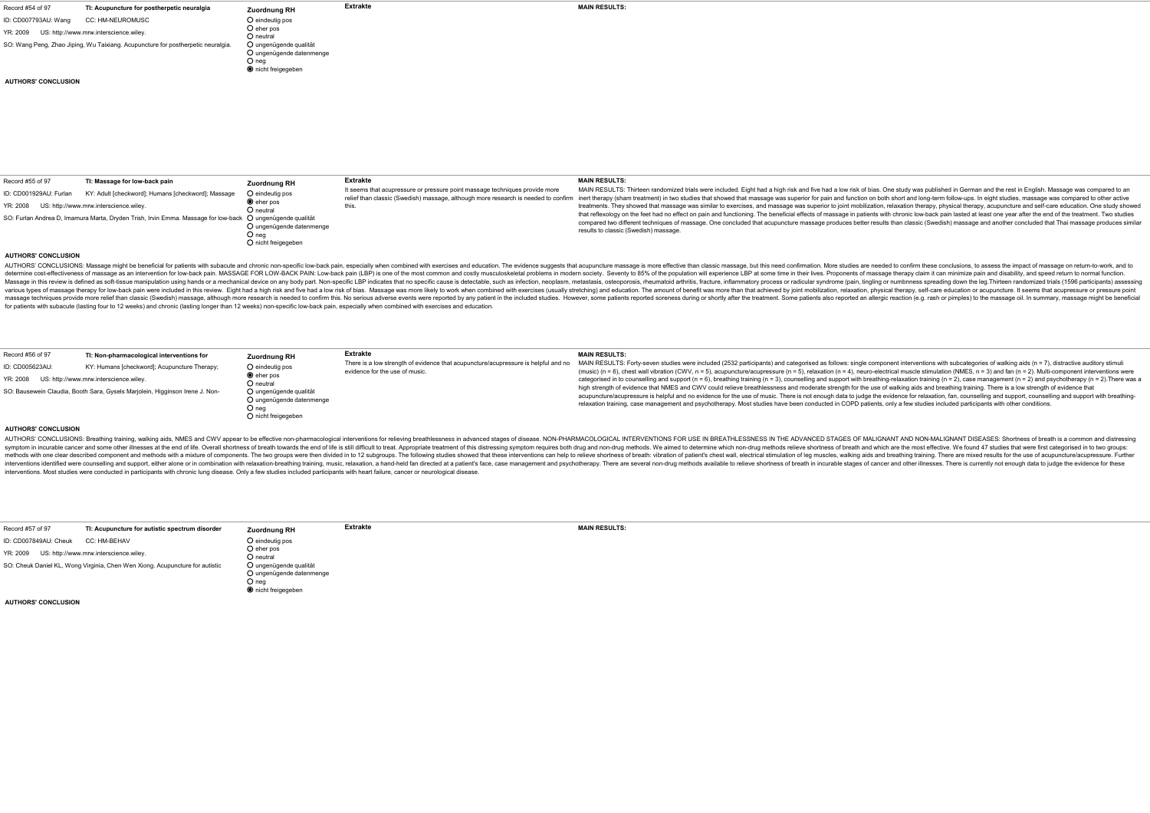In agges might be beneficial for patients with subacute and chronic non-specific low-back pain, especially when combined with exercises and education. The evidence suggests that acupuncture massage, but this need confirmat one time mosclets of message as an intervention for low-back pain. MASSAGE FOR LOW-BACK PAIN: Low-back pain. MASSAGE FOR LOW-BACK PAIN: Low-back pain (LBP) is one of the most common and costly musculoskeletal problems in m Massage in this review is defined as soft-tissue manipulation using hands or a mechanical device on any body part. Non-specific LBP indicates that no specific cause is detectable, such as infection, neoplasm, metastasis, o Ight had a high risk and five had a low risk of bias. Massage was more likely to work when combined with exercises (usually stretching) and education, relaxation, physical therapy, self-care education or acupuncture. It se nassage techniques provide more relief than classic (Swedish) massage, although more research is needed to confirm this. No serious adverse events were reported by any patient in the included studies. However, some patient for patients with subacute (lasting four to 12 weeks) and chronic (lasting longer than 12 weeks) non-specific low-back pain, especially when combined with exercises and education.

| Record #54 of 97                                   | TI: Acupuncture for postherpetic neuralgia                                         | <b>Zuordnung RH</b>                                                                         | <b>Extrakte</b>                                                                                                                                                   | <b>MAIN RESUL</b>                                  |
|----------------------------------------------------|------------------------------------------------------------------------------------|---------------------------------------------------------------------------------------------|-------------------------------------------------------------------------------------------------------------------------------------------------------------------|----------------------------------------------------|
| ID: CD007793AU: Wang                               | <b>CC: HM-NEUROMUSC</b>                                                            | $O$ eindeutig pos                                                                           |                                                                                                                                                                   |                                                    |
| US: http://www.mrw.interscience.wiley.<br>YR: 2009 |                                                                                    | $\bigcirc$ eher pos<br>$O$ neutral                                                          |                                                                                                                                                                   |                                                    |
|                                                    | SO: Wang Peng, Zhao Jiping, Wu Taixiang. Acupuncture for postherpetic neuralgia.   | O ungenügende qualität<br>O ungenügende datenmenge<br>$\bigcirc$ neg<br>● nicht freigegeben |                                                                                                                                                                   |                                                    |
| <b>AUTHORS' CONCLUSION</b>                         |                                                                                    |                                                                                             |                                                                                                                                                                   |                                                    |
|                                                    |                                                                                    |                                                                                             |                                                                                                                                                                   |                                                    |
|                                                    |                                                                                    |                                                                                             |                                                                                                                                                                   |                                                    |
|                                                    |                                                                                    |                                                                                             |                                                                                                                                                                   |                                                    |
|                                                    |                                                                                    |                                                                                             |                                                                                                                                                                   |                                                    |
|                                                    |                                                                                    |                                                                                             |                                                                                                                                                                   |                                                    |
| Record #55 of 97                                   | TI: Massage for low-back pain                                                      | <b>Zuordnung RH</b>                                                                         | <b>Extrakte</b>                                                                                                                                                   | <b>MAIN RESUL</b>                                  |
| ID: CD001929AU: Furlan                             | KY: Adult [checkword]; Humans [checkword]; Massage                                 | O eindeutig pos                                                                             | It seems that acupressure or pressure point massage techniques provide more<br>relief than classic (Swedish) massage, although more research is needed to confirm | <b>MAIN RESUL</b><br>inert therapy                 |
| US: http://www.mrw.interscience.wiley.<br>YR: 2008 |                                                                                    | $\bullet$ eher pos<br>O neutral                                                             | this.                                                                                                                                                             | treatments. T                                      |
|                                                    | SO: Furlan Andrea D, Imamura Marta, Dryden Trish, Irvin Emma. Massage for low-back | O ungenügende qualität<br>O ungenügende datenmenge<br>$O$ neg<br>O nicht freigegeben        |                                                                                                                                                                   | that reflexolog<br>compared two<br>results to clas |

DITHORS' CONCLUSIONS: Breathing training, walking aids, NMES and CWV appear to be effective non-pharmacological interventions for relieving breathlessness in advanced stages of disease. NON-PHARMACOLOGICAL INTERVENTIONS FO symptom in incurable cancer and some other illnesses at the end of life. Overall shortness of breath towards the end of life is still difficult to treat. Appropriate treatment of this distressing symptom requires both drug In equiver substanding studies and preced on possumple and methods with a mixture of components. The two groups were then divided in to 12 subgroups. The following studies showed that these interventions can help to reliev interventions identified were counselling and support, either alone or in combination with relaxation-breathing training, music, relaxation, a hand-held fan directed at a patient's face, case management and psychotherapy. interventions. Most studies were conducted in participants with chronic lung disease. Only a few studies included participants with heart failure, cancer or neurological disease.

- O eindeutig pos
- $\bigcirc$  eher pos
- O neutral
- ungenügende qualität
- ungenügende datenmenge
- $O$  neg
- nicht freigegeben

#### AUTHORS' CONCLUSION

| Record #56 of 97                                                                                                                   | TI: Non-pharmacological interventions for    | <b>Zuordnung RH</b>                                                                                                                 | <b>Extrakte</b>                                                                                                      | <b>MAIN RESUL</b>                                                    |
|------------------------------------------------------------------------------------------------------------------------------------|----------------------------------------------|-------------------------------------------------------------------------------------------------------------------------------------|----------------------------------------------------------------------------------------------------------------------|----------------------------------------------------------------------|
| ID: CD005623AU:                                                                                                                    | KY: Humans [checkword]; Acupuncture Therapy; | $\bigcirc$ eindeutig pos<br>$\bullet$ eher pos                                                                                      | There is a low strength of evidence that acupuncture/acupressure is helpful and no<br>evidence for the use of music. | <b>MAIN RESUL</b><br>(music) ( $n = 6$                               |
| YR: 2008<br>US: http://www.mrw.interscience.wiley.<br>SO: Bausewein Claudia, Booth Sara, Gysels Marjolein, Higginson Irene J. Non- |                                              | $\supset$ neutral<br>$\bigcirc$ ungenügende qualität<br>$O$ ungenügende datenmenge<br>$\bigcup$ neg<br>$\bigcirc$ nicht freigegeben |                                                                                                                      | categorised in<br>high strength<br>acupuncture/a<br>relaxation train |

Record #57 of 97ID: CD007849AU: CheukTI: Acupuncture for autistic spectrum disorderYR: 2009 US: http://www.mrw.interscience.wiley. CC: HM-BEHAV

SO: Cheuk Daniel KL, Wong Virginia, Chen Wen Xiong. Acupuncture for autistic

AUTHORS' CONCLUSION

MAIN RESULTS:

#### LTS:

LTS: Thirteen randomized trials were included. Eight had a high risk and five had a low risk of bias. One study was published in German and the rest in English. Massage was compared to an inert therapy (sham treatment) in two studies that showed that massage was superior for pain and function on both short and long-term follow-ups. In eight studies, massage was compared to other active treatments. They showed that massage was similar to exercises, and massage was superior to joint mobilization, relaxation therapy, physical therapy, acupuncture and self-care education. One study showedogy on the feet had no effect on pain and functioning. The beneficial effects of massage in patients with chronic low-back pain lasted at least one year after the end of the treatment. Two studies compared two different techniques of massage. One concluded that acupuncture massage produces better results than classic (Swedish) massage and another concluded that Thai massage produces similar ssic (Swedish) massage.

#### $TS:$

TS: Forty-seven studies were included (2532 participants) and categorised as follows: single component interventions with subcategories of walking aids (n = 7), distractive auditory stimuli 6), chest wall vibration (CWV, n = 5), acupuncture/acupressure (n = 5), relaxation (n = 4), neuro-electrical muscle stimulation (NMES, n = 3) and fan (n = 2). Multi-component interventions were categorised in to counselling and support (n = 6), breathing training (n = 3), counselling and support with breathing-relaxation training (n = 2), case management (n = 2) and psychotherapy (n = 2). There was a of evidence that NMES and CWV could relieve breathlessness and moderate strength for the use of walking aids and breathing training. There is a low strength of evidence that acupressure is helpful and no evidence for the use of music. There is not enough data to judge the evidence for relaxation, fan, counselling and support, counselling and support with breathingning, case management and psychotherapy. Most studies have been conducted in COPD patients, only a few studies included participants with other conditions.

Extrakte

Zuordnung RH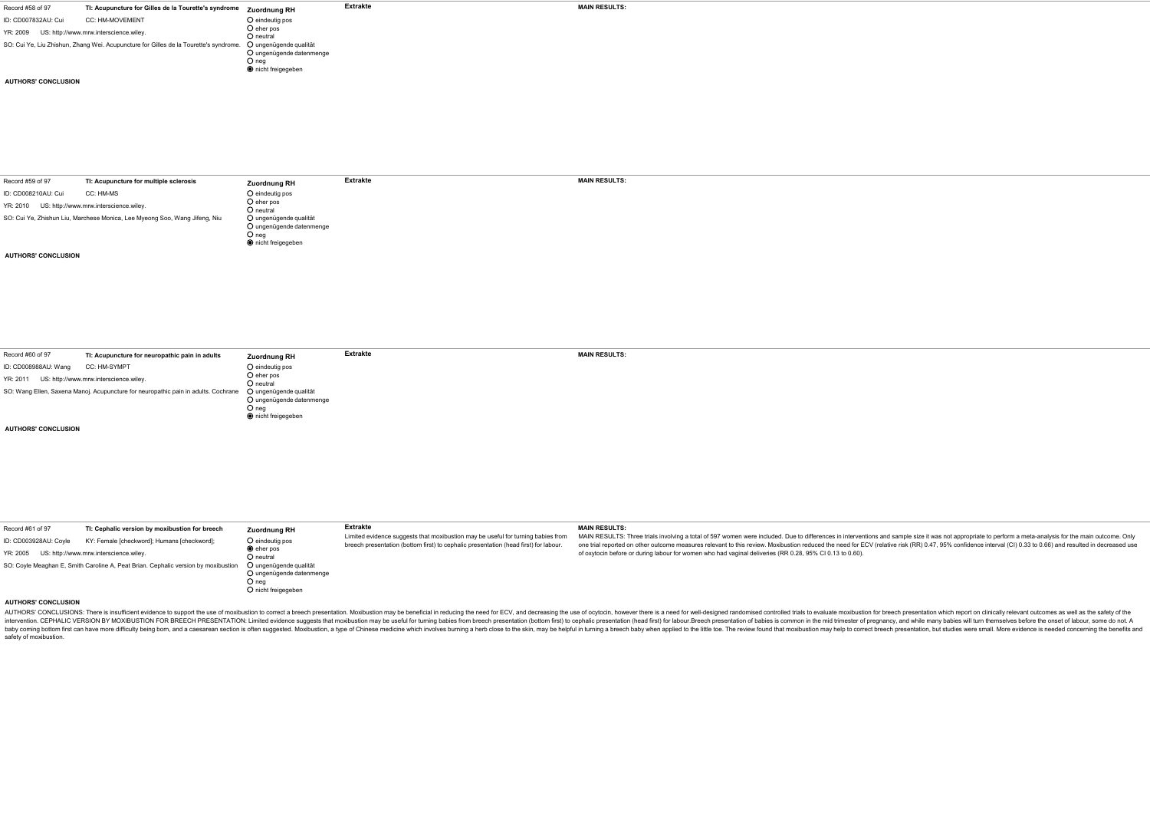| Record #58 of 97           | TI: Acupuncture for Gilles de la Tourette's syndrome                                  | <b>Zuordnung RH</b>                                                                         | <b>Extrakte</b> | <b>MAIN RESUL</b> |
|----------------------------|---------------------------------------------------------------------------------------|---------------------------------------------------------------------------------------------|-----------------|-------------------|
| ID: CD007832AU: Cui        | <b>CC: HM-MOVEMENT</b>                                                                | O eindeutig pos                                                                             |                 |                   |
| YR: 2009                   | US: http://www.mrw.interscience.wiley.                                                | $O$ eher pos<br>O neutral                                                                   |                 |                   |
|                            | SO: Cui Ye, Liu Zhishun, Zhang Wei. Acupuncture for Gilles de la Tourette's syndrome. | O ungenügende qualität<br>O ungenügende datenmenge<br>$O$ neg<br><b>O</b> nicht freigegeben |                 |                   |
| <b>AUTHORS' CONCLUSION</b> |                                                                                       |                                                                                             |                 |                   |
|                            |                                                                                       |                                                                                             |                 |                   |
|                            |                                                                                       |                                                                                             |                 |                   |
|                            |                                                                                       |                                                                                             |                 |                   |
|                            |                                                                                       |                                                                                             |                 |                   |
|                            |                                                                                       |                                                                                             |                 |                   |

ID: CD008210AU: Cui

| Record #59 of 97 | TI: Acupuncture for multiple sclerosis |
|------------------|----------------------------------------|
|                  |                                        |

SO: Cui Ye, Zhishun Liu, Marchese Monica, Lee Myeong Soo, Wang Jifeng, Niu

YR: 2010 US: http://www.mrw.interscience.wiley.

CC: HM-MS

AUTHORS' CONCLUSION

## LTS:

#### JLTS:

MAIN RESULTS: Three trials involving a total of 597 women were included. Due to differences in interventions and sample size it was not appropriate to perform a meta-analysis for the main outcome. Only one trial reported on other outcome measures relevant to this review. Moxibustion reduced the need for ECV (relative risk (RR) 0.47, 95% confidence interval (CI) 0.33 to 0.66) and resulted in decreased use oefore or during labour for women who had vaginal deliveries (RR 0.28, 95% CI 0.13 to 0.60).

- eindeutig pos O eher pos neutralZuordnung RH
- ungenügende qualität ungenügende datenmengeO neg
- nicht freigegeben

Extrakte

| Record #60 of 97                 | TI: Acupuncture for neuropathic pain in adults                                                                                                      | <b>Zuordnung RH</b>                                                                                                                           | <b>Extrakte</b> | <b>MAIN RESUL</b> |
|----------------------------------|-----------------------------------------------------------------------------------------------------------------------------------------------------|-----------------------------------------------------------------------------------------------------------------------------------------------|-----------------|-------------------|
| ID: CD008988AU: Wang<br>YR: 2011 | <b>CC: HM-SYMPT</b><br>US: http://www.mrw.interscience.wiley.<br>SO: Wang Ellen, Saxena Manoj. Acupuncture for neuropathic pain in adults. Cochrane | $\bigcirc$ eindeutig pos<br>$\bigcirc$ eher pos<br>$\bigcirc$ neutral<br>O ungenügende qualität<br>O ungenügende datenmenge<br>$\bigcirc$ neg |                 |                   |
|                                  |                                                                                                                                                     | <b>●</b> nicht freigegeben                                                                                                                    |                 |                   |

AUTHORS' CONCLUSION

Insufficient evidence to support the use of moxibustion to correct a breech presentation. Moxibustion may be beneficial in reducing the use of ocytocin, however there is a need for Well-designed randomised controlled trial Intervention. CEPHALIC VERSION BY MOXIBUSTION FOR BREECH PRESENTATION: Limited evidence suggests that moxibustion may be useful for turning babies from breech presentation (hottom first) fo cephalic presentation of babies orteion, and a caesarean section is often suggested. Moxibustion, a type of Chinese medicine which involves burning a herb close to the stim, may be helpful in turning a herb close to the little toe. The review found that safety of moxibustion.

#### AUTHORS' CONCLUSION

| Record #61 of 97                                                                   | TI: Cephalic version by moxibustion for breech | <b>Zuordnung RH</b>                                                                                                                              | <b>Extrakte</b>                                                                                                                                                          | <b>MAIN RESU</b>                   |
|------------------------------------------------------------------------------------|------------------------------------------------|--------------------------------------------------------------------------------------------------------------------------------------------------|--------------------------------------------------------------------------------------------------------------------------------------------------------------------------|------------------------------------|
| ID: CD003928AU: Coyle                                                              | KY: Female [checkword]; Humans [checkword];    | O eindeutig pos                                                                                                                                  | Limited evidence suggests that moxibustion may be useful for turning babies from<br>breech presentation (bottom first) to cephalic presentation (head first) for labour. | <b>MAIN RESU</b><br>one trial repo |
| YR: 2005<br>US: http://www.mrw.interscience.wiley.                                 |                                                | $\bullet$ eher pos<br>$\bigcirc$ neutral<br>$\bigcirc$ ungenügende qualität<br>O ungenügende datenmenge<br>$\bigcirc$ neg<br>O nicht freigegeben |                                                                                                                                                                          | of oxytocin b                      |
| SO: Coyle Meaghan E, Smith Caroline A, Peat Brian. Cephalic version by moxibustion |                                                |                                                                                                                                                  |                                                                                                                                                                          |                                    |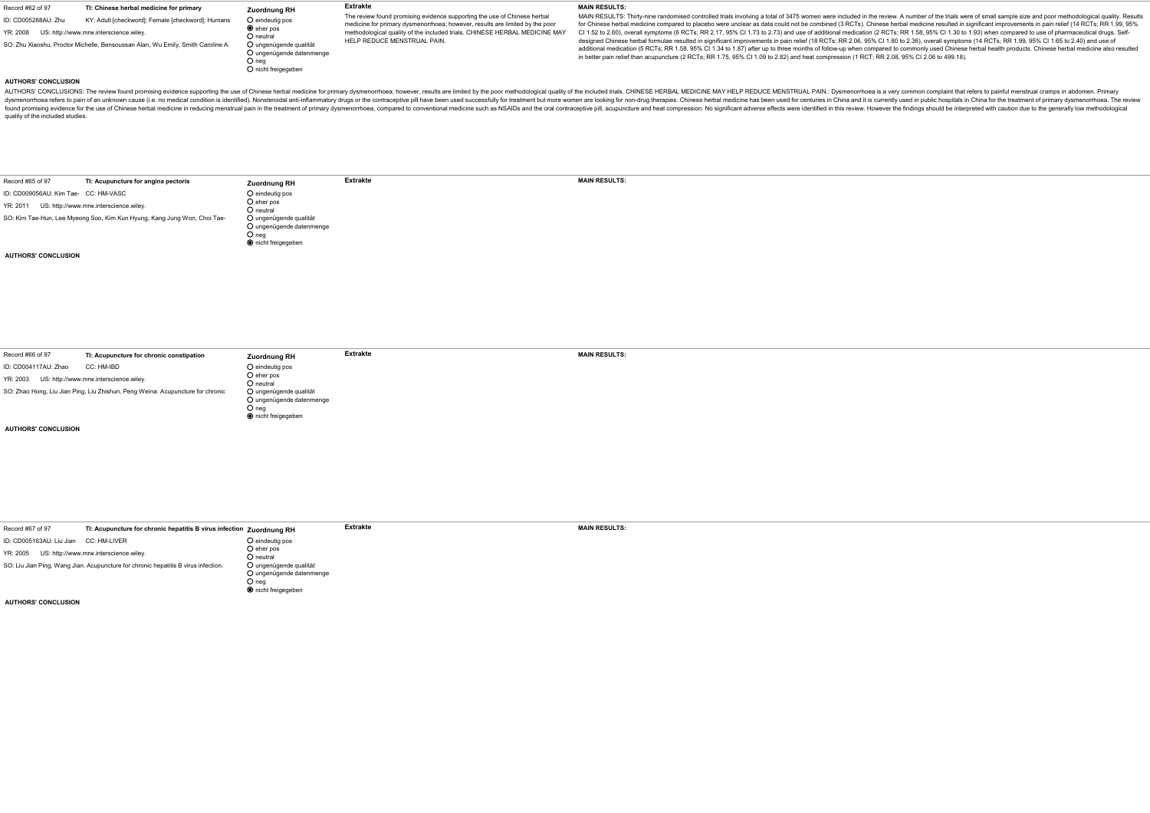onclusions: The review found promising evidence supporting the use of Chinese herbal medicine for primary dysmenorrhoea; however, results are limited by the poor methodological quality of the included trials. CHINESE HERBA is enterpance of primes and it is currently used in Dhina for the treatment of an unknown cause (i.e. no medical condition is identified). Nonsteroidal anti-inflammatory drugs or the contraceptive pill have been used for c nedicine in reducing mentual pain in the treatment of primary dysmenorrhoea, compared to conventional medicine such as NSAIDs and the oral compression. No significant adverse effects were identified in this review. However quality of the included studies.

| Record #62 of 97                                                                | TI: Chinese herbal medicine for primary           | <b>Zuordnung RH</b>                                                                                                                  | <b>Extrakte</b>                                                                                                                                          | <b>MAIN RESUL</b>                                                 |
|---------------------------------------------------------------------------------|---------------------------------------------------|--------------------------------------------------------------------------------------------------------------------------------------|----------------------------------------------------------------------------------------------------------------------------------------------------------|-------------------------------------------------------------------|
| ID: CD005288AU: Zhu                                                             | KY: Adult [checkword]; Female [checkword]; Humans | $\bigcirc$ eindeutig pos                                                                                                             | The review found promising evidence supporting the use of Chinese herbal<br>medicine for primary dysmenorrhoea; however, results are limited by the poor | <b>MAIN RESUL</b><br>for Chinese h                                |
| YR: 2008<br>US: http://www.mrw.interscience.wiley.                              |                                                   | $\bullet$ eher pos<br>$\bigcirc$ neutral<br>$O$ ungenügende qualität<br>O ungenügende datenmenge<br>$O$ neg<br>$O$ nicht freigegeben | methodological quality of the included trials. CHINESE HERBAL MEDICINE MAY<br>HELP REDUCE MENSTRUAL PAIN.                                                | CI 1.52 to 2.6<br>designed Chi<br>additional me<br>in better pain |
| SO: Zhu Xiaoshu, Proctor Michelle, Bensoussan Alan, Wu Emily, Smith Caroline A. |                                                   |                                                                                                                                      |                                                                                                                                                          |                                                                   |
| <b>AUTHORS' CONCLUSION</b>                                                      |                                                   |                                                                                                                                      |                                                                                                                                                          |                                                                   |

| Record #65 of 97                     | TI: Acupuncture for angina pectoris                                      | <b>Zuordnung RH</b>                                                                         | <b>Extrakte</b> | <b>MAIN RESU</b> |
|--------------------------------------|--------------------------------------------------------------------------|---------------------------------------------------------------------------------------------|-----------------|------------------|
| ID: CD009056AU: Kim Tae- CC: HM-VASC |                                                                          | $O$ eindeutig pos                                                                           |                 |                  |
| YR: 2011                             | US: http://www.mrw.interscience.wiley.                                   | $\bigcirc$ eher pos<br>$\bigcirc$ neutral                                                   |                 |                  |
|                                      | SO: Kim Tae-Hun, Lee Myeong Soo, Kim Kun Hyung, Kang Jung Won, Choi Tae- | O ungenügende qualität<br>O ungenügende datenmenge<br>$\bigcirc$ neg<br>● nicht freigegeben |                 |                  |
| <b>AUTHORS' CONCLUSION</b>           |                                                                          |                                                                                             |                 |                  |

| Record #66 of 97           | TI: Acupuncture for chronic constipation                                       | <b>Zuordnung RH</b>                                                                  | <b>Extrakte</b> | <b>MAIN RESUL</b> |
|----------------------------|--------------------------------------------------------------------------------|--------------------------------------------------------------------------------------|-----------------|-------------------|
| ID: CD004117AU: Zhao       | CC: HM-IBD                                                                     | $O$ eindeutig pos                                                                    |                 |                   |
| YR: 2003                   | US: http://www.mrw.interscience.wiley.                                         | $\bigcirc$ eher pos<br>$\bigcirc$ neutral                                            |                 |                   |
|                            | SO: Zhao Hong, Liu Jian Ping, Liu Zhishun, Peng Weina. Acupuncture for chronic | O ungenügende qualität<br>O ungenügende datenmenge<br>$O$ neg<br>● nicht freigegeben |                 |                   |
| <b>AUTHORS' CONCLUSION</b> |                                                                                |                                                                                      |                 |                   |

| Record #67 of 97                                                                                                                                                                                                                                       | TI: Acupuncture for chronic hepatitis B virus infection Zuordnung RH               |                                                                                      | <b>Extrakte</b> | <b>MAIN RESUL</b> |
|--------------------------------------------------------------------------------------------------------------------------------------------------------------------------------------------------------------------------------------------------------|------------------------------------------------------------------------------------|--------------------------------------------------------------------------------------|-----------------|-------------------|
| ID: CD005163AU: Liu Jian                                                                                                                                                                                                                               | CC: HM-LIVER                                                                       | $O$ eindeutig pos                                                                    |                 |                   |
| YR: 2005                                                                                                                                                                                                                                               | US: http://www.mrw.interscience.wiley.                                             | $\bigcirc$ eher pos<br>$\bigcirc$ neutral                                            |                 |                   |
|                                                                                                                                                                                                                                                        | SO: Liu Jian Ping, Wang Jian. Acupuncture for chronic hepatitis B virus infection. | O ungenügende qualität<br>O ungenügende datenmenge<br>$O$ neg<br>● nicht freigegeben |                 |                   |
| $1.1.7711A - 0.1.611A + 0.1.61A + 0.0.01A + 0.0.01A + 0.0.01A + 0.0.01A + 0.0.01A + 0.0.01A + 0.0.01A + 0.0.01A + 0.0.01A + 0.0.01A + 0.0.01A + 0.0.01A + 0.0.01A + 0.0.01A + 0.0.01A + 0.0.01A + 0.0.01A + 0.0.01A + 0.0.01A + 0.0.01A + 0.0.01A + 0$ |                                                                                    |                                                                                      |                 |                   |

AUTHORS' CONCLUSION

#### LTS:

MAIN RESULTS: Thirty-nine randomised controlled trials involving a total of 3475 women were included in the review. A number of the trials were of small sample size and poor methodological quality. Results for Chinese herbal medicine compared to placebo were unclear as data could not be combined (3 RCTs). Chinese herbal medicine resulted in significant improvements in pain relief (14 RCTs; RR 1.99, 95% CI 1.52 to 2.60), overall symptoms (6 RCTs; RR 2.17, 95% CI 1.73 to 2.73) and use of additional medication (2 RCTs; RR 1.58, 95% CI 1.30 to 1.93) when compared to use of pharmaceutical drugs. Selfhinese herbal formulae resulted in significant improvements in pain relief (18 RCTs; RR 2.06, 95% CI 1.80 to 2.36), overall symptoms (14 RCTs; RR 1.99, 95% CI 1.65 to 2.40) and use of additional medication (5 RCTs; RR 1.58, 95% CI 1.34 to 1.87) after up to three months of follow-up when compared to commonly used Chinese herbal health products. Chinese herbal medicine also resulted n relief than acupuncture (2 RCTs; RR 1.75, 95% CI 1.09 to 2.82) and heat compression (1 RCT; RR 2.08, 95% CI 2.06 to 499.18).

ILTS:

LTS:

LTS: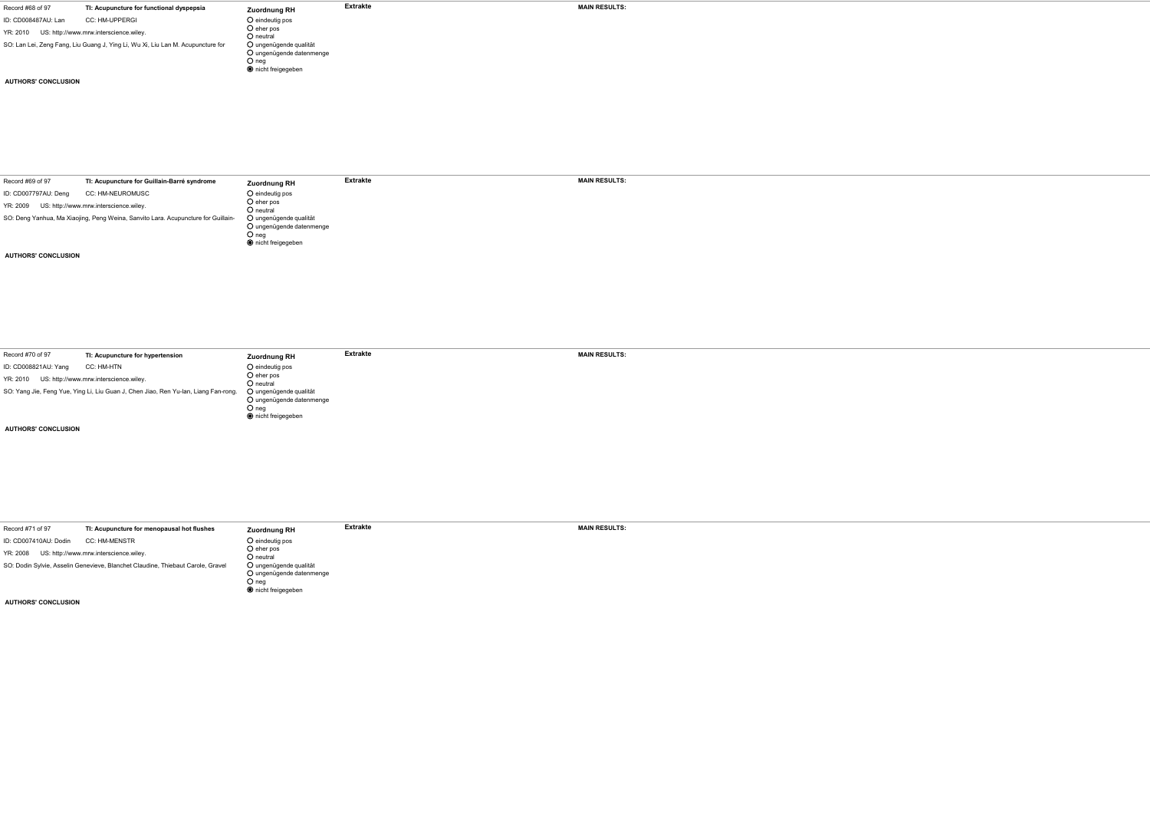| Record #68 of 97           | TI: Acupuncture for functional dyspepsia                                                                                  | <b>Zuordnung RH</b>                                               | <b>Extrakte</b> | <b>MAIN RESULTS:</b> |
|----------------------------|---------------------------------------------------------------------------------------------------------------------------|-------------------------------------------------------------------|-----------------|----------------------|
| ID: CD008487AU: Lan        | CC: HM-UPPERGI                                                                                                            | O eindeutig pos                                                   |                 |                      |
| YR: 2010                   | US: http://www.mrw.interscience.wiley.<br>SO: Lan Lei, Zeng Fang, Liu Guang J, Ying Li, Wu Xi, Liu Lan M. Acupuncture for | $O$ eher pos<br>$O$ neutral<br>O ungenügende qualität             |                 |                      |
|                            |                                                                                                                           | O ungenügende datenmenge<br>$O$ neg<br><b>O</b> nicht freigegeben |                 |                      |
| <b>AUTHORS' CONCLUSION</b> |                                                                                                                           |                                                                   |                 |                      |
|                            |                                                                                                                           |                                                                   |                 |                      |
|                            |                                                                                                                           |                                                                   |                 |                      |
|                            |                                                                                                                           |                                                                   |                 |                      |
|                            |                                                                                                                           |                                                                   |                 |                      |
|                            |                                                                                                                           |                                                                   |                 |                      |
|                            |                                                                                                                           |                                                                   |                 |                      |
| Record #69 of 97           | TI: Acupuncture for Guillain-Barré syndrome                                                                               | <b>Zuordnung RH</b>                                               | <b>Extrakte</b> | <b>MAIN RESULTS:</b> |
| ID: CD007797AU: Deng       | <b>CC: HM-NEUROMUSC</b>                                                                                                   | O eindeutig pos                                                   |                 |                      |
| YR: 2009                   | US: http://www.mrw.interscience.wiley.                                                                                    | $\bigcirc$ eher pos<br>$O$ neutral                                |                 |                      |

SO: Deng Yanhua, Ma Xiaojing, Peng Weina, Sanvito Lara. Acupuncture for Guillain-

AUTHORS' CONCLUSION

## .TS:

**LTS:** 

ungenügende qualität ungenügende datenmenge neg nicht freigegeben

| Record #71 of 97           | TI: Acupuncture for menopausal hot flushes                                      | <b>Zuordnung RH</b>                                                                         | <b>Extrakte</b> | <b>MAIN RESUL</b> |
|----------------------------|---------------------------------------------------------------------------------|---------------------------------------------------------------------------------------------|-----------------|-------------------|
| ID: CD007410AU: Dodin      | <b>CC: HM-MENSTR</b>                                                            | O eindeutig pos                                                                             |                 |                   |
| YR: 2008                   | US: http://www.mrw.interscience.wiley.                                          | $\bigcirc$ eher pos<br>$O$ neutral                                                          |                 |                   |
|                            | SO: Dodin Sylvie, Asselin Genevieve, Blanchet Claudine, Thiebaut Carole, Gravel | O ungenügende qualität<br>O ungenügende datenmenge<br>$O$ neg<br><b>●</b> nicht freigegeben |                 |                   |
| <b>AUTHORS' CONCLUSION</b> |                                                                                 |                                                                                             |                 |                   |

AUTHORS' CONCLUSI<mark>C</mark>

| Record #70 of 97           | TI: Acupuncture for hypertension                                                    | <b>Zuordnung RH</b>                                                                         | <b>Extrakte</b> | <b>MAIN RESULT</b> |
|----------------------------|-------------------------------------------------------------------------------------|---------------------------------------------------------------------------------------------|-----------------|--------------------|
| ID: CD008821AU: Yang       | CC: HM-HTN                                                                          | $\bigcirc$ eindeutig pos                                                                    |                 |                    |
| YR: 2010                   | US: http://www.mrw.interscience.wiley.                                              | $\bigcirc$ eher pos<br>$\bigcirc$ neutral                                                   |                 |                    |
|                            | SO: Yang Jie, Feng Yue, Ying Li, Liu Guan J, Chen Jiao, Ren Yu-lan, Liang Fan-rong. | O ungenügende qualität<br>O ungenügende datenmenge<br>$\bigcirc$ neg<br>● nicht freigegeben |                 |                    |
| <b>AUTHORS' CONCLUSION</b> |                                                                                     |                                                                                             |                 |                    |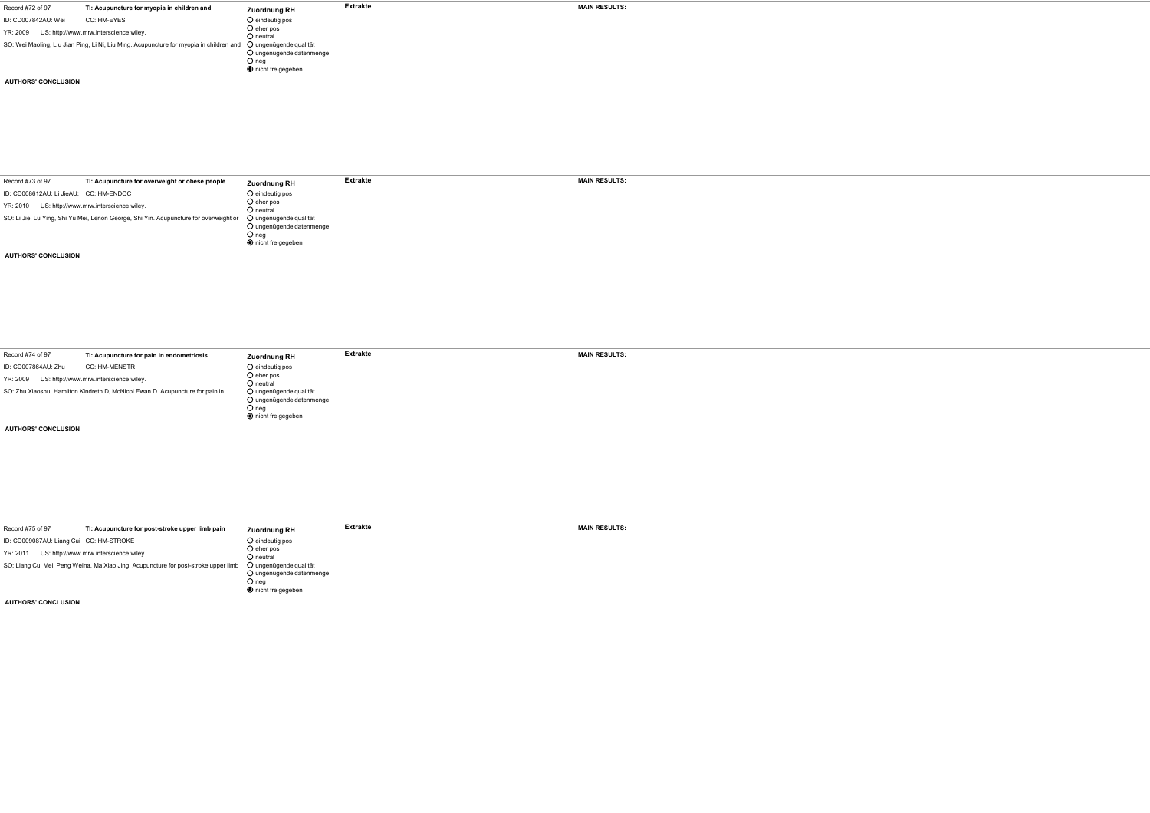| Record #72 of 97           | TI: Acupuncture for myopia in children and                                              | <b>Zuordnung RH</b>                                                                         | <b>Extrakte</b> | <b>MAIN RESULTS:</b> |
|----------------------------|-----------------------------------------------------------------------------------------|---------------------------------------------------------------------------------------------|-----------------|----------------------|
| ID: CD007842AU: Wei        | CC: HM-EYES                                                                             | O eindeutig pos                                                                             |                 |                      |
| YR: 2009                   | US: http://www.mrw.interscience.wiley.                                                  | $\bigcirc$ eher pos<br>O neutral                                                            |                 |                      |
|                            | SO: Wei Maoling, Liu Jian Ping, Li Ni, Liu Ming. Acupuncture for myopia in children and | O ungenügende qualität<br>O ungenügende datenmenge<br>$O$ neg<br><b>O</b> nicht freigegeben |                 |                      |
| <b>AUTHORS' CONCLUSION</b> |                                                                                         |                                                                                             |                 |                      |
|                            |                                                                                         |                                                                                             |                 |                      |
|                            |                                                                                         |                                                                                             |                 |                      |
|                            |                                                                                         |                                                                                             |                 |                      |
|                            |                                                                                         |                                                                                             |                 |                      |

| Record #73 of 97                      | TI: Acupuncture for overweight or obese people                                                                                                  | <b>Zuordnung RH</b>                                                                                                                                                              | Extrakte | <b>MAIN RESULTS:</b> |
|---------------------------------------|-------------------------------------------------------------------------------------------------------------------------------------------------|----------------------------------------------------------------------------------------------------------------------------------------------------------------------------------|----------|----------------------|
| ID: CD008612AU: Li JieAU:<br>YR: 2010 | CC: HM-ENDOC<br>US: http://www.mrw.interscience.wiley.<br>SO: Li Jie, Lu Ying, Shi Yu Mei, Lenon George, Shi Yin. Acupuncture for overweight or | $\overline{O}$ eindeutig pos<br>$\bigcirc$ eher pos<br>$\bigcirc$ neutral<br>O ungenügende qualität<br>O ungenügende datenmenge<br>$\bigcirc$ neg<br>$\bullet$ nicht freigegeben |          |                      |
| <b>AUTHORS' CONCLUSION</b>            |                                                                                                                                                 |                                                                                                                                                                                  |          |                      |

| Record #75 of 97                        | TI: Acupuncture for post-stroke upper limb pain                                     | <b>Zuordnung RH</b>                                                                  | <b>Extrakte</b> | <b>MAIN RESUL</b> |
|-----------------------------------------|-------------------------------------------------------------------------------------|--------------------------------------------------------------------------------------|-----------------|-------------------|
| ID: CD009087AU: Liang Cui CC: HM-STROKE |                                                                                     | O eindeutig pos<br>$\bigcirc$ eher pos                                               |                 |                   |
| YR: 2011                                | US: http://www.mrw.interscience.wiley.                                              | $\bigcirc$ neutral                                                                   |                 |                   |
|                                         | SO: Liang Cui Mei, Peng Weina, Ma Xiao Jing. Acupuncture for post-stroke upper limb | O ungenügende qualität<br>O ungenügende datenmenge<br>$O$ neg<br>● nicht freigegeben |                 |                   |
| AUTUODOLOOMOLUOJOM                      |                                                                                     |                                                                                      |                 |                   |

| Record #74 of 97           | TI: Acupuncture for pain in endometriosis                                                                                                                                           | <b>Zuordnung RH</b>                       | <b>Extrakte</b> | <b>MAIN RESUL</b> |
|----------------------------|-------------------------------------------------------------------------------------------------------------------------------------------------------------------------------------|-------------------------------------------|-----------------|-------------------|
| ID: CD007864AU: Zhu        | <b>CC: HM-MENSTR</b>                                                                                                                                                                | $\bigcirc$ eindeutig pos                  |                 |                   |
| YR: 2009                   | US: http://www.mrw.interscience.wiley.                                                                                                                                              | $\bigcirc$ eher pos<br>$\bigcirc$ neutral |                 |                   |
|                            | SO: Zhu Xiaoshu, Hamilton Kindreth D, McNicol Ewan D. Acupuncture for pain in<br>O ungenügende qualität<br>O ungenügende datenmenge<br>$\bigcirc$ neg<br><b>●</b> nicht freigegeben |                                           |                 |                   |
| <b>AUTHORS' CONCLUSION</b> |                                                                                                                                                                                     |                                           |                 |                   |

## $J$ lts: $\overline{\phantom{a}}$

**LTS:**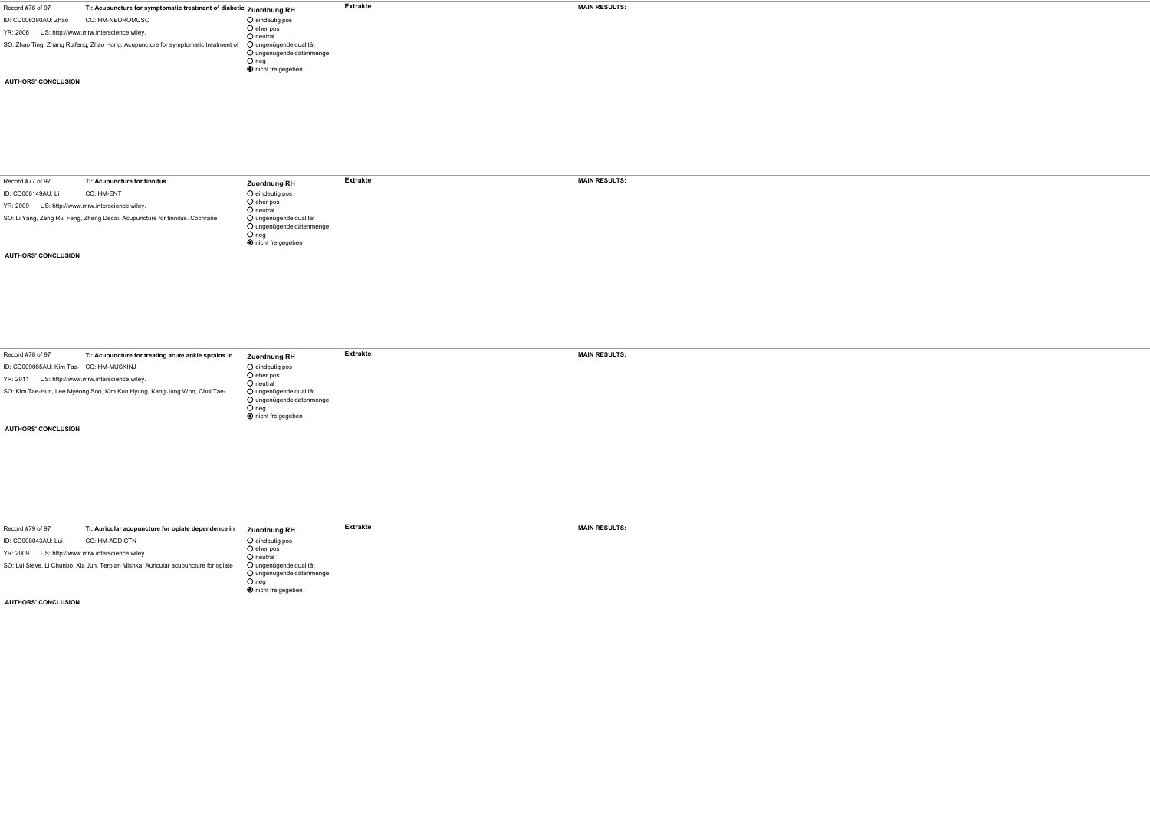| Record #76 of 97           | TI: Acupuncture for symptomatic treatment of diabetic Zuordnung RH                |                                                                                             | <b>Extrakte</b> | <b>MAIN RESULTS:</b> |
|----------------------------|-----------------------------------------------------------------------------------|---------------------------------------------------------------------------------------------|-----------------|----------------------|
| ID: CD006280AU: Zhao       | <b>CC: HM-NEUROMUSC</b>                                                           | O eindeutig pos                                                                             |                 |                      |
| YR: 2006                   | US: http://www.mrw.interscience.wiley.                                            | O eher pos<br>O neutral                                                                     |                 |                      |
|                            | SO: Zhao Ting, Zhang Ruifeng, Zhao Hong. Acupuncture for symptomatic treatment of | O ungenügende qualität<br>O ungenügende datenmenge<br>$O$ neg<br><b>O</b> nicht freigegeben |                 |                      |
| <b>AUTHORS' CONCLUSION</b> |                                                                                   |                                                                                             |                 |                      |
|                            |                                                                                   |                                                                                             |                 |                      |
|                            |                                                                                   |                                                                                             |                 |                      |
|                            |                                                                                   |                                                                                             |                 |                      |
|                            |                                                                                   |                                                                                             |                 |                      |
|                            |                                                                                   |                                                                                             |                 |                      |
|                            |                                                                                   |                                                                                             |                 |                      |
| Record #77 of 97           | TI: Acupuncture for tinnitus                                                      | <b>Zuordnung RH</b>                                                                         | <b>Extrakte</b> | <b>MAIN RESULTS:</b> |

ID: CD008149AU: Li

SO: Li Yang, Zeng Rui Feng, Zheng Decai. Acupuncture for tinnitus. Cochrane

YR: 2009 US: http://www.mrw.interscience.wiley.

CC: HM-ENT

AUTHORS' CONCLUSION

# eindeutig pos eher pos neutral Zuordnung RH

ungenügende qualität ungenügende datenmenge neg nicht freigegeben

## TS:

 $LTS:$ 

| Record #79 of 97    | TI: Auricular acupuncture for opiate dependence in                                  | <b>Zuordnung RH</b>                                                  | <b>Extrakte</b> | <b>MAIN RESUL</b> |
|---------------------|-------------------------------------------------------------------------------------|----------------------------------------------------------------------|-----------------|-------------------|
| ID: CD008043AU: Lui | <b>CC: HM-ADDICTN</b>                                                               | $\bigcirc$ eindeutig pos                                             |                 |                   |
| YR: 2009            | US: http://www.mrw.interscience.wiley.                                              | $\bigcirc$ eher pos<br>$\bigcirc$ neutral                            |                 |                   |
|                     | SO: Lui Steve, Li Chunbo, Xia Jun, Terplan Mishka. Auricular acupuncture for opiate | O ungenügende qualität<br>O ungenügende datenmenge<br>$\bigcirc$ neg |                 |                   |

| Record #78 of 97                        | TI: Acupuncture for treating acute ankle sprains in                      | <b>Zuordnung RH</b>                                                                                | <b>Extrakte</b> | <b>MAIN RESULT</b> |
|-----------------------------------------|--------------------------------------------------------------------------|----------------------------------------------------------------------------------------------------|-----------------|--------------------|
| ID: CD009065AU: Kim Tae- CC: HM-MUSKINJ |                                                                          | $O$ eindeutig pos                                                                                  |                 |                    |
| YR: 2011                                | US: http://www.mrw.interscience.wiley.                                   | $\bigcirc$ eher pos<br>$O$ neutral                                                                 |                 |                    |
|                                         | SO: Kim Tae-Hun, Lee Myeong Soo, Kim Kun Hyung, Kang Jung Won, Choi Tae- | O ungenügende qualität<br>O ungenügende datenmenge<br>$\bigcirc$ neg<br><b>●</b> nicht freigegeben |                 |                    |
| <b>AUTHORS' CONCLUSION</b>              |                                                                          |                                                                                                    |                 |                    |

AUTHORS' CONCLUSION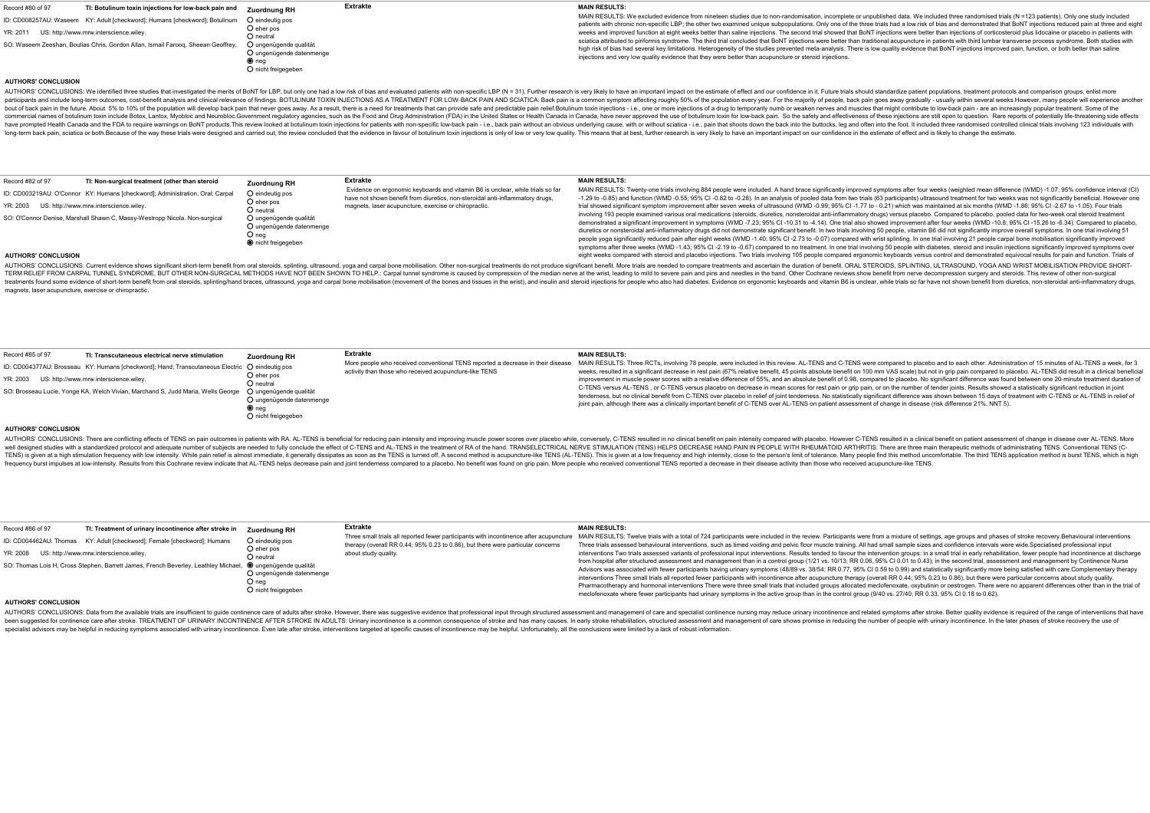EDP. Funders or the Second Eng. 2011 Funders and a developmed the precits of BoNT for LBP, but only one had a low risk of bias and evaluated patients with non-specific LBP (N = 31). Further research is very likely to have non SCHONG POS A TREATMENT FOR LONGINIS and DREATHONG AS A TREATMENT FOR LOW-BACK PAIN AND SCIATICA: Back pain is a common symptom affecting roughly 50% of the population every year. For the majority of people, back pain g bout of back pain in the future. About 19% to 10% of the population will develop back pain that never goes away. As a result, there is a need for treatments that can provide safe and predictable pain relief: Botulinum toxi nolled Botox, Lantox, Myobloc and Neurobloc.Government regulatory agencies, such as the Food and Drug Administration (FDA) in the United States or Health Canada, have never approved the use of botulinum toxin for low-back Including cause, with non-specific low-back pain that shoots, Plan to the back pain withous and the FDA to require warmings on BoNT products. This review looked at botulinum toxin injections for patients with non-specific long-term back pain, sciatica or both. Because of the way these trials were designed and carried out, the review concluded that the evidence in favour of botulinum toxin injections is only of low or very low quality. This

| Record #80 of 97<br>YR: 2011 | TI: Botulinum toxin injections for low-back pain and<br>ID: CD008257AU: Waseem KY: Adult [checkword]; Humans [checkword]; Botulinum<br>US: http://www.mrw.interscience.wiley.<br>SO: Waseem Zeeshan, Boulias Chris, Gordon Allan, Ismail Faroog, Sheean Geoffrey, | <b>Zuordnung RH</b><br>$\bigcirc$ eindeutig pos<br>$\bigcirc$ eher pos<br>$\bigcirc$ neutral<br>O ungenügende gualität<br>$O$ ungenügende datenmenge<br>$\bullet$ neg<br>$\bigcirc$ nicht freigegeben | <b>Extrakte</b> | <b>MAIN RESUL</b><br><b>MAIN RESUL</b><br>patients with<br>weeks and im<br>sciatica attrib<br>high risk of bi<br>injections and |
|------------------------------|-------------------------------------------------------------------------------------------------------------------------------------------------------------------------------------------------------------------------------------------------------------------|-------------------------------------------------------------------------------------------------------------------------------------------------------------------------------------------------------|-----------------|---------------------------------------------------------------------------------------------------------------------------------|
| AUTHORS' CONCLUSION          |                                                                                                                                                                                                                                                                   |                                                                                                                                                                                                       |                 |                                                                                                                                 |

AUTHORS' CONCLUSIONSignificant short-term benefit from oral steroids, spliniting, ultrasound, yoga and carpal bone mobilisation. Other non-surgical treatments and ascertain the duration of benefit. ORAL STEROIDS, SPLINTING, ULTRASOUND, YOGA TERM RELIEF FROM CARPAL TUNNEL SYNDROME, BUT OTHER NON-SURGICAL METHODS HAVE NOT BEEN SHOWN TO HELP.: Carpal tunnel syndrome is caused by compression of the median nerve at the wrist, leading to mild to severe pain and pin Interspect on enoples in the worler of short-term benefit from oral steroids, splinting/hand braces, ultrasound, yoga and carpal bone mobilisation (movement of the bones and tissues in the wrist), and insulin and steroid a magnets, laser acupuncture, exercise or chiropractic.TS: Twenty-one trials involving 884 people were included. A hand brace significantly improved symptoms after four weeks (weighted mean difference (WMD) -1.07; 95% confidence interval (CI) ) and function (WMD -0.55; 95% CI -0.82 to -0.28). In an analysis of pooled data from two trials (63 participants) ultrasound treatment for two weeks was not significantly beneficial. However one ignificant symptom improvement after seven weeks of ultrasound (WMD -0.99; 95% CI -1.77 to - 0.21) which was maintained at six months (WMD -1.86; 95% CI -2.67 to -1.05). Four trials involving 193 people examined various oral medications (steroids, diuretics, nonsteroidal anti-inflammatory drugs) versus placebo. Compared to placebo, pooled data for two-week oral steroid treatment a significant improvement in symptoms (WMD -7.23; 95% CI -10.31 to -4.14). One trial also showed improvement after four weeks (WMD -10.8; 95% CI -15.26 to -6.34). Compared to placebo, nsteroidal anti-inflammatory drugs did not demonstrate significant benefit. In two trials involving 50 people, vitamin B6 did not significantly improve overall symptoms. In one trial involving 51 people yoga significantly reduced pain after eight weeks (WMD -1.40; 95% CI -2.73 to -0.07) compared with wrist splinting. In one trial involving 21 people carpal bone mobilisation significantly improved symptoms after three weeks (WMD -1.43; 95% CI -2.19 to -0.67) compared to no treatment. In one trial involving 50 people with diabetes, steroid and insulin injections significantly improved symptoms over eight weeks compared with steroid and placebo injections. Two trials involving 105 people compared ergonomic keyboards versus control and demonstrated equivocal results for pain and function. Trials of

| Record #82 of 97<br>TI: Non-surgical treatment (other than steroid            | <b>Zuordnung RH</b>                                                                                     | <b>Extrakte</b>                                                                                                                                                 | <b>MAIN RESUL</b>                                                                   |
|-------------------------------------------------------------------------------|---------------------------------------------------------------------------------------------------------|-----------------------------------------------------------------------------------------------------------------------------------------------------------------|-------------------------------------------------------------------------------------|
| ID: CD003219AU: O'Connor KY: Humans [checkword]; Administration, Oral; Carpal | $\bigcirc$ eindeutig pos                                                                                | Evidence on ergonomic keyboards and vitamin B6 is unclear, while trials so far<br>have not shown benefit from diuretics, non-steroidal anti-inflammatory drugs, | <b>MAIN RESUL</b><br>$-1.29$ to $-0.85$ )                                           |
| YR: 2003<br>US: http://www.mrw.interscience.wiley.                            | $\bigcirc$ eher pos<br>$\cup$ neutral                                                                   | magnets, laser acupuncture, exercise or chiropractic.                                                                                                           | trial showed s                                                                      |
| SO: O'Connor Denise, Marshall Shawn C, Massy-Westropp Nicola. Non-surgical    | $\bigcirc$ ungenügende qualität<br>$O$ ungenügende datenmenge<br>$O$ neg<br>$\bullet$ nicht freigegeben |                                                                                                                                                                 | involving 193<br>demonstrated<br>diuretics or no<br>people yoga s<br>symptoms after |

LTS: Twelve trials with a total of 724 participants were included in the review. Participants were from a mixture of settings, age groups and phases of stroke recovery. Behavioural interventions assessed behavioural interventions, such as timed voiding and pelvic floor muscle training. All had small sample sizes and confidence intervals were wide.Specialised professional input s Two trials assessed variants of professional input interventions. Results tended to favour the intervention groups: in a small trial in early rehabilitation, fewer people had incontinence at discharge I after structured assessment and management than in a control group (1/21 vs. 10/13; RR 0.06, 95% CI 0.01 to 0.43); in the second trial, assessment and management by Continence Nurse Advisors was associated with fewer participants having urinary symptoms (48/89 vs. 38/54; RR 0.77, 95% CI 0.59 to 0.99) and statistically significantly more being satisfied with care.Complementary therapyinterventions Three small trials all reported fewer participants with incontinence after acupuncture therapy (overall RR 0.44; 95% 0.23 to 0.86), but there were particular concerns about study quality. Pharmacotherapy and hormonal interventions There were three small trials that included groups allocated meclofenoxate, oxybutinin or oestrogen. There were no apparent differences other than in the trial of meclofenoxate where fewer participants had urinary symptoms in the active group than in the control group (9/40 vs. 27/40; RR 0.33, 95% CI 0.18 to 0.62).

#### AUTHORS' CONCLUSION

Interprog in methers of DENS on pain outcomes in patients with RA. AL-TENS is beneficial for reducing pain intensity and improving muscle power scores over placebo. However C-TENS resulted in a clinical benefit on patient well designed studies with a standardized protocol and adequate number of subiects are needed to fully conclude the effect of C-TENS and AL-TENS in the treatment of RA of the hand. TRANSELECTRICAL NERVE STIMULATION (TENS) TENS) is given at a high stimulation frequency with low intensity. While pain relief is almost immediate, it generally dissipates as soon as the TENS is turned off. A second method is acupuncture-like TENS). This is given frequency burst impulses at low-intensity. Results from this Cochrane review indicate that AL-TENS helps decrease pain and joint tenderness compared to a placebo. No benefit was found on grip pain. More people who received

| Record #85 of 97<br>TI: Transcutaneous electrical nerve stimulation                                                                                                                                                                               | <b>Zuordnung RH</b>                                                                                                                                | <b>Extrakte</b>                                                                                                                           | <b>MAIN RESUL</b>                                                                                     |
|---------------------------------------------------------------------------------------------------------------------------------------------------------------------------------------------------------------------------------------------------|----------------------------------------------------------------------------------------------------------------------------------------------------|-------------------------------------------------------------------------------------------------------------------------------------------|-------------------------------------------------------------------------------------------------------|
| ID: CD004377AU: Brosseau KY: Humans [checkword]; Hand; Transcutaneous Electric $\bigcirc$ eindeutig pos<br>YR: 2003<br>US: http://www.mrw.interscience.wiley.<br>SO: Brosseau Lucie, Yonge KA, Welch Vivian, Marchand S, Judd Maria, Wells George | $\bigcirc$ eher pos<br>$\bigcirc$ neutral<br>O ungenügende qualität<br>$O$ ungenügende datenmenge<br>$\bullet$ neg<br>$\bigcirc$ nicht freigegeben | More people who received conventional TENS reported a decrease in their disease<br>activity than those who received acupuncture-like TENS | <b>MAIN RESUL</b><br>weeks, result<br>improvement<br>C-TENS vers<br>tenderness, b<br>joint pain, alth |
|                                                                                                                                                                                                                                                   |                                                                                                                                                    |                                                                                                                                           |                                                                                                       |

#### AUTHORS' CONCLUSION

AUTHORS' CONCLUSIONS: Data from the available trials are insufficient to quide continence care of adults after st wever, there was suggestive evidence that professional input through structured assessment and management of care and specialist continence nursing may reduce urinary incontinence and related symptoms after stroke. Better been suggested for continence care after stroke. TREATMENT OF URINARY INCONTINENCE AFTER STROKE IN ADULTS: Urinary incontinence is a common consequence of stroke rehabilitation, structured assessment and management of care specialist advisors may be helpful in reducing symptoms associated with urinary incontinence. Even late after stroke, interventions targeted at specific causes of incontinence may be helpful. Unfortunately, all the conclus

#### $TS:$

LTS: We excluded evidence from nineteen studies due to non-randomisation, incomplete or unpublished data. We included three randomised trials (N =123 patients). Only one study included patients with chronic non-specific LBP; the other two examined unique subpopulations. Only one of the three trials had a low risk of bias and demonstrated that BoNT injections reduced pain at three and eight nproved function at eight weeks better than saline injections. The second trial showed that BoNT injections were better than injections of corticosteroid plus lidocaine or placebo in patients with sciatica attributed to piriformis syndrome. The third trial concluded that BoNT injections were better than traditional acupuncture in patients with third lumbar transverse process syndrome. Both studies with ias had several key limitations. Heterogeneity of the studies prevented meta-analysis. There is low quality evidence that BoNT injections improved pain, function, or both better than saline very low quality evidence that they were better than acupuncture or steroid injections.

#### $TS:$

#### $LTS:$

LTS: Three RCTs, involving 78 people, were included in this review. AL-TENS and C-TENS were compared to placebo and to each other. Administration of 15 minutes of AL-TENS a week, for 3 weeks, resulted in a significant decrease in rest pain (67% relative benefit, 45 points absolute benefit on 100 mm VAS scale) but not in grip pain compared to placebo. AL-TENS did result in a clinical beneficial t in muscle power scores with a relative difference of 55%, and an absolute benefit of 0.98, compared to placebo. No significant difference was found between one 20-minute treatment duration of sus AL-TENS, or C-TENS versus placebo on decrease in mean scores for rest pain or grip pain, or on the number of tender joints. Results showed a statistically significant reduction in joint but no clinical benefit from C-TENS over placebo in relief of ioint tenderness. No statistically significant difference was shown between 15 days of treatment with C-TENS or AL-TENS in relief of hough there was a clinically important benefit of C-TENS over AL-TENS on patient assessment of change in disease (risk difference 21%, NNT 5).

#### $LTS:$

| Record #86 of 97<br>TI: Treatment of urinary incontinence after stroke in                                  | <b>Zuordnung RH</b>                   | <b>Extrakte</b>                                                                                                                                                           | <b>MAIN RESUL</b>                   |
|------------------------------------------------------------------------------------------------------------|---------------------------------------|---------------------------------------------------------------------------------------------------------------------------------------------------------------------------|-------------------------------------|
| KY: Adult [checkword]; Female [checkword]; Humans<br>ID: CD004462AU: Thomas                                | $\bigcirc$ eindeutig pos              | Three small trials all reported fewer participants with incontinence after acupuncture<br>therapy (overall RR 0.44; 95% 0.23 to 0.86), but there were particular concerns | <b>MAIN RESUL</b><br>Three trials a |
| YR: 2008<br>US: http://www.mrw.interscience.wiley.                                                         | $\bigcirc$ eher pos<br>$\cap$ neutral | about study quality.                                                                                                                                                      | interventions                       |
| SO: Thomas Lois H, Cross Stephen, Barrett James, French Beverley, Leathley Michael, © ungenügende qualität |                                       |                                                                                                                                                                           | from hospital<br>Advisors was       |
|                                                                                                            | $\bigcirc$ ungenügende datenmenge     |                                                                                                                                                                           | المتحدث والقائد والمستحقق والمتناقص |

 $O$  neg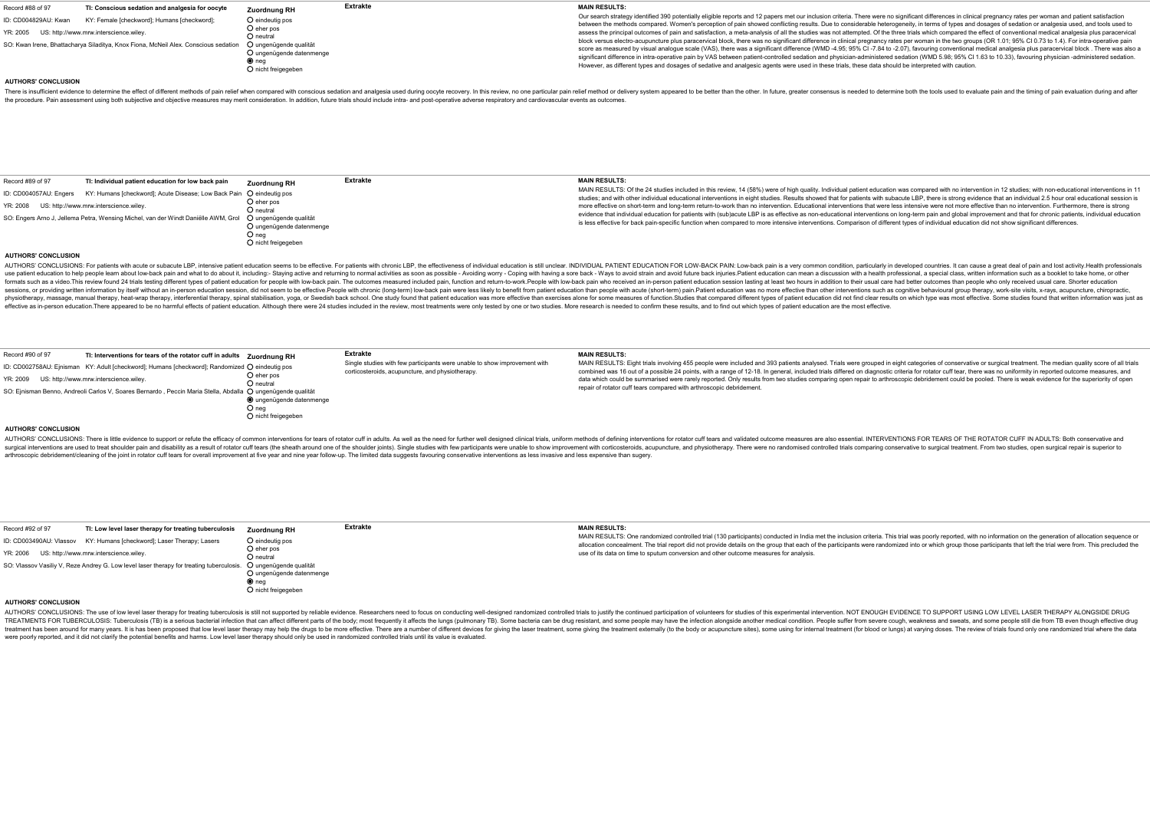In this review, no one particular revidence fo determine on part of different methods of pain relief when compared with conscious sedation and analgesia used during occyte recovery. In this review, no one particular pain r the procedure. Pain assessment using both subjective and objective measures may merit consideration. In addition, future trials should include intra- and post-operative adverse respiratory and cardiovascular events as outc

| Record #88 of 97                 | TI: Conscious sedation and analgesia for oocyte                                                                                                                              | <b>Zuordnung RH</b>                                                                                                                                          | <b>Extrakte</b> | <b>MAIN RESUL</b>                                                                                                  |
|----------------------------------|------------------------------------------------------------------------------------------------------------------------------------------------------------------------------|--------------------------------------------------------------------------------------------------------------------------------------------------------------|-----------------|--------------------------------------------------------------------------------------------------------------------|
| ID: CD004829AU: Kwan<br>YR: 2005 | KY: Female [checkword]; Humans [checkword];<br>US: http://www.mrw.interscience.wiley.<br>SO: Kwan Irene, Bhattacharya Siladitya, Knox Fiona, McNeil Alex. Conscious sedation | $O$ eindeutig pos<br>$\bigcirc$ eher pos<br>$\bigcirc$ neutral<br>O ungenügende qualität<br>O ungenügende datenmenge<br>$\bullet$ neg<br>O nicht freigegeben |                 | Our search st<br>between the r<br>assess the pr<br>block versus<br>score as mea<br>significant diff<br>However, as |
| ALITUODE! COMOL HEIONI           |                                                                                                                                                                              |                                                                                                                                                              |                 |                                                                                                                    |

#### AUTHORS' CONCLUSION

EDP, intensive patients with acute or subacute LBP, intensive patient education seems to be effective. For patients with chronic LBP, the effectiveness of individual education is still unclear. INDIVIDUAL PATIENT EDUCATION use patient education to help people learn about low-back pain and what to do about it, including:- Staying active and returning to normal activities as soon as possible - Avoiding worry - Coping with having a sore back in formats such as a video.This review found 24 trials testing different types of patient education for people with low-back pain. The outcomes measured included pain, function and return-to-work.People with low-back pain inon Person education. Sub the offective.People with an in-person were less likely to beeffective.People with chromic (long-term) low-back pain.Patient education was no more effective than other interventions such as cogniti physiotherapy, massage, manual therapy, interferential therapy, spinal stabilisation, yoga, or Swedish back school. One study found that patient education was more effective than exercises alone for some measures of functi effective as in-person education. There appeared to be no harmful effects of patient education. Although there were 24 studies included in the review, most treatments were only tested by one or two studies. More research i

| Record #89 of 97                   | TI: Individual patient education for low back pain                                                                                                                                                        | <b>Zuordnung RH</b>                                                                                                                         | <b>Extrakte</b> | <b>MAIN RESUI</b>                                                                      |
|------------------------------------|-----------------------------------------------------------------------------------------------------------------------------------------------------------------------------------------------------------|---------------------------------------------------------------------------------------------------------------------------------------------|-----------------|----------------------------------------------------------------------------------------|
| ID: CD004057AU: Engers<br>YR: 2008 | KY: Humans [checkword]; Acute Disease; Low Back Pain $\,$ O eindeutig pos<br>US: http://www.mrw.interscience.wiley.<br>SO: Engers Arno J, Jellema Petra, Wensing Michel, van der Windt Daniëlle AWM, Grol | $\bigcirc$ eher pos<br>$\mathrm O$ neutral .<br>O ungenügende qualität<br>O ungenügende datenmenge<br>$\bigcirc$ neg<br>O nicht freigegeben |                 | <b>MAIN RESUL</b><br>studies; and<br>more effectiv<br>evidence that<br>is less effecti |

#### AUTHORS' CONCLUSION

EDISPONS: There is little evidence to support or refute the efficacy of common interventions for tears of rotator cuff in adults. As well as the need for further well designed clinical trials, uniform methods of defining i or entil formulder, Single studies, and by sepan and disability as a result of rotator cuff tears (the sheath around one of the shoulder joints). Single studies with few participants were unable to show improvement with co arthroscopic debridement/cleaning of the joint in rotator cuff tears for overall improvement at five year and nine year follow-up. The limited data suggests favouring conservative interventions as less invasive and less ex

| Record #90 of 97 |                                                                                                                       | TI: Interventions for tears of the rotator cuff in adults                                               | <b>Zuordnung RH</b>                       | <b>Extrakte</b>                                                                                                               | <b>MAIN RESUL</b>                                  |
|------------------|-----------------------------------------------------------------------------------------------------------------------|---------------------------------------------------------------------------------------------------------|-------------------------------------------|-------------------------------------------------------------------------------------------------------------------------------|----------------------------------------------------|
|                  |                                                                                                                       | ID: CD002758AU: Ejnisman KY: Adult [checkword]; Humans [checkword]; Randomized $\bigcirc$ eindeutig pos |                                           | Single studies with few participants were unable to show improvement with<br>corticosteroids, acupuncture, and physiotherapy. | <b>MAIN RESUL</b><br>combined was<br>data which co |
| YR: 2009         |                                                                                                                       | US: http://www.mrw.interscience.wiley.                                                                  | $\bigcirc$ eher pos<br>$\bigcirc$ neutral |                                                                                                                               |                                                    |
|                  | SO: Ejnisman Benno, Andreoli Carlos V, Soares Bernardo , Peccin Maria Stella, Abdalla $\bigcirc$ ungenügende qualität |                                                                                                         |                                           | repair of rotate                                                                                                              |                                                    |
|                  |                                                                                                                       |                                                                                                         | <b>●</b> ungenügende datenmenge           |                                                                                                                               |                                                    |
|                  |                                                                                                                       |                                                                                                         | $\bigcirc$ neg                            |                                                                                                                               |                                                    |
|                  |                                                                                                                       |                                                                                                         | $O$ nicht freigegeben                     |                                                                                                                               |                                                    |

#### AUTHORS' CONCLUSION

The use of low level laser therapy for treating tuberculosis is still not supported by reliable evidence. Researchers need to focus on conducting well-designed randomized controlled trials to justify the continued particip note medical condition. People suffer from severe couple state from the and from the form and fection that can affect different parts of the body; most frequently it affects the lungs (pulmonary TB). Some bacteria can be d It is has been around for many years. It is has been proposed that low level laser therapy may help the drugs to be more effective. There are a number of different devices for giving the treatment externally (to the body o were poorly reported, and it did not clarify the potential benefits and harms. Low level laser therapy should only be used in randomized controlled trials until its value is evaluated.

#### $TS:$

trategy identified 390 potentially eligible reports and 12 papers met our inclusion criteria. There were no significant differences in clinical pregnancy rates per woman and patient satisfaction between the methods compared. Women's perception of pain showed conflicting results. Due to considerable heterogeneity, in terms of types and dosages of sedation or analgesia used, and tools used toassess the principal outcomes of pain and satisfaction, a meta-analysis of all the studies was not attempted. Of the three trials which compared the effect of conventional medical analgesia plus paracervical electro-acupuncture plus paracervical block, there was no significant difference in clinical pregnancy rates per woman in the two groups (OR 1.01; 95% CI 0.73 to 1.4). For intra-operative pain score as measured by visual analogue scale (VAS), there was a significant difference (WMD -4.95; 95% CI -7.84 to -2.07), favouring conventional medical analgesia plus paracervical block . There was also a fference in intra-operative pain by VAS between patient-controlled sedation and physician-administered sedation (WMD 5.98; 95% CI 1.63 to 10.33), favouring physician -administered sedation. different types and dosages of sedative and analgesic agents were used in these trials, these data should be interpreted with caution.

#### LTS:

LTS: Of the 24 studies included in this review, 14 (58%) were of high quality. Individual patient education was compared with no intervention in 12 studies; with non-educational interventions in 11 studies; and with other individual educational interventions in eight studies. Results showed that for patients with subacute LBP, there is strong evidence that an individual 2.5 hour oral educational session isve on short-term and long-term return-to-work than no intervention. Educational interventions that were less intensive were not more effective than no intervention. Furthermore, there is strong evidence that individual education for patients with (sub)acute LBP is as effective as non-educational interventions on long-term pain and global improvement and that for chronic patients, individual educationive for back pain-specific function when compared to more intensive interventions. Comparison of different types of individual education did not show significant differences.

#### $LTS:$

LTS: Eight trials involving 455 people were included and 393 patients analysed. Trials were grouped in eight categories of conservative or surgical treatment. The median quality score of all trials as 16 out of a possible 24 points, with a range of 12-18. In general, included trials differed on diagnostic criteria for rotator cuff tear, there was no uniformity in reported outcome measures, and data which could be summarised were rarely reported. Only results from two studies comparing open repair to arthroscopic debridement could be pooled. There is weak evidence for the superiority of open tor cuff tears compared with arthroscopic debridement.

#### $LTS:$

LTS: One randomized controlled trial (130 participants) conducted in India met the inclusion criteria. This trial was poorly reported, with no information on the generation of allocation sequence or allocation concealment. The trial report did not provide details on the group that each of the participants were randomized into or which group those participants that left the trial were from. This precluded the a on time to sputum conversion and other outcome measures for analysis.

| Record #92 of 97                                                                         | TI: Low level laser therapy for treating tuberculosis | <b>Zuordnung RH</b>                                                 | <b>Extrakte</b> | <b>MAIN RESUL</b>                   |
|------------------------------------------------------------------------------------------|-------------------------------------------------------|---------------------------------------------------------------------|-----------------|-------------------------------------|
| ID: CD003490AU: Vlassov                                                                  | KY: Humans [checkword]; Laser Therapy; Lasers         | $\bigcirc$ eindeutig pos<br>$\bigcirc$ eher pos<br>$\cup$ neutral . |                 | <b>MAIN RESUL</b><br>allocation cor |
| YR: 2006                                                                                 | US: http://www.mrw.interscience.wiley.                |                                                                     | use of its data |                                     |
| SO: Vlassov Vasiliy V, Reze Andrey G. Low level laser therapy for treating tuberculosis. |                                                       | O ungenügende qualität                                              |                 |                                     |
|                                                                                          |                                                       | $O$ ungenügende datenmenge                                          |                 |                                     |
|                                                                                          |                                                       | $\bullet$ neg                                                       |                 |                                     |
|                                                                                          |                                                       | $\bigcirc$ nicht freigegeben                                        |                 |                                     |